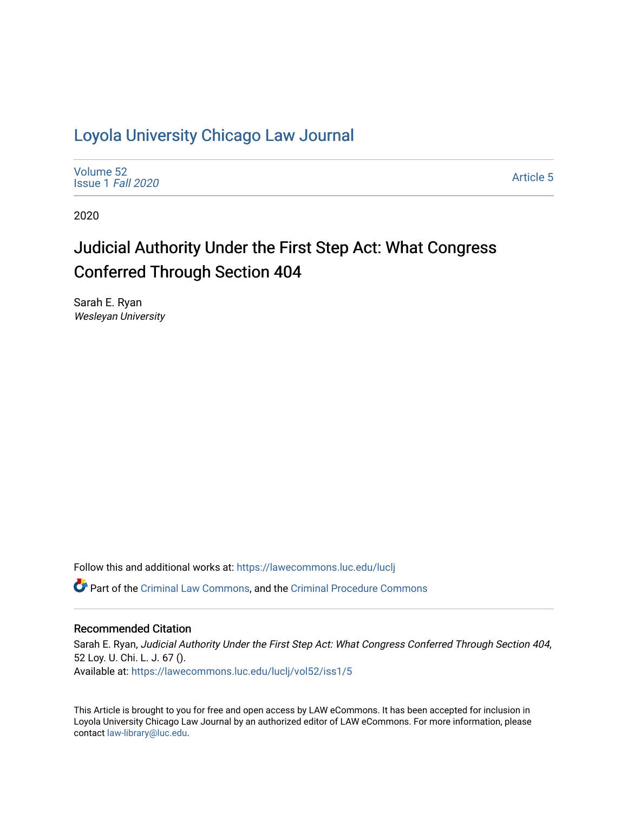## [Loyola University Chicago Law Journal](https://lawecommons.luc.edu/luclj)

[Volume 52](https://lawecommons.luc.edu/luclj/vol52) [Issue 1](https://lawecommons.luc.edu/luclj/vol52/iss1) Fall 2020

[Article 5](https://lawecommons.luc.edu/luclj/vol52/iss1/5) 

2020

# Judicial Authority Under the First Step Act: What Congress Conferred Through Section 404

Sarah E. Ryan Wesleyan University

Follow this and additional works at: [https://lawecommons.luc.edu/luclj](https://lawecommons.luc.edu/luclj?utm_source=lawecommons.luc.edu%2Fluclj%2Fvol52%2Fiss1%2F5&utm_medium=PDF&utm_campaign=PDFCoverPages) 

Part of the [Criminal Law Commons,](http://network.bepress.com/hgg/discipline/912?utm_source=lawecommons.luc.edu%2Fluclj%2Fvol52%2Fiss1%2F5&utm_medium=PDF&utm_campaign=PDFCoverPages) and the [Criminal Procedure Commons](http://network.bepress.com/hgg/discipline/1073?utm_source=lawecommons.luc.edu%2Fluclj%2Fvol52%2Fiss1%2F5&utm_medium=PDF&utm_campaign=PDFCoverPages)

#### Recommended Citation

Sarah E. Ryan, Judicial Authority Under the First Step Act: What Congress Conferred Through Section 404, 52 Loy. U. Chi. L. J. 67 (). Available at: [https://lawecommons.luc.edu/luclj/vol52/iss1/5](https://lawecommons.luc.edu/luclj/vol52/iss1/5?utm_source=lawecommons.luc.edu%2Fluclj%2Fvol52%2Fiss1%2F5&utm_medium=PDF&utm_campaign=PDFCoverPages) 

This Article is brought to you for free and open access by LAW eCommons. It has been accepted for inclusion in Loyola University Chicago Law Journal by an authorized editor of LAW eCommons. For more information, please contact [law-library@luc.edu.](mailto:law-library@luc.edu)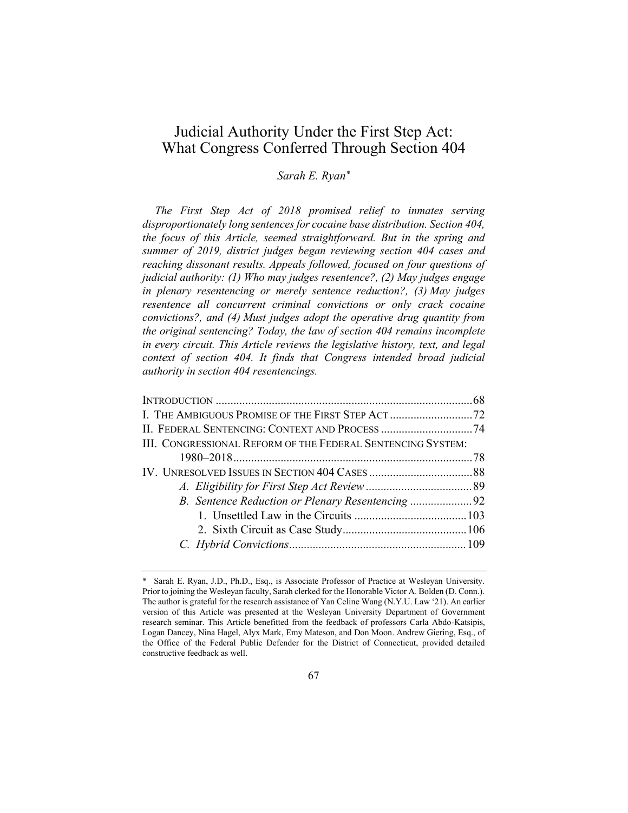### Judicial Authority Under the First Step Act: What Congress Conferred Through Section 404

#### *Sarah E. Ryan\**

*The First Step Act of 2018 promised relief to inmates serving disproportionately long sentences for cocaine base distribution. Section 404, the focus of this Article, seemed straightforward. But in the spring and summer of 2019, district judges began reviewing section 404 cases and reaching dissonant results. Appeals followed, focused on four questions of judicial authority: (1) Who may judges resentence?, (2) May judges engage in plenary resentencing or merely sentence reduction?, (3) May judges resentence all concurrent criminal convictions or only crack cocaine convictions?, and (4) Must judges adopt the operative drug quantity from the original sentencing? Today, the law of section 404 remains incomplete in every circuit. This Article reviews the legislative history, text, and legal context of section 404. It finds that Congress intended broad judicial authority in section 404 resentencings.*

| II. FEDERAL SENTENCING: CONTEXT AND PROCESS 74              |  |
|-------------------------------------------------------------|--|
| III. CONGRESSIONAL REFORM OF THE FEDERAL SENTENCING SYSTEM: |  |
|                                                             |  |
|                                                             |  |
|                                                             |  |
| B. Sentence Reduction or Plenary Resentencing 92            |  |
|                                                             |  |
|                                                             |  |
|                                                             |  |
|                                                             |  |

<sup>\*</sup> Sarah E. Ryan, J.D., Ph.D., Esq., is Associate Professor of Practice at Wesleyan University. Prior to joining the Wesleyan faculty, Sarah clerked for the Honorable Victor A. Bolden (D. Conn.). The author is grateful for the research assistance of Yan Celine Wang (N.Y.U. Law '21). An earlier version of this Article was presented at the Wesleyan University Department of Government research seminar. This Article benefitted from the feedback of professors Carla Abdo-Katsipis, Logan Dancey, Nina Hagel, Alyx Mark, Emy Mateson, and Don Moon. Andrew Giering, Esq., of the Office of the Federal Public Defender for the District of Connecticut, provided detailed constructive feedback as well.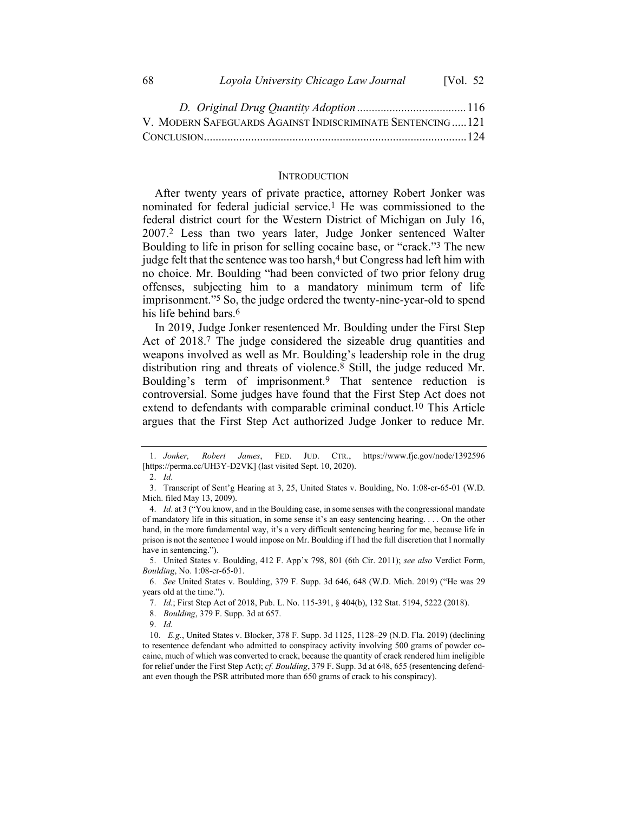| 68 | Loyola University Chicago Law Journal | [Vol. $52$ |
|----|---------------------------------------|------------|
|----|---------------------------------------|------------|

| V. MODERN SAFEGUARDS AGAINST INDISCRIMINATE SENTENCING121 |  |
|-----------------------------------------------------------|--|
|                                                           |  |

#### **INTRODUCTION**

After twenty years of private practice, attorney Robert Jonker was nominated for federal judicial service.1 He was commissioned to the federal district court for the Western District of Michigan on July 16, 2007.2 Less than two years later, Judge Jonker sentenced Walter Boulding to life in prison for selling cocaine base, or "crack."3 The new judge felt that the sentence was too harsh,<sup>4</sup> but Congress had left him with no choice. Mr. Boulding "had been convicted of two prior felony drug offenses, subjecting him to a mandatory minimum term of life imprisonment."5 So, the judge ordered the twenty-nine-year-old to spend his life behind bars.<sup>6</sup>

In 2019, Judge Jonker resentenced Mr. Boulding under the First Step Act of 2018.7 The judge considered the sizeable drug quantities and weapons involved as well as Mr. Boulding's leadership role in the drug distribution ring and threats of violence.8 Still, the judge reduced Mr. Boulding's term of imprisonment.9 That sentence reduction is controversial. Some judges have found that the First Step Act does not extend to defendants with comparable criminal conduct.10 This Article argues that the First Step Act authorized Judge Jonker to reduce Mr.

7. *Id.*; First Step Act of 2018, Pub. L. No. 115-391, § 404(b), 132 Stat. 5194, 5222 (2018).

<sup>1.</sup> *Jonker, Robert James*, FED. JUD. CTR., https://www.fjc.gov/node/1392596 [https://perma.cc/UH3Y-D2VK] (last visited Sept. 10, 2020).

<sup>2.</sup> *Id*.

<sup>3.</sup> Transcript of Sent'g Hearing at 3, 25, United States v. Boulding, No. 1:08-cr-65-01 (W.D. Mich. filed May 13, 2009).

<sup>4.</sup> *Id*. at 3 ("You know, and in the Boulding case, in some senses with the congressional mandate of mandatory life in this situation, in some sense it's an easy sentencing hearing. . . . On the other hand, in the more fundamental way, it's a very difficult sentencing hearing for me, because life in prison is not the sentence I would impose on Mr. Boulding if I had the full discretion that I normally have in sentencing.").

<sup>5.</sup> United States v. Boulding, 412 F. App'x 798, 801 (6th Cir. 2011); *see also* Verdict Form, *Boulding*, No. 1:08-cr-65-01.

<sup>6.</sup> *See* United States v. Boulding, 379 F. Supp. 3d 646, 648 (W.D. Mich. 2019) ("He was 29 years old at the time.").

<sup>8.</sup> *Boulding*, 379 F. Supp. 3d at 657.

<sup>9.</sup> *Id.*

<sup>10.</sup> *E.g.*, United States v. Blocker, 378 F. Supp. 3d 1125, 1128–29 (N.D. Fla. 2019) (declining to resentence defendant who admitted to conspiracy activity involving 500 grams of powder cocaine, much of which was converted to crack, because the quantity of crack rendered him ineligible for relief under the First Step Act); *cf. Boulding*, 379 F. Supp. 3d at 648, 655 (resentencing defendant even though the PSR attributed more than 650 grams of crack to his conspiracy).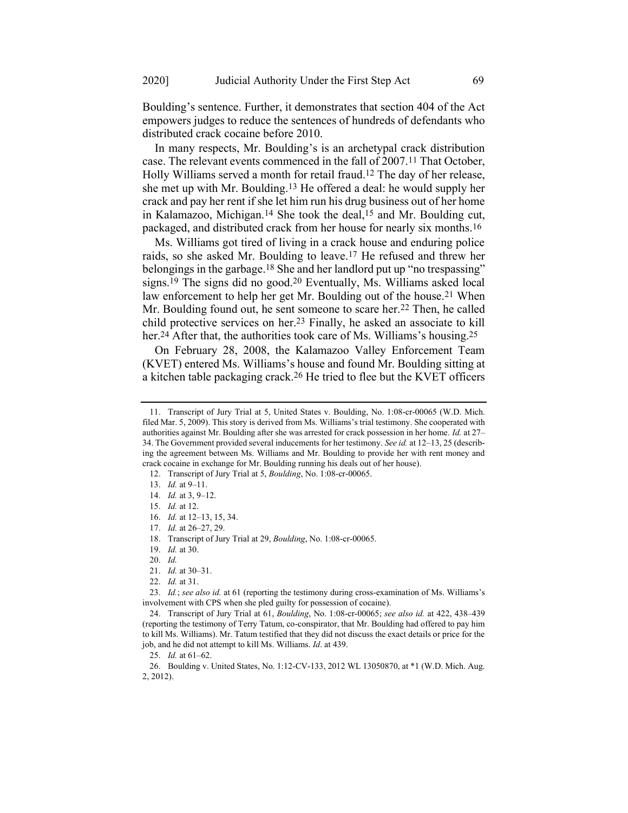Boulding's sentence. Further, it demonstrates that section 404 of the Act empowers judges to reduce the sentences of hundreds of defendants who distributed crack cocaine before 2010.

In many respects, Mr. Boulding's is an archetypal crack distribution case. The relevant events commenced in the fall of 2007.11 That October, Holly Williams served a month for retail fraud.12 The day of her release, she met up with Mr. Boulding.13 He offered a deal: he would supply her crack and pay her rent if she let him run his drug business out of her home in Kalamazoo, Michigan.14 She took the deal,15 and Mr. Boulding cut, packaged, and distributed crack from her house for nearly six months.16

Ms. Williams got tired of living in a crack house and enduring police raids, so she asked Mr. Boulding to leave.17 He refused and threw her belongings in the garbage.18 She and her landlord put up "no trespassing" signs.19 The signs did no good.20 Eventually, Ms. Williams asked local law enforcement to help her get Mr. Boulding out of the house.<sup>21</sup> When Mr. Boulding found out, he sent someone to scare her.22 Then, he called child protective services on her.23 Finally, he asked an associate to kill her.<sup>24</sup> After that, the authorities took care of Ms. Williams's housing.<sup>25</sup>

On February 28, 2008, the Kalamazoo Valley Enforcement Team (KVET) entered Ms. Williams's house and found Mr. Boulding sitting at a kitchen table packaging crack.26 He tried to flee but the KVET officers

<sup>11.</sup> Transcript of Jury Trial at 5, United States v. Boulding, No. 1:08-cr-00065 (W.D. Mich. filed Mar. 5, 2009). This story is derived from Ms. Williams's trial testimony. She cooperated with authorities against Mr. Boulding after she was arrested for crack possession in her home. *Id.* at 27– 34. The Government provided several inducements for her testimony. *See id.* at 12–13, 25 (describing the agreement between Ms. Williams and Mr. Boulding to provide her with rent money and crack cocaine in exchange for Mr. Boulding running his deals out of her house).

<sup>12.</sup> Transcript of Jury Trial at 5, *Boulding*, No. 1:08-cr-00065.

<sup>13.</sup> *Id.* at 9–11.

<sup>14.</sup> *Id.* at 3, 9–12.

<sup>15.</sup> *Id.* at 12.

<sup>16.</sup> *Id.* at 12–13, 15, 34.

<sup>17.</sup> *Id.* at 26–27, 29.

<sup>18.</sup> Transcript of Jury Trial at 29, *Boulding*, No. 1:08-cr-00065.

<sup>19.</sup> *Id.* at 30.

<sup>20.</sup> *Id.*

<sup>21.</sup> *Id.* at 30–31.

<sup>22.</sup> *Id.* at 31.

<sup>23.</sup> *Id.*; *see also id.* at 61 (reporting the testimony during cross-examination of Ms. Williams's involvement with CPS when she pled guilty for possession of cocaine).

<sup>24.</sup> Transcript of Jury Trial at 61, *Boulding*, No. 1:08-cr-00065; *see also id.* at 422, 438–439 (reporting the testimony of Terry Tatum, co-conspirator, that Mr. Boulding had offered to pay him to kill Ms. Williams). Mr. Tatum testified that they did not discuss the exact details or price for the job, and he did not attempt to kill Ms. Williams. *Id*. at 439.

<sup>25.</sup> *Id.* at 61–62.

<sup>26.</sup> Boulding v. United States, No. 1:12-CV-133, 2012 WL 13050870, at \*1 (W.D. Mich. Aug. 2, 2012).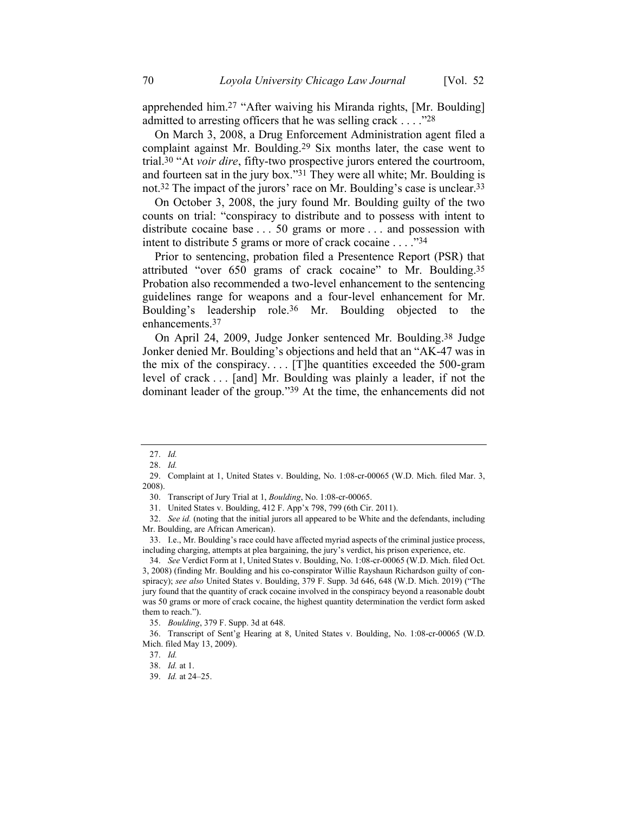apprehended him.27 "After waiving his Miranda rights, [Mr. Boulding] admitted to arresting officers that he was selling crack  $\dots$  ."28

On March 3, 2008, a Drug Enforcement Administration agent filed a complaint against Mr. Boulding.29 Six months later, the case went to trial.30 "At *voir dire*, fifty-two prospective jurors entered the courtroom, and fourteen sat in the jury box."31 They were all white; Mr. Boulding is not.32 The impact of the jurors' race on Mr. Boulding's case is unclear.33

On October 3, 2008, the jury found Mr. Boulding guilty of the two counts on trial: "conspiracy to distribute and to possess with intent to distribute cocaine base . . . 50 grams or more . . . and possession with intent to distribute 5 grams or more of crack cocaine . . . ."34

Prior to sentencing, probation filed a Presentence Report (PSR) that attributed "over 650 grams of crack cocaine" to Mr. Boulding.35 Probation also recommended a two-level enhancement to the sentencing guidelines range for weapons and a four-level enhancement for Mr. Boulding's leadership role.36 Mr. Boulding objected to the enhancements.37

On April 24, 2009, Judge Jonker sentenced Mr. Boulding. 38 Judge Jonker denied Mr. Boulding's objections and held that an "AK-47 was in the mix of the conspiracy.... [T]he quantities exceeded the  $500$ -gram level of crack . . . [and] Mr. Boulding was plainly a leader, if not the dominant leader of the group."39 At the time, the enhancements did not

31. United States v. Boulding, 412 F. App'x 798, 799 (6th Cir. 2011).

32. *See id.* (noting that the initial jurors all appeared to be White and the defendants, including Mr. Boulding, are African American).

33. I.e., Mr. Boulding's race could have affected myriad aspects of the criminal justice process, including charging, attempts at plea bargaining, the jury's verdict, his prison experience, etc.

34. *See* Verdict Form at 1, United States v. Boulding, No. 1:08-cr-00065 (W.D. Mich. filed Oct. 3, 2008) (finding Mr. Boulding and his co-conspirator Willie Rayshaun Richardson guilty of conspiracy); *see also* United States v. Boulding, 379 F. Supp. 3d 646, 648 (W.D. Mich. 2019) ("The jury found that the quantity of crack cocaine involved in the conspiracy beyond a reasonable doubt was 50 grams or more of crack cocaine, the highest quantity determination the verdict form asked them to reach.").

35. *Boulding*, 379 F. Supp. 3d at 648.

36. Transcript of Sent'g Hearing at 8, United States v. Boulding, No. 1:08-cr-00065 (W.D. Mich. filed May 13, 2009).

<sup>27.</sup> *Id.*

<sup>28.</sup> *Id.*

<sup>29.</sup> Complaint at 1, United States v. Boulding, No. 1:08-cr-00065 (W.D. Mich. filed Mar. 3, 2008).

<sup>30.</sup> Transcript of Jury Trial at 1, *Boulding*, No. 1:08-cr-00065.

<sup>37.</sup> *Id.*

<sup>38.</sup> *Id.* at 1.

<sup>39.</sup> *Id.* at 24–25.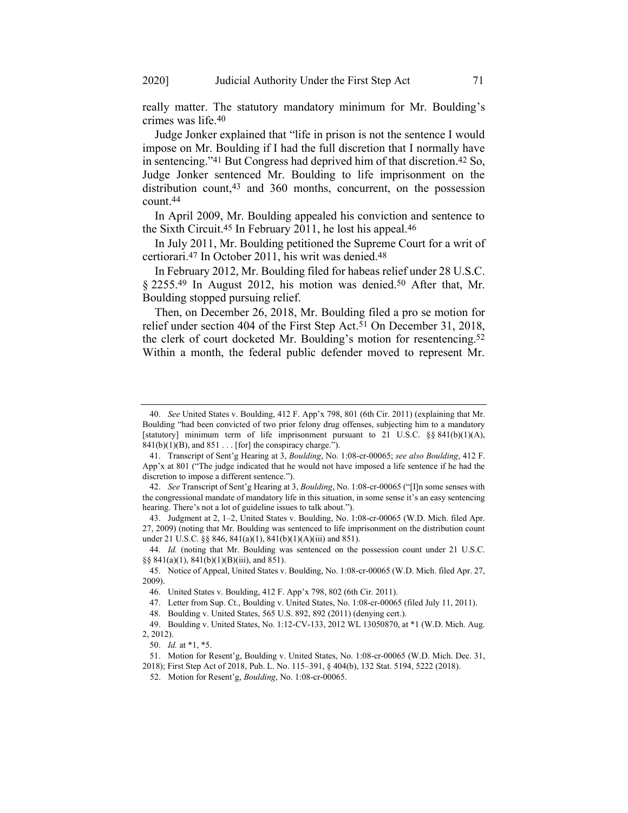really matter. The statutory mandatory minimum for Mr. Boulding's crimes was life.40

Judge Jonker explained that "life in prison is not the sentence I would impose on Mr. Boulding if I had the full discretion that I normally have in sentencing."41 But Congress had deprived him of that discretion.42 So, Judge Jonker sentenced Mr. Boulding to life imprisonment on the distribution count,43 and 360 months, concurrent, on the possession count.44

In April 2009, Mr. Boulding appealed his conviction and sentence to the Sixth Circuit.45 In February 2011, he lost his appeal.46

In July 2011, Mr. Boulding petitioned the Supreme Court for a writ of certiorari. 47 In October 2011, his writ was denied.48

In February 2012, Mr. Boulding filed for habeas relief under 28 U.S.C. § 2255.49 In August 2012, his motion was denied.50 After that, Mr. Boulding stopped pursuing relief.

Then, on December 26, 2018, Mr. Boulding filed a pro se motion for relief under section 404 of the First Step Act.<sup>51</sup> On December 31, 2018, the clerk of court docketed Mr. Boulding's motion for resentencing.<sup>52</sup> Within a month, the federal public defender moved to represent Mr.

43. Judgment at 2, 1–2, United States v. Boulding, No. 1:08-cr-00065 (W.D. Mich. filed Apr. 27, 2009) (noting that Mr. Boulding was sentenced to life imprisonment on the distribution count under 21 U.S.C. §§ 846, 841(a)(1), 841(b)(1)(A)(iii) and 851).

44. *Id.* (noting that Mr. Boulding was sentenced on the possession count under 21 U.S.C.  $\S\S 841(a)(1), 841(b)(1)(B)(iii)$ , and 851).

45. Notice of Appeal, United States v. Boulding, No. 1:08-cr-00065 (W.D. Mich. filed Apr. 27, 2009).

48. Boulding v. United States, 565 U.S. 892, 892 (2011) (denying cert.).

<sup>40.</sup> *See* United States v. Boulding, 412 F. App'x 798, 801 (6th Cir. 2011) (explaining that Mr. Boulding "had been convicted of two prior felony drug offenses, subjecting him to a mandatory [statutory] minimum term of life imprisonment pursuant to 21 U.S.C. §§ 841(b)(1)(A),  $841(b)(1)(B)$ , and  $851...$  [for] the conspiracy charge.").

<sup>41.</sup> Transcript of Sent'g Hearing at 3, *Boulding*, No. 1:08-cr-00065; *see also Boulding*, 412 F. App'x at 801 ("The judge indicated that he would not have imposed a life sentence if he had the discretion to impose a different sentence.").

<sup>42.</sup> *See* Transcript of Sent'g Hearing at 3, *Boulding*, No. 1:08-cr-00065 ("[I]n some senses with the congressional mandate of mandatory life in this situation, in some sense it's an easy sentencing hearing. There's not a lot of guideline issues to talk about.").

<sup>46.</sup> United States v. Boulding, 412 F. App'x 798, 802 (6th Cir. 2011).

<sup>47.</sup> Letter from Sup. Ct., Boulding v. United States, No. 1:08-cr-00065 (filed July 11, 2011).

<sup>49.</sup> Boulding v. United States, No. 1:12-CV-133, 2012 WL 13050870, at \*1 (W.D. Mich. Aug. 2, 2012).

<sup>50.</sup> *Id.* at \*1, \*5.

<sup>51.</sup> Motion for Resent'g, Boulding v. United States, No. 1:08-cr-00065 (W.D. Mich. Dec. 31, 2018); First Step Act of 2018, Pub. L. No. 115–391, § 404(b), 132 Stat. 5194, 5222 (2018).

<sup>52.</sup> Motion for Resent'g, *Boulding*, No. 1:08-cr-00065.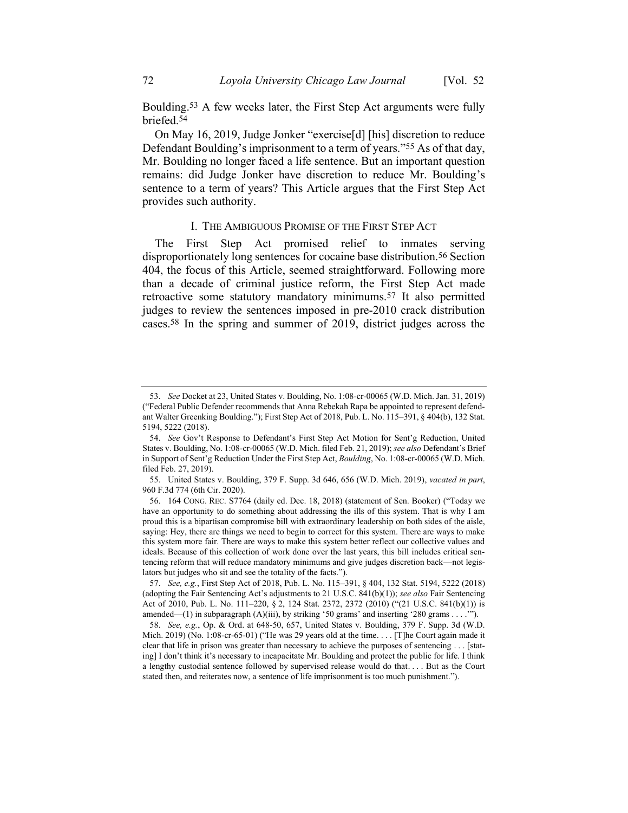Boulding.53 A few weeks later, the First Step Act arguments were fully briefed.54

On May 16, 2019, Judge Jonker "exercise[d] [his] discretion to reduce Defendant Boulding's imprisonment to a term of years."55 As of that day, Mr. Boulding no longer faced a life sentence. But an important question remains: did Judge Jonker have discretion to reduce Mr. Boulding's sentence to a term of years? This Article argues that the First Step Act provides such authority.

#### I. THE AMBIGUOUS PROMISE OF THE FIRST STEP ACT

The First Step Act promised relief to inmates serving disproportionately long sentences for cocaine base distribution.<sup>56</sup> Section 404, the focus of this Article, seemed straightforward. Following more than a decade of criminal justice reform, the First Step Act made retroactive some statutory mandatory minimums.57 It also permitted judges to review the sentences imposed in pre-2010 crack distribution cases.58 In the spring and summer of 2019, district judges across the

<sup>53.</sup> *See* Docket at 23, United States v. Boulding, No. 1:08-cr-00065 (W.D. Mich. Jan. 31, 2019) ("Federal Public Defender recommends that Anna Rebekah Rapa be appointed to represent defendant Walter Greenking Boulding."); First Step Act of 2018, Pub. L. No. 115–391, § 404(b), 132 Stat. 5194, 5222 (2018).

<sup>54.</sup> *See* Gov't Response to Defendant's First Step Act Motion for Sent'g Reduction, United States v. Boulding, No. 1:08-cr-00065 (W.D. Mich. filed Feb. 21, 2019); *see also* Defendant's Brief in Support of Sent'g Reduction Under the First Step Act, *Boulding*, No. 1:08-cr-00065 (W.D. Mich. filed Feb. 27, 2019).

<sup>55.</sup> United States v. Boulding, 379 F. Supp. 3d 646, 656 (W.D. Mich. 2019), *vacated in part*, 960 F.3d 774 (6th Cir. 2020).

<sup>56.</sup> 164 CONG. REC. S7764 (daily ed. Dec. 18, 2018) (statement of Sen. Booker) ("Today we have an opportunity to do something about addressing the ills of this system. That is why I am proud this is a bipartisan compromise bill with extraordinary leadership on both sides of the aisle, saying: Hey, there are things we need to begin to correct for this system. There are ways to make this system more fair. There are ways to make this system better reflect our collective values and ideals. Because of this collection of work done over the last years, this bill includes critical sentencing reform that will reduce mandatory minimums and give judges discretion back—not legislators but judges who sit and see the totality of the facts.").

<sup>57.</sup> *See, e.g.*, First Step Act of 2018, Pub. L. No. 115–391, § 404, 132 Stat. 5194, 5222 (2018) (adopting the Fair Sentencing Act's adjustments to 21 U.S.C. 841(b)(1)); *see also* Fair Sentencing Act of 2010, Pub. L. No. 111–220, § 2, 124 Stat. 2372, 2372 (2010) ("(21 U.S.C. 841(b)(1)) is amended—(1) in subparagraph (A)(iii), by striking '50 grams' and inserting '280 grams . . . .'").

<sup>58.</sup> *See, e.g.*, Op. & Ord. at 648-50, 657, United States v. Boulding, 379 F. Supp. 3d (W.D. Mich. 2019) (No. 1:08-cr-65-01) ("He was 29 years old at the time. . . . [T]he Court again made it clear that life in prison was greater than necessary to achieve the purposes of sentencing . . . [stating] I don't think it's necessary to incapacitate Mr. Boulding and protect the public for life. I think a lengthy custodial sentence followed by supervised release would do that. . . . But as the Court stated then, and reiterates now, a sentence of life imprisonment is too much punishment.").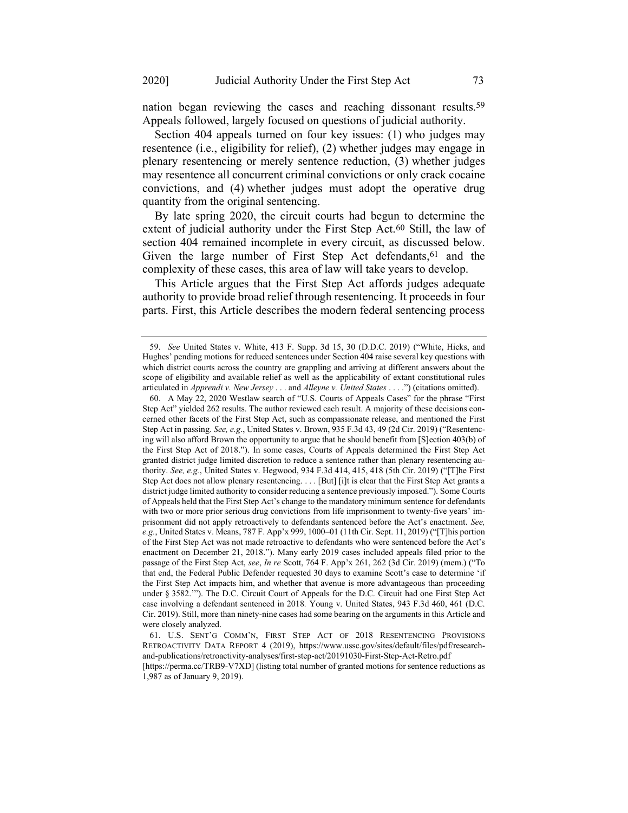nation began reviewing the cases and reaching dissonant results.59 Appeals followed, largely focused on questions of judicial authority.

Section 404 appeals turned on four key issues: (1) who judges may resentence (i.e., eligibility for relief), (2) whether judges may engage in plenary resentencing or merely sentence reduction, (3) whether judges may resentence all concurrent criminal convictions or only crack cocaine convictions, and (4) whether judges must adopt the operative drug quantity from the original sentencing.

By late spring 2020, the circuit courts had begun to determine the extent of judicial authority under the First Step Act.<sup>60</sup> Still, the law of section 404 remained incomplete in every circuit, as discussed below. Given the large number of First Step Act defendants, 61 and the complexity of these cases, this area of law will take years to develop.

This Article argues that the First Step Act affords judges adequate authority to provide broad relief through resentencing. It proceeds in four parts. First, this Article describes the modern federal sentencing process

<sup>59.</sup> *See* United States v. White, 413 F. Supp. 3d 15, 30 (D.D.C. 2019) ("White, Hicks, and Hughes' pending motions for reduced sentences under Section 404 raise several key questions with which district courts across the country are grappling and arriving at different answers about the scope of eligibility and available relief as well as the applicability of extant constitutional rules articulated in *Apprendi v. New Jersey* . . . and *Alleyne v. United States* . . . .") (citations omitted).

<sup>60.</sup> A May 22, 2020 Westlaw search of "U.S. Courts of Appeals Cases" for the phrase "First Step Act" yielded 262 results. The author reviewed each result. A majority of these decisions concerned other facets of the First Step Act, such as compassionate release, and mentioned the First Step Act in passing. *See, e.g*., United States v. Brown, 935 F.3d 43, 49 (2d Cir. 2019) ("Resentencing will also afford Brown the opportunity to argue that he should benefit from [S]ection 403(b) of the First Step Act of 2018."). In some cases, Courts of Appeals determined the First Step Act granted district judge limited discretion to reduce a sentence rather than plenary resentencing authority. *See, e.g.*, United States v. Hegwood, 934 F.3d 414, 415, 418 (5th Cir. 2019) ("[T]he First Step Act does not allow plenary resentencing. . . . [But] [i]t is clear that the First Step Act grants a district judge limited authority to consider reducing a sentence previously imposed."). Some Courts of Appeals held that the First Step Act's change to the mandatory minimum sentence for defendants with two or more prior serious drug convictions from life imprisonment to twenty-five years' imprisonment did not apply retroactively to defendants sentenced before the Act's enactment. *See, e.g.*, United States v. Means, 787 F. App'x 999, 1000–01 (11th Cir. Sept. 11, 2019) ("[T]his portion of the First Step Act was not made retroactive to defendants who were sentenced before the Act's enactment on December 21, 2018."). Many early 2019 cases included appeals filed prior to the passage of the First Step Act, *see*, *In re* Scott, 764 F. App'x 261, 262 (3d Cir. 2019) (mem.) ("To that end, the Federal Public Defender requested 30 days to examine Scott's case to determine 'if the First Step Act impacts him, and whether that avenue is more advantageous than proceeding under § 3582.'"). The D.C. Circuit Court of Appeals for the D.C. Circuit had one First Step Act case involving a defendant sentenced in 2018*.* Young v. United States, 943 F.3d 460, 461 (D.C. Cir. 2019). Still, more than ninety-nine cases had some bearing on the arguments in this Article and were closely analyzed.

<sup>61.</sup> U.S. SENT'G COMM'N, FIRST STEP ACT OF 2018 RESENTENCING PROVISIONS RETROACTIVITY DATA REPORT 4 (2019), [https://www.ussc.gov/sites/default/files/pdf/research](https://www.ussc.gov/sites/default/files/pdf/research-and-publications/retroactivity-analyses/first-step-act/20191030-First-Step-Act-Retro.pdf)[and-publications/retroactivity-analyses/first-step-act/20191030-First-Step-Act-Retro.pdf](https://www.ussc.gov/sites/default/files/pdf/research-and-publications/retroactivity-analyses/first-step-act/20191030-First-Step-Act-Retro.pdf)

<sup>[</sup>https://perma.cc/TRB9-V7XD] (listing total number of granted motions for sentence reductions as 1,987 as of January 9, 2019).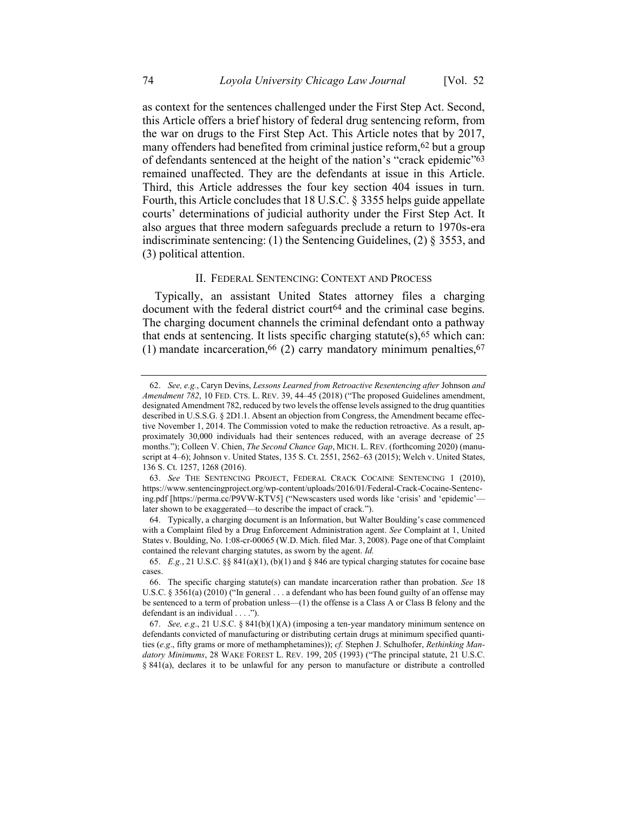as context for the sentences challenged under the First Step Act. Second, this Article offers a brief history of federal drug sentencing reform, from the war on drugs to the First Step Act. This Article notes that by 2017, many offenders had benefited from criminal justice reform, 62 but a group of defendants sentenced at the height of the nation's "crack epidemic"63 remained unaffected. They are the defendants at issue in this Article. Third, this Article addresses the four key section 404 issues in turn. Fourth, this Article concludes that 18 U.S.C. § 3355 helps guide appellate courts' determinations of judicial authority under the First Step Act. It also argues that three modern safeguards preclude a return to 1970s-era indiscriminate sentencing: (1) the Sentencing Guidelines, (2) § 3553, and (3) political attention.

#### <span id="page-8-0"></span>II. FEDERAL SENTENCING: CONTEXT AND PROCESS

Typically, an assistant United States attorney files a charging document with the federal district court<sup>64</sup> and the criminal case begins. The charging document channels the criminal defendant onto a pathway that ends at sentencing. It lists specific charging statute(s),  $65$  which can: (1) mandate incarceration,  $66$  (2) carry mandatory minimum penalties,  $67$ 

<sup>62.</sup> *See, e.g.*, Caryn Devins, *Lessons Learned from Retroactive Resentencing after* Johnson *and Amendment 782*, 10 FED. CTS. L. REV. 39, 44–45 (2018) ("The proposed Guidelines amendment, designated Amendment 782, reduced by two levels the offense levels assigned to the drug quantities described in U.S.S.G. § 2D1.1. Absent an objection from Congress, the Amendment became effective November 1, 2014. The Commission voted to make the reduction retroactive. As a result, approximately 30,000 individuals had their sentences reduced, with an average decrease of 25 months."); Colleen V. Chien, *The Second Chance Gap*, MICH. L. REV. (forthcoming 2020) (manuscript at 4–6); Johnson v. United States, 135 S. Ct. 2551, 2562–63 (2015); Welch v. United States, 136 S. Ct. 1257, 1268 (2016).

<sup>63.</sup> *See* THE SENTENCING PROJECT, FEDERAL CRACK COCAINE SENTENCING 1 (2010), https://www.sentencingproject.org/wp-content/uploads/2016/01/Federal-Crack-Cocaine-Sentencing.pdf [https://perma.cc/P9VW-KTV5] ("Newscasters used words like 'crisis' and 'epidemic' later shown to be exaggerated—to describe the impact of crack.").

<sup>64.</sup> Typically, a charging document is an Information, but Walter Boulding's case commenced with a Complaint filed by a Drug Enforcement Administration agent. *See* Complaint at 1, United States v. Boulding, No. 1:08-cr-00065 (W.D. Mich. filed Mar. 3, 2008). Page one of that Complaint contained the relevant charging statutes, as sworn by the agent. *Id.*

<sup>65.</sup> *E.g.*, 21 U.S.C. §§ 841(a)(1), (b)(1) and § 846 are typical charging statutes for cocaine base cases.

<sup>66.</sup> The specific charging statute(s) can mandate incarceration rather than probation. *See* 18 U.S.C. § 3561(a) (2010) ("In general . . . a defendant who has been found guilty of an offense may be sentenced to a term of probation unless—(1) the offense is a Class A or Class B felony and the defendant is an individual . . . .").

<sup>67.</sup> *See, e.g*., 21 U.S.C. § 841(b)(1)(A) (imposing a ten-year mandatory minimum sentence on defendants convicted of manufacturing or distributing certain drugs at minimum specified quantities (*e.g*., fifty grams or more of methamphetamines)); *cf.* Stephen J. Schulhofer, *Rethinking Mandatory Minimums*, 28 WAKE FOREST L. REV. 199, 205 (1993) ("The principal statute, 21 U.S.C. § 841(a), declares it to be unlawful for any person to manufacture or distribute a controlled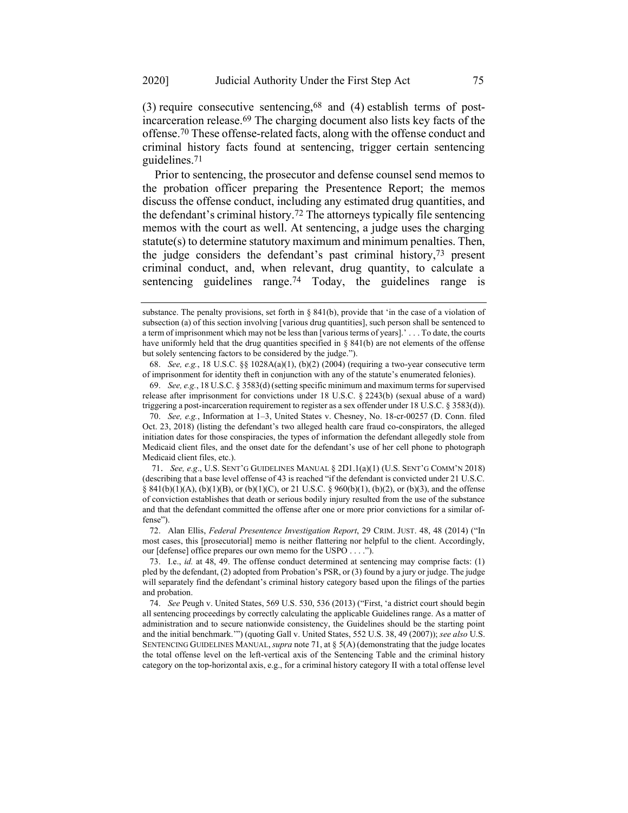(3) require consecutive sentencing,  $68$  and (4) establish terms of postincarceration release.69 The charging document also lists key facts of the offense. 70 These offense-related facts, along with the offense conduct and criminal history facts found at sentencing, trigger certain sentencing guidelines.71

<span id="page-9-1"></span><span id="page-9-0"></span>Prior to sentencing, the prosecutor and defense counsel send memos to the probation officer preparing the Presentence Report; the memos discuss the offense conduct, including any estimated drug quantities, and the defendant's criminal history.72 The attorneys typically file sentencing memos with the court as well. At sentencing, a judge uses the charging statute(s) to determine statutory maximum and minimum penalties. Then, the judge considers the defendant's past criminal history,73 present criminal conduct, and, when relevant, drug quantity, to calculate a sentencing guidelines range.<sup>74</sup> Today, the guidelines range is

68. *See, e.g.*, 18 U.S.C. §§ 1028A(a)(1), (b)(2) (2004) (requiring a two-year consecutive term of imprisonment for identity theft in conjunction with any of the statute's enumerated felonies).

69. *See, e.g.*, 18 U.S.C. § 3583(d) (setting specific minimum and maximum terms for supervised release after imprisonment for convictions under 18 U.S.C. § 2243(b) (sexual abuse of a ward) triggering a post-incarceration requirement to register as a sex offender under 18 U.S.C. § 3583(d)).

70. *See, e.g.*, Information at 1–3, United States v. Chesney, No. 18-cr-00257 (D. Conn. filed Oct. 23, 2018) (listing the defendant's two alleged health care fraud co-conspirators, the alleged initiation dates for those conspiracies, the types of information the defendant allegedly stole from Medicaid client files, and the onset date for the defendant's use of her cell phone to photograph Medicaid client files, etc.).

71. *See, e.g*., U.S. SENT'<sup>G</sup> GUIDELINES MANUAL § 2D1.1(a)(1) (U.S. SENT'G COMM'<sup>N</sup> 2018) (describing that a base level offense of 43 is reached "if the defendant is convicted under 21 U.S.C. § 841(b)(1)(A), (b)(1)(B), or (b)(1)(C), or 21 U.S.C. § 960(b)(1), (b)(2), or (b)(3), and the offense of conviction establishes that death or serious bodily injury resulted from the use of the substance and that the defendant committed the offense after one or more prior convictions for a similar offense").

72. Alan Ellis, *Federal Presentence Investigation Report*, 29 CRIM. JUST. 48, 48 (2014) ("In most cases, this [prosecutorial] memo is neither flattering nor helpful to the client. Accordingly, our [defense] office prepares our own memo for the USPO . . . .").

substance. The penalty provisions, set forth in § 841(b), provide that 'in the case of a violation of subsection (a) of this section involving [various drug quantities], such person shall be sentenced to a term of imprisonment which may not be less than [various terms of years].' . . . To date, the courts have uniformly held that the drug quantities specified in § 841(b) are not elements of the offense but solely sentencing factors to be considered by the judge.").

<sup>73.</sup> I.e., *id.* at 48, 49. The offense conduct determined at sentencing may comprise facts: (1) pled by the defendant, (2) adopted from Probation's PSR, or (3) found by a jury or judge. The judge will separately find the defendant's criminal history category based upon the filings of the parties and probation.

<sup>74.</sup> *See* Peugh v. United States, 569 U.S. 530, 536 (2013) ("First, 'a district court should begin all sentencing proceedings by correctly calculating the applicable Guidelines range. As a matter of administration and to secure nationwide consistency, the Guidelines should be the starting point and the initial benchmark.'") (quoting Gall v. United States, 552 U.S. 38, 49 (2007)); *see also* U.S. SENTENCING GUIDELINES MANUAL, *supra* note [71,](#page-9-0) at § 5(A) (demonstrating that the judge locates the total offense level on the left-vertical axis of the Sentencing Table and the criminal history category on the top-horizontal axis, e.g., for a criminal history category II with a total offense level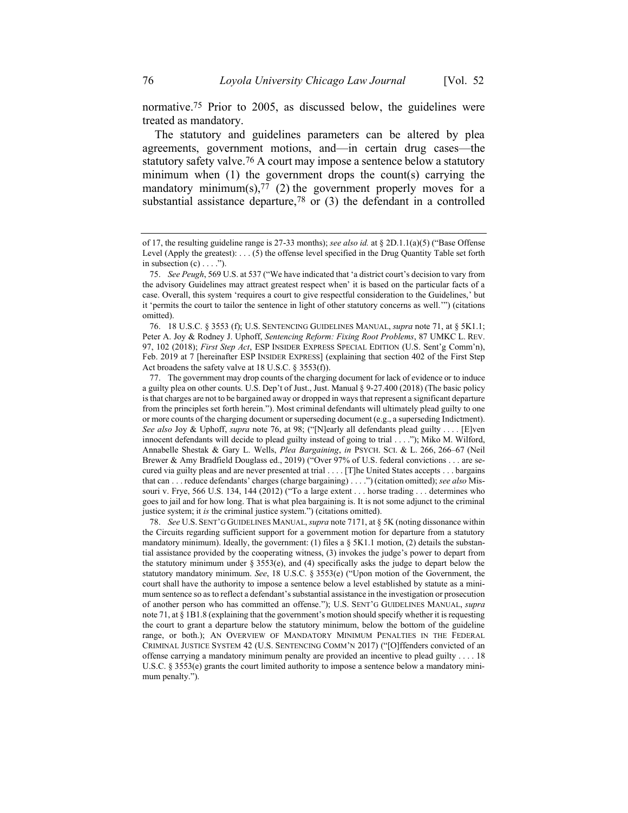normative.75 Prior to 2005, as discussed below, the guidelines were treated as mandatory.

<span id="page-10-0"></span>The statutory and guidelines parameters can be altered by plea agreements, government motions, and—in certain drug cases—the statutory safety valve.<sup>76</sup> A court may impose a sentence below a statutory minimum when (1) the government drops the count(s) carrying the mandatory minimum(s),  $77$  (2) the government properly moves for a substantial assistance departure,<sup>78</sup> or  $(3)$  the defendant in a controlled

78. *See* U.S. SENT'G GUIDELINES MANUAL,*supra* not[e 7171,](#page-9-0) at § 5K (noting dissonance within the Circuits regarding sufficient support for a government motion for departure from a statutory mandatory minimum). Ideally, the government: (1) files a  $\S$  5K1.1 motion, (2) details the substantial assistance provided by the cooperating witness, (3) invokes the judge's power to depart from the statutory minimum under  $\S 3553(e)$ , and (4) specifically asks the judge to depart below the statutory mandatory minimum. *See*, 18 U.S.C. § 3553(e) ("Upon motion of the Government, the court shall have the authority to impose a sentence below a level established by statute as a minimum sentence so as to reflect a defendant's substantial assistance in the investigation or prosecution of another person who has committed an offense."); U.S. SENT'G GUIDELINES MANUAL, *supra* not[e 71,](#page-9-0) at § 1B1.8 (explaining that the government's motion should specify whether it is requesting the court to grant a departure below the statutory minimum, below the bottom of the guideline range, or both.); AN OVERVIEW OF MANDATORY MINIMUM PENALTIES IN THE FEDERAL CRIMINAL JUSTICE SYSTEM 42 (U.S. SENTENCING COMM'N 2017) ("[O]ffenders convicted of an offense carrying a mandatory minimum penalty are provided an incentive to plead guilty . . . . 18 U.S.C. § 3553(e) grants the court limited authority to impose a sentence below a mandatory minimum penalty.").

of 17, the resulting guideline range is 27-33 months); *see also id.* at § 2D.1.1(a)(5) ("Base Offense Level (Apply the greatest): . . . (5) the offense level specified in the Drug Quantity Table set forth in subsection  $(c) \ldots$ .").

<sup>75.</sup> *See Peugh*, 569 U.S. at 537 ("We have indicated that 'a district court's decision to vary from the advisory Guidelines may attract greatest respect when' it is based on the particular facts of a case. Overall, this system 'requires a court to give respectful consideration to the Guidelines,' but it 'permits the court to tailor the sentence in light of other statutory concerns as well.'") (citations omitted).

<sup>76.</sup> 18 U.S.C. § 3553 (f); U.S. SENTENCING GUIDELINES MANUAL, *supra* note [71,](#page-9-0) at § 5K1.1; Peter A. Joy & Rodney J. Uphoff, *Sentencing Reform: Fixing Root Problems*, 87 UMKC L. REV. 97, 102 (2018); *First Step Act*, ESP INSIDER EXPRESS SPECIAL EDITION (U.S. Sent'g Comm'n), Feb. 2019 at 7 [hereinafter ESP INSIDER EXPRESS] (explaining that section 402 of the First Step Act broadens the safety valve at 18 U.S.C. § 3553(f)).

<sup>77.</sup> The government may drop counts of the charging document for lack of evidence or to induce a guilty plea on other counts. U.S. Dep't of Just., Just. Manual § 9-27.400 (2018) (The basic policy is that charges are not to be bargained away or dropped in ways that represent a significant departure from the principles set forth herein."). Most criminal defendants will ultimately plead guilty to one or more counts of the charging document or superseding document (e.g., a superseding Indictment). *See also* Joy & Uphoff, *supra* note [76,](#page-10-0) at 98; ("[N]early all defendants plead guilty . . . . [E]ven innocent defendants will decide to plead guilty instead of going to trial . . . ."); Miko M. Wilford, Annabelle Shestak & Gary L. Wells, *Plea Bargaining*, *in* PSYCH. SCI. & L. 266, 266–67 (Neil Brewer & Amy Bradfield Douglass ed., 2019) ("Over 97% of U.S. federal convictions . . . are secured via guilty pleas and are never presented at trial . . . . [T]he United States accepts . . . bargains that can . . . reduce defendants' charges (charge bargaining) . . . .") (citation omitted); *see also* Missouri v. Frye, 566 U.S. 134, 144 (2012) ("To a large extent . . . horse trading . . . determines who goes to jail and for how long. That is what plea bargaining is. It is not some adjunct to the criminal justice system; it *is* the criminal justice system.") (citations omitted).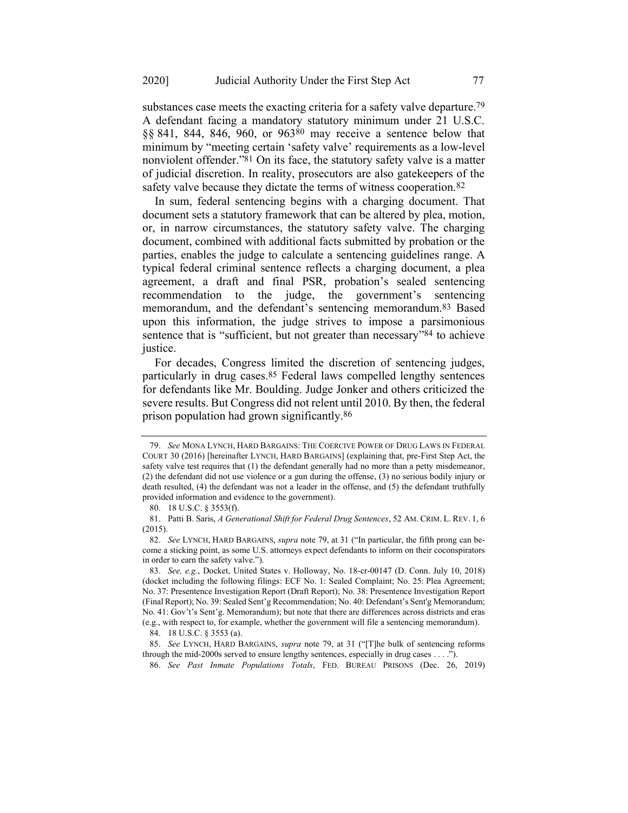substances case meets the exacting criteria for a safety valve departure.<sup>79</sup> A defendant facing a mandatory statutory minimum under 21 U.S.C. §§ 841, 844, 846, 960, or 96380 may receive a sentence below that minimum by "meeting certain 'safety valve' requirements as a low-level nonviolent offender."81 On its face, the statutory safety valve is a matter of judicial discretion. In reality, prosecutors are also gatekeepers of the safety valve because they dictate the terms of witness cooperation.<sup>82</sup>

In sum, federal sentencing begins with a charging document. That document sets a statutory framework that can be altered by plea, motion, or, in narrow circumstances, the statutory safety valve. The charging document, combined with additional facts submitted by probation or the parties, enables the judge to calculate a sentencing guidelines range. A typical federal criminal sentence reflects a charging document, a plea agreement, a draft and final PSR, probation's sealed sentencing recommendation to the judge, the government's sentencing memorandum, and the defendant's sentencing memorandum.83 Based upon this information, the judge strives to impose a parsimonious sentence that is "sufficient, but not greater than necessary"<sup>84</sup> to achieve justice.

For decades, Congress limited the discretion of sentencing judges, particularly in drug cases.85 Federal laws compelled lengthy sentences for defendants like Mr. Boulding. Judge Jonker and others criticized the severe results. But Congress did not relent until 2010. By then, the federal prison population had grown significantly.86

84. 18 U.S.C. § 3553 (a).

<span id="page-11-0"></span>

<span id="page-11-1"></span><sup>79.</sup> *See* MONA LYNCH, HARD BARGAINS: THE COERCIVE POWER OF DRUG LAWS IN FEDERAL COURT 30 (2016) [hereinafter LYNCH, HARD BARGAINS] (explaining that, pre-First Step Act, the safety valve test requires that (1) the defendant generally had no more than a petty misdemeanor, (2) the defendant did not use violence or a gun during the offense, (3) no serious bodily injury or death resulted, (4) the defendant was not a leader in the offense, and (5) the defendant truthfully provided information and evidence to the government).

<sup>80.</sup> 18 U.S.C. § 3553(f).

<sup>81.</sup> Patti B. Saris, *A Generational Shift for Federal Drug Sentences*, 52 AM. CRIM. L. REV. 1, 6 (2015).

<sup>82.</sup> *See* LYNCH, HARD BARGAINS, *supra* note [79,](#page-11-0) at 31 ("In particular, the fifth prong can become a sticking point, as some U.S. attorneys expect defendants to inform on their coconspirators in order to earn the safety valve.").

<sup>83.</sup> *See, e.g.*, Docket, United States v. Holloway, No. 18-cr-00147 (D. Conn. July 10, 2018) (docket including the following filings: ECF No. 1: Sealed Complaint; No. 25: Plea Agreement; No. 37: Presentence Investigation Report (Draft Report); No. 38: Presentence Investigation Report (Final Report); No. 39: Sealed Sent'g Recommendation; No. 40: Defendant's Sent'g Memorandum; No. 41: Gov't's Sent'g. Memorandum); but note that there are differences across districts and eras (e.g., with respect to, for example, whether the government will file a sentencing memorandum).

<sup>85.</sup> *See* LYNCH, HARD BARGAINS, *supra* note [79,](#page-11-0) at 31 ("[T]he bulk of sentencing reforms through the mid-2000s served to ensure lengthy sentences, especially in drug cases . . . .").

<sup>86.</sup> *See Past Inmate Populations Totals*, FED. BUREAU PRISONS (Dec. 26, 2019)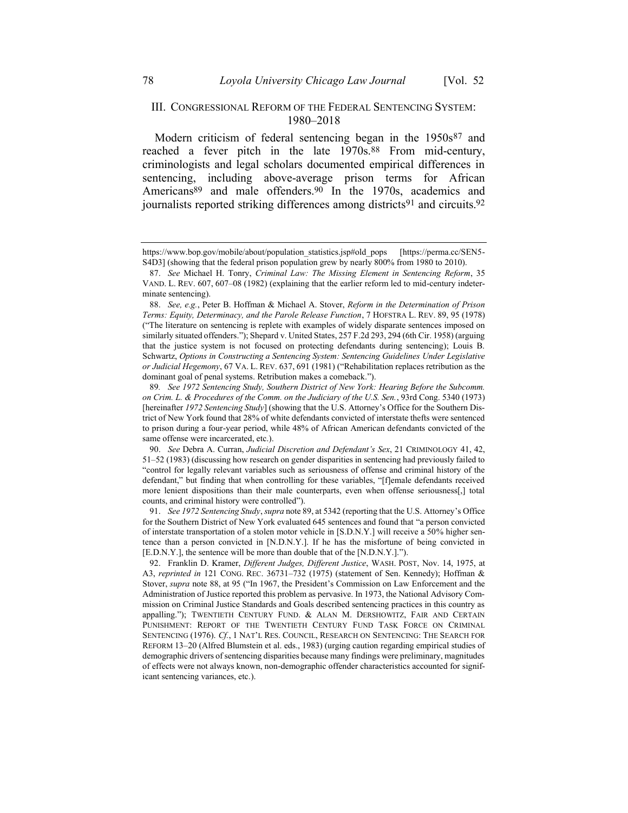#### <span id="page-12-3"></span><span id="page-12-1"></span>III. CONGRESSIONAL REFORM OF THE FEDERAL SENTENCING SYSTEM: 1980–2018

<span id="page-12-0"></span>Modern criticism of federal sentencing began in the 1950s<sup>87</sup> and reached a fever pitch in the late 1970s.<sup>88</sup> From mid-century, criminologists and legal scholars documented empirical differences in sentencing, including above-average prison terms for African Americans<sup>89</sup> and male offenders.<sup>90</sup> In the 1970s, academics and journalists reported striking differences among districts<sup>91</sup> and circuits.<sup>92</sup>

<span id="page-12-2"></span>https://www.bop.gov/mobile/about/population\_statistics.jsp#old\_pops [https://perma.cc/SEN5- S4D3] (showing that the federal prison population grew by nearly 800% from 1980 to 2010).

<sup>87.</sup> *See* Michael H. Tonry, *Criminal Law: The Missing Element in Sentencing Reform*, 35 VAND. L. REV. 607, 607–08 (1982) (explaining that the earlier reform led to mid-century indeterminate sentencing).

<sup>88.</sup> *See, e.g.*, Peter B. Hoffman & Michael A. Stover, *Reform in the Determination of Prison Terms: Equity, Determinacy, and the Parole Release Function*, 7 HOFSTRA L. REV. 89, 95 (1978) ("The literature on sentencing is replete with examples of widely disparate sentences imposed on similarly situated offenders."); Shepard v. United States, 257 F.2d 293, 294 (6th Cir. 1958) (arguing that the justice system is not focused on protecting defendants during sentencing); Louis B. Schwartz, *Options in Constructing a Sentencing System: Sentencing Guidelines Under Legislative or Judicial Hegemony*, 67 VA. L. REV. 637, 691 (1981) ("Rehabilitation replaces retribution as the dominant goal of penal systems. Retribution makes a comeback.").

<sup>89</sup>*. See 1972 Sentencing Study, Southern District of New York: Hearing Before the Subcomm. on Crim. L. & Procedures of the Comm. on the Judiciary of the U.S. Sen.*, 93rd Cong. 5340 (1973) [hereinafter *1972 Sentencing Study*] (showing that the U.S. Attorney's Office for the Southern District of New York found that 28% of white defendants convicted of interstate thefts were sentenced to prison during a four-year period, while 48% of African American defendants convicted of the same offense were incarcerated, etc.).

<sup>90.</sup> *See* Debra A. Curran, *Judicial Discretion and Defendant's Sex*, 21 CRIMINOLOGY 41, 42, 51–52 (1983) (discussing how research on gender disparities in sentencing had previously failed to "control for legally relevant variables such as seriousness of offense and criminal history of the defendant," but finding that when controlling for these variables, "[f]emale defendants received more lenient dispositions than their male counterparts, even when offense seriousness[,] total counts, and criminal history were controlled").

<sup>91.</sup> *See 1972 Sentencing Study*, *supra* note [89,](#page-12-0) at 5342 (reporting that the U.S. Attorney's Office for the Southern District of New York evaluated 645 sentences and found that "a person convicted of interstate transportation of a stolen motor vehicle in [S.D.N.Y.] will receive a 50% higher sentence than a person convicted in [N.D.N.Y.]. If he has the misfortune of being convicted in [E.D.N.Y.], the sentence will be more than double that of the [N.D.N.Y.].").

<sup>92.</sup> Franklin D. Kramer, *Different Judges, Different Justice*, WASH. POST, Nov. 14, 1975, at A3, *reprinted in* 121 CONG. REC. 36731–732 (1975) (statement of Sen. Kennedy); Hoffman & Stover, *supra* note [88,](#page-12-1) at 95 ("In 1967, the President's Commission on Law Enforcement and the Administration of Justice reported this problem as pervasive. In 1973, the National Advisory Commission on Criminal Justice Standards and Goals described sentencing practices in this country as appalling."); TWENTIETH CENTURY FUND. & ALAN M. DERSHOWITZ, FAIR AND CERTAIN PUNISHMENT: REPORT OF THE TWENTIETH CENTURY FUND TASK FORCE ON CRIMINAL SENTENCING (1976). *Cf.*, 1 NAT'L RES. COUNCIL, RESEARCH ON SENTENCING: THE SEARCH FOR REFORM 13–20 (Alfred Blumstein et al. eds., 1983) (urging caution regarding empirical studies of demographic drivers of sentencing disparities because many findings were preliminary, magnitudes of effects were not always known, non-demographic offender characteristics accounted for significant sentencing variances, etc.).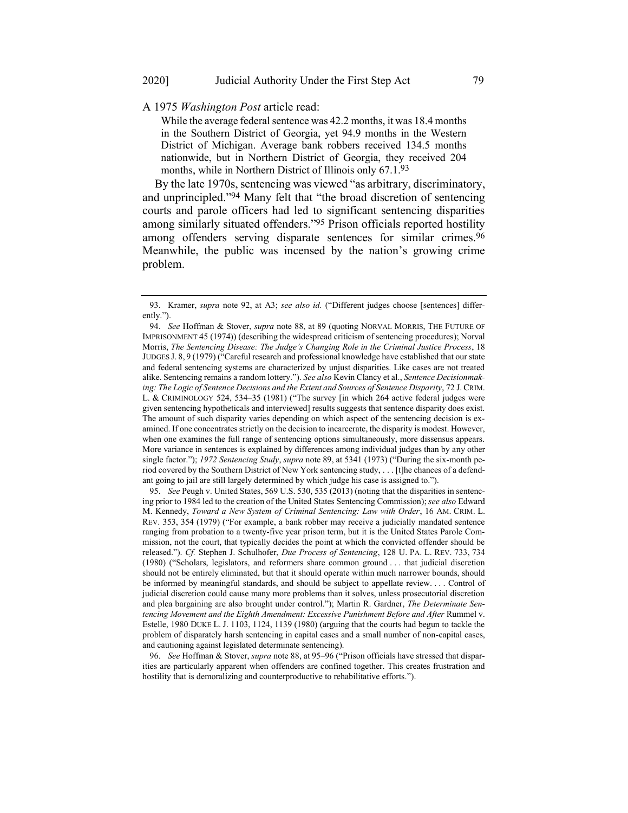A 1975 *Washington Post* article read:

While the average federal sentence was 42.2 months, it was 18.4 months in the Southern District of Georgia, yet 94.9 months in the Western District of Michigan. Average bank robbers received 134.5 months nationwide, but in Northern District of Georgia, they received 204 months, while in Northern District of Illinois only 67.1.93

<span id="page-13-1"></span><span id="page-13-0"></span>By the late 1970s, sentencing was viewed "as arbitrary, discriminatory, and unprincipled."94 Many felt that "the broad discretion of sentencing courts and parole officers had led to significant sentencing disparities among similarly situated offenders."95 Prison officials reported hostility among offenders serving disparate sentences for similar crimes.<sup>96</sup> Meanwhile, the public was incensed by the nation's growing crime problem.

95. *See* Peugh v. United States, 569 U.S. 530, 535 (2013) (noting that the disparities in sentencing prior to 1984 led to the creation of the United States Sentencing Commission); *see also* Edward M. Kennedy, *Toward a New System of Criminal Sentencing: Law with Order*, 16 AM. CRIM. L. REV. 353, 354 (1979) ("For example, a bank robber may receive a judicially mandated sentence ranging from probation to a twenty-five year prison term, but it is the United States Parole Commission, not the court, that typically decides the point at which the convicted offender should be released."). *Cf.* Stephen J. Schulhofer, *Due Process of Sentencing*, 128 U. PA. L. REV. 733, 734 (1980) ("Scholars, legislators, and reformers share common ground . . . that judicial discretion should not be entirely eliminated, but that it should operate within much narrower bounds, should be informed by meaningful standards, and should be subject to appellate review. . . . Control of judicial discretion could cause many more problems than it solves, unless prosecutorial discretion and plea bargaining are also brought under control."); Martin R. Gardner, *The Determinate Sen*tencing Movement and the Eighth Amendment: Excessive Punishment Before and After Rummel v. Estelle, 1980 DUKE L. J. 1103, 1124, 1139 (1980) (arguing that the courts had begun to tackle the problem of disparately harsh sentencing in capital cases and a small number of non-capital cases, and cautioning against legislated determinate sentencing).

96. *See* Hoffman & Stover, *supra* note [88,](#page-12-1) at 95–96 ("Prison officials have stressed that disparities are particularly apparent when offenders are confined together. This creates frustration and hostility that is demoralizing and counterproductive to rehabilitative efforts.").

<sup>93.</sup> Kramer, *supra* note [92,](#page-12-2) at A3; *see also id.* ("Different judges choose [sentences] differently.").

<sup>94.</sup> *See* Hoffman & Stover, *supra* note [88,](#page-12-1) at 89 (quoting NORVAL MORRIS, THE FUTURE OF IMPRISONMENT 45 (1974)) (describing the widespread criticism of sentencing procedures); Norval Morris, *The Sentencing Disease: The Judge's Changing Role in the Criminal Justice Process*, 18 JUDGES J. 8, 9 (1979) ("Careful research and professional knowledge have established that our state and federal sentencing systems are characterized by unjust disparities. Like cases are not treated alike. Sentencing remains a random lottery."). *See also* Kevin Clancy et al., *Sentence Decisionmaking: The Logic of Sentence Decisions and the Extent and Sources of Sentence Disparity*, 72 J. CRIM. L. & CRIMINOLOGY 524, 534–35 (1981) ("The survey [in which 264 active federal judges were given sentencing hypotheticals and interviewed] results suggests that sentence disparity does exist. The amount of such disparity varies depending on which aspect of the sentencing decision is examined. If one concentrates strictly on the decision to incarcerate, the disparity is modest. However, when one examines the full range of sentencing options simultaneously, more dissensus appears. More variance in sentences is explained by differences among individual judges than by any other single factor."); *1972 Sentencing Study*, *supra* note [89,](#page-12-0) at 5341 (1973) ("During the six-month period covered by the Southern District of New York sentencing study, . . . [t]he chances of a defendant going to jail are still largely determined by which judge his case is assigned to.").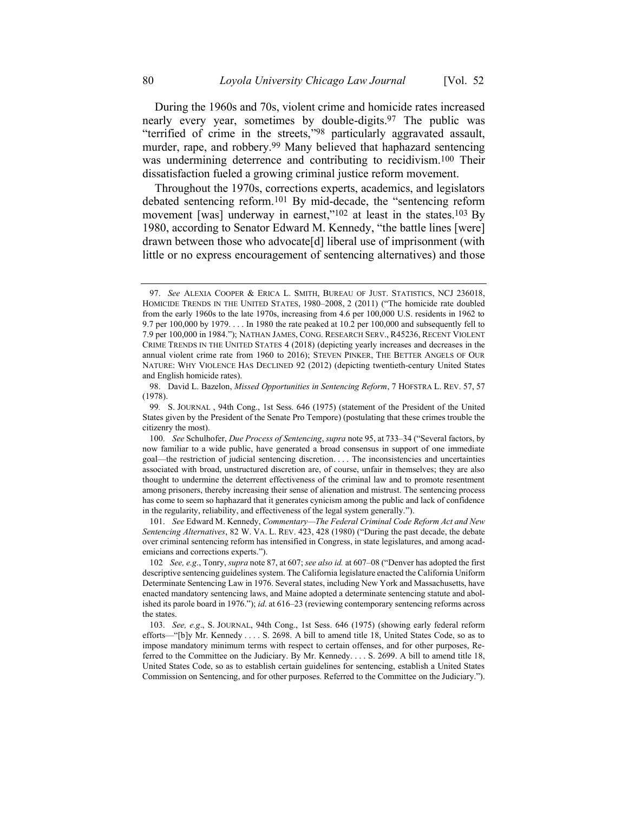During the 1960s and 70s, violent crime and homicide rates increased nearly every year, sometimes by double-digits.97 The public was "terrified of crime in the streets,"98 particularly aggravated assault, murder, rape, and robbery. 99 Many believed that haphazard sentencing was undermining deterrence and contributing to recidivism.100 Their dissatisfaction fueled a growing criminal justice reform movement.

Throughout the 1970s, corrections experts, academics, and legislators debated sentencing reform.101 By mid-decade, the "sentencing reform movement [was] underway in earnest,"<sup>102</sup> at least in the states.<sup>103</sup> By 1980, according to Senator Edward M. Kennedy, "the battle lines [were] drawn between those who advocate[d] liberal use of imprisonment (with little or no express encouragement of sentencing alternatives) and those

101. *See* Edward M. Kennedy, *Commentary—The Federal Criminal Code Reform Act and New Sentencing Alternatives*, 82 W. VA. L. REV. 423, 428 (1980) ("During the past decade, the debate over criminal sentencing reform has intensified in Congress, in state legislatures, and among academicians and corrections experts.").

<sup>97.</sup> *See* ALEXIA COOPER & ERICA L. SMITH, BUREAU OF JUST. STATISTICS, NCJ 236018, HOMICIDE TRENDS IN THE UNITED STATES, 1980–2008, 2 (2011) ("The homicide rate doubled from the early 1960s to the late 1970s, increasing from 4.6 per 100,000 U.S. residents in 1962 to 9.7 per  $100,000$  by  $1979...$  In 1980 the rate peaked at 10.2 per 100,000 and subsequently fell to 7.9 per 100,000 in 1984."); NATHAN JAMES, CONG. RESEARCH SERV., R45236, RECENT VIOLENT CRIME TRENDS IN THE UNITED STATES 4 (2018) (depicting yearly increases and decreases in the annual violent crime rate from 1960 to 2016); STEVEN PINKER, THE BETTER ANGELS OF OUR NATURE: WHY VIOLENCE HAS DECLINED 92 (2012) (depicting twentieth-century United States and English homicide rates).

<sup>98.</sup> David L. Bazelon, *Missed Opportunities in Sentencing Reform*, 7 HOFSTRA L. REV. 57, 57 (1978).

<sup>99</sup>*.* S. JOURNAL , 94th Cong., 1st Sess. 646 (1975) (statement of the President of the United States given by the President of the Senate Pro Tempore) (postulating that these crimes trouble the citizenry the most).

<sup>100.</sup> *See* Schulhofer, *Due Process of Sentencing*, *supra* note [95,](#page-13-0) at 733–34 ("Several factors, by now familiar to a wide public, have generated a broad consensus in support of one immediate goal—the restriction of judicial sentencing discretion. . . . The inconsistencies and uncertainties associated with broad, unstructured discretion are, of course, unfair in themselves; they are also thought to undermine the deterrent effectiveness of the criminal law and to promote resentment among prisoners, thereby increasing their sense of alienation and mistrust. The sentencing process has come to seem so haphazard that it generates cynicism among the public and lack of confidence in the regularity, reliability, and effectiveness of the legal system generally.").

<sup>102</sup> *See, e.g*., Tonry, *supra* not[e 87,](#page-12-3) at 607; *see also id.* at 607–08 ("Denver has adopted the first descriptive sentencing guidelines system. The California legislature enacted the California Uniform Determinate Sentencing Law in 1976. Several states, including New York and Massachusetts, have enacted mandatory sentencing laws, and Maine adopted a determinate sentencing statute and abolished its parole board in 1976."); *id*. at 616–23 (reviewing contemporary sentencing reforms across the states.

<sup>103.</sup> *See, e.g*., S. JOURNAL, 94th Cong., 1st Sess. 646 (1975) (showing early federal reform efforts—"[b]y Mr. Kennedy . . . . S. 2698. A bill to amend title 18, United States Code, so as to impose mandatory minimum terms with respect to certain offenses, and for other purposes, Referred to the Committee on the Judiciary. By Mr. Kennedy. . . . S. 2699. A bill to amend title 18, United States Code, so as to establish certain guidelines for sentencing, establish a United States Commission on Sentencing, and for other purposes. Referred to the Committee on the Judiciary.").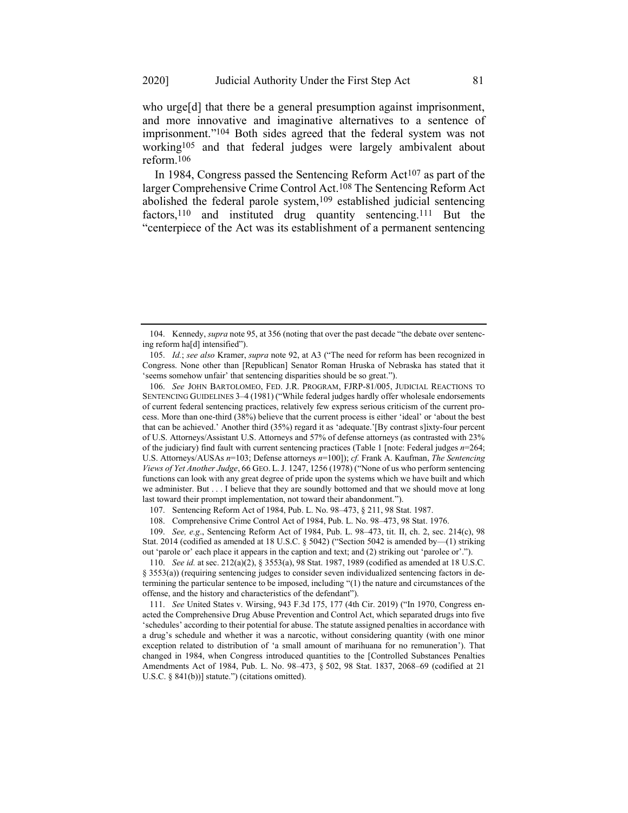who urge<sup>[d]</sup> that there be a general presumption against imprisonment, and more innovative and imaginative alternatives to a sentence of imprisonment."104 Both sides agreed that the federal system was not working105 and that federal judges were largely ambivalent about reform.106

In 1984, Congress passed the Sentencing Reform  $Act^{107}$  as part of the larger Comprehensive Crime Control Act.108 The Sentencing Reform Act abolished the federal parole system,<sup>109</sup> established judicial sentencing factors,<sup>110</sup> and instituted drug quantity sentencing.<sup>111</sup> But the "centerpiece of the Act was its establishment of a permanent sentencing

109. *See, e.g*., Sentencing Reform Act of 1984, Pub. L. 98–473, tit. II, ch. 2, sec. 214(c), 98 Stat. 2014 (codified as amended at 18 U.S.C. § 5042) ("Section 5042 is amended by—(1) striking out 'parole or' each place it appears in the caption and text; and (2) striking out 'parolee or'.").

110. *See id.* at sec. 212(a)(2), § 3553(a), 98 Stat. 1987, 1989 (codified as amended at 18 U.S.C. § 3553(a)) (requiring sentencing judges to consider seven individualized sentencing factors in determining the particular sentence to be imposed, including "(1) the nature and circumstances of the offense, and the history and characteristics of the defendant").

111. *See* United States v. Wirsing, 943 F.3d 175, 177 (4th Cir. 2019) ("In 1970, Congress enacted the Comprehensive Drug Abuse Prevention and Control Act, which separated drugs into five 'schedules' according to their potential for abuse. The statute assigned penalties in accordance with a drug's schedule and whether it was a narcotic, without considering quantity (with one minor exception related to distribution of 'a small amount of marihuana for no remuneration'). That changed in 1984, when Congress introduced quantities to the [Controlled Substances Penalties Amendments Act of 1984, Pub. L. No. 98–473, § 502, 98 Stat. 1837, 2068–69 (codified at 21 U.S.C. § 841(b))] statute.") (citations omitted).

<sup>104.</sup> Kennedy, *supra* note [95,](#page-13-0) at 356 (noting that over the past decade "the debate over sentencing reform ha[d] intensified").

<sup>105.</sup> *Id.*; *see also* Kramer, *supra* note [92,](#page-12-2) at A3 ("The need for reform has been recognized in Congress. None other than [Republican] Senator Roman Hruska of Nebraska has stated that it 'seems somehow unfair' that sentencing disparities should be so great.").

<sup>106.</sup> *See* JOHN BARTOLOMEO, FED. J.R. PROGRAM, FJRP-81/005, JUDICIAL REACTIONS TO SENTENCING GUIDELINES 3–4 (1981) ("While federal judges hardly offer wholesale endorsements of current federal sentencing practices, relatively few express serious criticism of the current process. More than one-third (38%) believe that the current process is either 'ideal' or 'about the best that can be achieved.' Another third (35%) regard it as 'adequate.'[By contrast s]ixty-four percent of U.S. Attorneys/Assistant U.S. Attorneys and 57% of defense attorneys (as contrasted with 23% of the judiciary) find fault with current sentencing practices (Table 1 [note: Federal judges *n*=264; U.S. Attorneys/AUSAs *n*=103; Defense attorneys *n*=100]); *cf.* Frank A. Kaufman, *The Sentencing Views of Yet Another Judge*, 66 GEO. L.J. 1247, 1256 (1978) ("None of us who perform sentencing functions can look with any great degree of pride upon the systems which we have built and which we administer. But . . . I believe that they are soundly bottomed and that we should move at long last toward their prompt implementation, not toward their abandonment.").

<sup>107.</sup> Sentencing Reform Act of 1984, Pub. L. No. 98–473, § 211, 98 Stat. 1987.

<sup>108.</sup> Comprehensive Crime Control Act of 1984, Pub. L. No. 98–473, 98 Stat. 1976.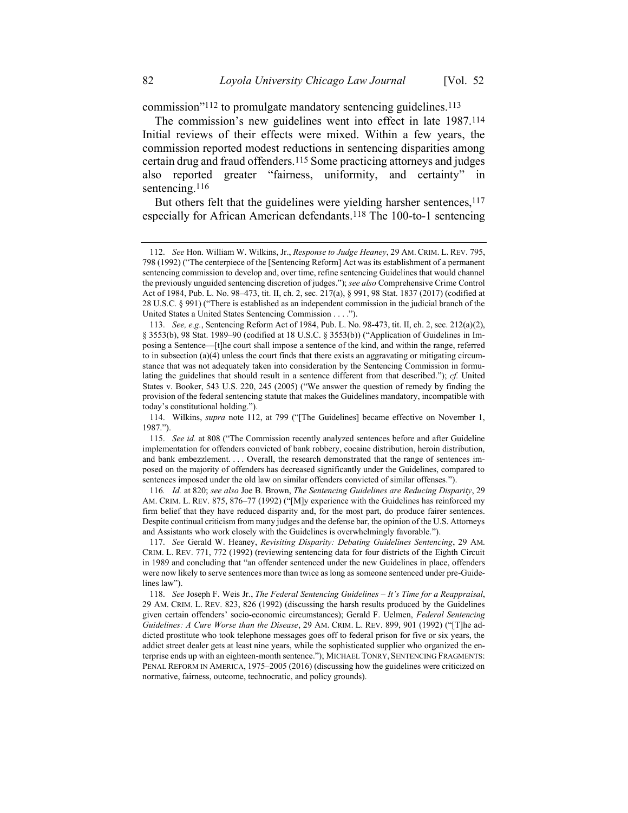<span id="page-16-0"></span>commission"112 to promulgate mandatory sentencing guidelines.113

The commission's new guidelines went into effect in late 1987.114 Initial reviews of their effects were mixed. Within a few years, the commission reported modest reductions in sentencing disparities among certain drug and fraud offenders.115 Some practicing attorneys and judges also reported greater "fairness, uniformity, and certainty" in sentencing.<sup>116</sup>

<span id="page-16-2"></span><span id="page-16-1"></span>But others felt that the guidelines were yielding harsher sentences, <sup>117</sup> especially for African American defendants.118 The 100-to-1 sentencing

<sup>112.</sup> *See* Hon. William W. Wilkins, Jr., *Response to Judge Heaney*, 29 AM. CRIM. L. REV. 795, 798 (1992) ("The centerpiece of the [Sentencing Reform] Act was its establishment of a permanent sentencing commission to develop and, over time, refine sentencing Guidelines that would channel the previously unguided sentencing discretion of judges."); *see also* Comprehensive Crime Control Act of 1984, Pub. L. No. 98–473, tit. II, ch. 2, sec. 217(a), § 991, 98 Stat. 1837 (2017) (codified at 28 U.S.C. § 991) ("There is established as an independent commission in the judicial branch of the United States a United States Sentencing Commission . . . .").

<sup>113.</sup> *See, e.g.*, Sentencing Reform Act of 1984, Pub. L. No. 98-473, tit. II, ch. 2, sec. 212(a)(2), § 3553(b), 98 Stat. 1989-90 (codified at 18 U.S.C. § 3553(b)) ("Application of Guidelines in Imposing a Sentence—[t]he court shall impose a sentence of the kind, and within the range, referred to in subsection (a)(4) unless the court finds that there exists an aggravating or mitigating circumstance that was not adequately taken into consideration by the Sentencing Commission in formulating the guidelines that should result in a sentence different from that described."); *cf.* United States v. Booker, 543 U.S. 220, 245 (2005) ("We answer the question of remedy by finding the provision of the federal sentencing statute that makes the Guidelines mandatory, incompatible with today's constitutional holding.").

<sup>114.</sup> Wilkins, *supra* note [112,](#page-16-0) at 799 ("[The Guidelines] became effective on November 1, 1987.").

<sup>115.</sup> *See id.* at 808 ("The Commission recently analyzed sentences before and after Guideline implementation for offenders convicted of bank robbery, cocaine distribution, heroin distribution, and bank embezzlement. . . . Overall, the research demonstrated that the range of sentences imposed on the majority of offenders has decreased significantly under the Guidelines, compared to sentences imposed under the old law on similar offenders convicted of similar offenses.").

<sup>116</sup>*. Id.* at 820; *see also* Joe B. Brown, *The Sentencing Guidelines are Reducing Disparity*, 29 AM. CRIM. L. REV. 875, 876–77 (1992) ("[M]y experience with the Guidelines has reinforced my firm belief that they have reduced disparity and, for the most part, do produce fairer sentences. Despite continual criticism from many judges and the defense bar, the opinion of the U.S. Attorneys and Assistants who work closely with the Guidelines is overwhelmingly favorable.").

<sup>117.</sup> *See* Gerald W. Heaney, *Revisiting Disparity: Debating Guidelines Sentencing*, 29 AM. CRIM. L. REV. 771, 772 (1992) (reviewing sentencing data for four districts of the Eighth Circuit in 1989 and concluding that "an offender sentenced under the new Guidelines in place, offenders were now likely to serve sentences more than twice as long as someone sentenced under pre-Guidelines law").

<sup>118.</sup> *See* Joseph F. Weis Jr., *The Federal Sentencing Guidelines – It's Time for a Reappraisal*, 29 AM. CRIM. L. REV. 823, 826 (1992) (discussing the harsh results produced by the Guidelines given certain offenders' socio-economic circumstances); Gerald F. Uelmen, *Federal Sentencing Guidelines: A Cure Worse than the Disease*, 29 AM. CRIM. L. REV. 899, 901 (1992) ("[T]he addicted prostitute who took telephone messages goes off to federal prison for five or six years, the addict street dealer gets at least nine years, while the sophisticated supplier who organized the enterprise ends up with an eighteen-month sentence."); MICHAEL TONRY, SENTENCING FRAGMENTS: PENAL REFORM IN AMERICA, 1975–2005 (2016) (discussing how the guidelines were criticized on normative, fairness, outcome, technocratic, and policy grounds).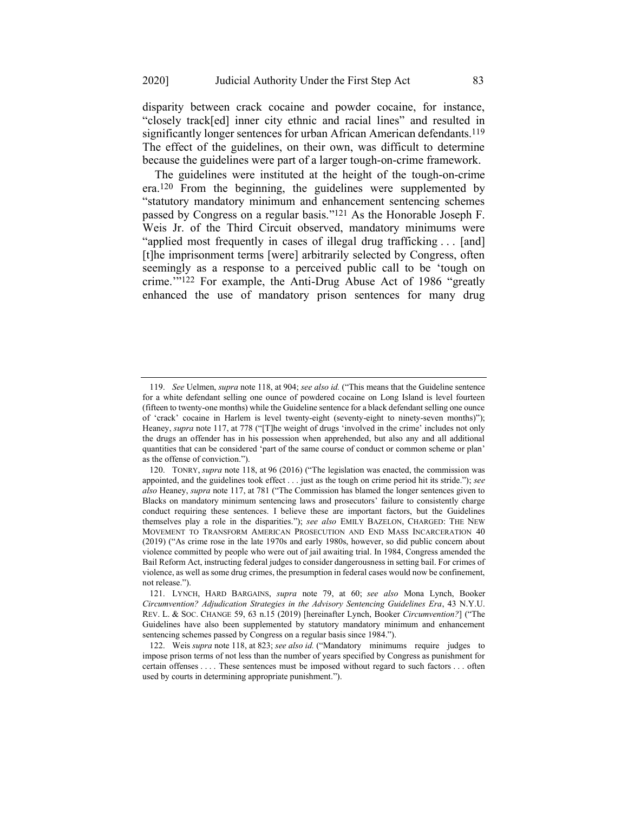disparity between crack cocaine and powder cocaine, for instance, "closely track[ed] inner city ethnic and racial lines" and resulted in significantly longer sentences for urban African American defendants.<sup>119</sup> The effect of the guidelines, on their own, was difficult to determine because the guidelines were part of a larger tough-on-crime framework.

<span id="page-17-0"></span>The guidelines were instituted at the height of the tough-on-crime era.120 From the beginning, the guidelines were supplemented by "statutory mandatory minimum and enhancement sentencing schemes passed by Congress on a regular basis."121 As the Honorable Joseph F. Weis Jr. of the Third Circuit observed, mandatory minimums were "applied most frequently in cases of illegal drug trafficking . . . [and] [t]he imprisonment terms [were] arbitrarily selected by Congress, often seemingly as a response to a perceived public call to be 'tough on crime.'"122 For example, the Anti-Drug Abuse Act of 1986 "greatly enhanced the use of mandatory prison sentences for many drug

<sup>119.</sup> *See* Uelmen, *supra* not[e 118,](#page-16-1) at 904; *see also id.* ("This means that the Guideline sentence for a white defendant selling one ounce of powdered cocaine on Long Island is level fourteen (fifteen to twenty-one months) while the Guideline sentence for a black defendant selling one ounce of 'crack' cocaine in Harlem is level twenty-eight (seventy-eight to ninety-seven months)"); Heaney, *supra* note [117,](#page-16-2) at 778 ("[T]he weight of drugs 'involved in the crime' includes not only the drugs an offender has in his possession when apprehended, but also any and all additional quantities that can be considered 'part of the same course of conduct or common scheme or plan' as the offense of conviction.").

<sup>120.</sup> TONRY, *supra* note [118,](#page-16-1) at 96 (2016) ("The legislation was enacted, the commission was appointed, and the guidelines took effect . . . just as the tough on crime period hit its stride."); *see also* Heaney, *supra* note [117,](#page-16-2) at 781 ("The Commission has blamed the longer sentences given to Blacks on mandatory minimum sentencing laws and prosecutors' failure to consistently charge conduct requiring these sentences. I believe these are important factors, but the Guidelines themselves play a role in the disparities."); *see also* EMILY BAZELON, CHARGED: THE NEW MOVEMENT TO TRANSFORM AMERICAN PROSECUTION AND END MASS INCARCERATION 40 (2019) ("As crime rose in the late 1970s and early 1980s, however, so did public concern about violence committed by people who were out of jail awaiting trial. In 1984, Congress amended the Bail Reform Act, instructing federal judges to consider dangerousness in setting bail. For crimes of violence, as well as some drug crimes, the presumption in federal cases would now be confinement, not release.").

<sup>121.</sup> LYNCH, HARD BARGAINS, *supra* note [79,](#page-11-0) at 60; *see also* Mona Lynch, Booker *Circumvention? Adjudication Strategies in the Advisory Sentencing Guidelines Era*, 43 N.Y.U. REV. L. & SOC. CHANGE 59, 63 n.15 (2019) [hereinafter Lynch, Booker *Circumvention?*] ("The Guidelines have also been supplemented by statutory mandatory minimum and enhancement sentencing schemes passed by Congress on a regular basis since 1984.").

<sup>122.</sup> Weis *supra* not[e 118,](#page-16-1) at 823; *see also id.* ("Mandatory minimums require judges to impose prison terms of not less than the number of years specified by Congress as punishment for certain offenses . . . . These sentences must be imposed without regard to such factors . . . often used by courts in determining appropriate punishment.").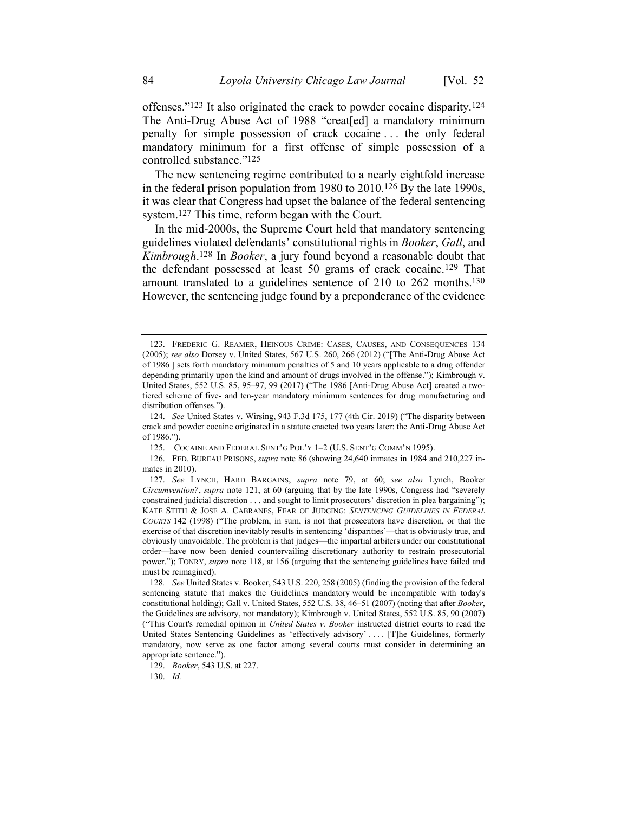offenses."123 It also originated the crack to powder cocaine disparity.124 The Anti-Drug Abuse Act of 1988 "creat[ed] a mandatory minimum penalty for simple possession of crack cocaine . . . the only federal mandatory minimum for a first offense of simple possession of a controlled substance."125

The new sentencing regime contributed to a nearly eightfold increase in the federal prison population from 1980 to 2010.126 By the late 1990s, it was clear that Congress had upset the balance of the federal sentencing system.127 This time, reform began with the Court.

In the mid-2000s, the Supreme Court held that mandatory sentencing guidelines violated defendants' constitutional rights in *Booker*, *Gall*, and *Kimbrough*. 128 In *Booker*, a jury found beyond a reasonable doubt that the defendant possessed at least 50 grams of crack cocaine.129 That amount translated to a guidelines sentence of 210 to 262 months.130 However, the sentencing judge found by a preponderance of the evidence

125. COCAINE AND FEDERAL SENT'G POL'Y 1–2 (U.S. SENT'G COMM'N 1995).

126. FED. BUREAU PRISONS, *supra* note [86](#page-11-1) (showing 24,640 inmates in 1984 and 210,227 inmates in 2010).

130. *Id.*

<sup>123.</sup> FREDERIC G. REAMER, HEINOUS CRIME: CASES, CAUSES, AND CONSEQUENCES 134 (2005); *see also* Dorsey v. United States, 567 U.S. 260, 266 (2012) ("[The Anti-Drug Abuse Act of 1986 ] sets forth mandatory minimum penalties of 5 and 10 years applicable to a drug offender depending primarily upon the kind and amount of drugs involved in the offense."); Kimbrough v. United States, 552 U.S. 85, 95–97, 99 (2017) ("The 1986 [Anti-Drug Abuse Act] created a twotiered scheme of five- and ten-year mandatory minimum sentences for drug manufacturing and distribution offenses.").

<sup>124.</sup> *See* United States v. Wirsing, 943 F.3d 175, 177 (4th Cir. 2019) ("The disparity between crack and powder cocaine originated in a statute enacted two years later: the Anti-Drug Abuse Act of 1986.").

<sup>127.</sup> *See* LYNCH, HARD BARGAINS, *supra* note [79,](#page-11-0) at 60; *see also* Lynch, Booker *Circumvention?*, *supra* note [121,](#page-17-0) at 60 (arguing that by the late 1990s, Congress had "severely constrained judicial discretion . . . and sought to limit prosecutors' discretion in plea bargaining"); KATE STITH & JOSE A. CABRANES, FEAR OF JUDGING: *SENTENCING GUIDELINES IN FEDERAL COURTS* 142 (1998) ("The problem, in sum, is not that prosecutors have discretion, or that the exercise of that discretion inevitably results in sentencing 'disparities'—that is obviously true, and obviously unavoidable. The problem is that judges—the impartial arbiters under our constitutional order—have now been denied countervailing discretionary authority to restrain prosecutorial power."); TONRY, *supra* note [118,](#page-16-1) at 156 (arguing that the sentencing guidelines have failed and must be reimagined).

<sup>128</sup>*. See* United States v. Booker, 543 U.S. 220, 258 (2005) (finding the provision of the federal sentencing statute that makes the Guidelines mandatory would be incompatible with today's constitutional holding); Gall v. United States, 552 U.S. 38, 46–51 (2007) (noting that after *Booker*, the Guidelines are advisory, not mandatory); Kimbrough v. United States, 552 U.S. 85, 90 (2007) ("This Court's remedial opinion in *United States v. Booker* instructed district courts to read the United States Sentencing Guidelines as 'effectively advisory' . . . . [T]he Guidelines, formerly mandatory, now serve as one factor among several courts must consider in determining an appropriate sentence.").

<sup>129.</sup> *Booker*, 543 U.S. at 227.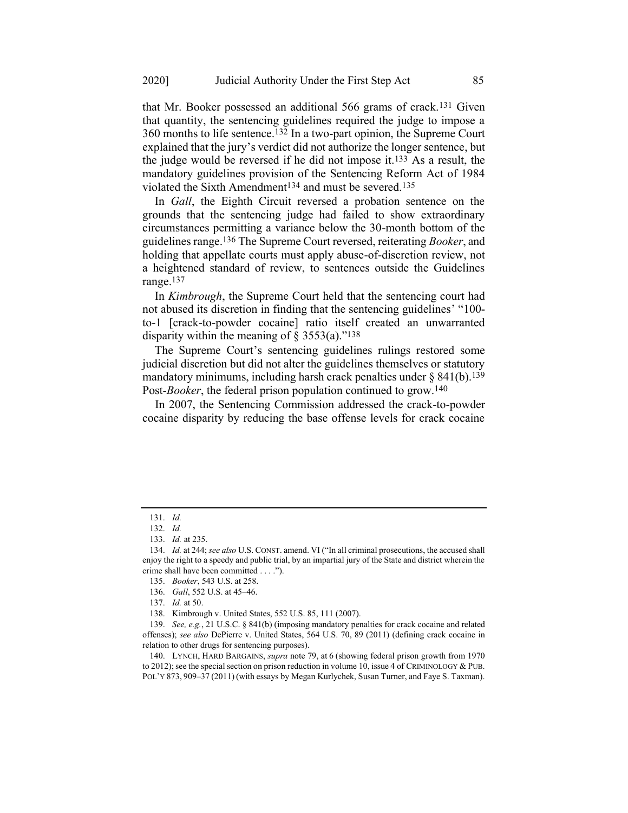that Mr. Booker possessed an additional 566 grams of crack.131 Given that quantity, the sentencing guidelines required the judge to impose a 360 months to life sentence.132 In a two-part opinion, the Supreme Court explained that the jury's verdict did not authorize the longer sentence, but the judge would be reversed if he did not impose it.133 As a result, the mandatory guidelines provision of the Sentencing Reform Act of 1984 violated the Sixth Amendment<sup>134</sup> and must be severed.<sup>135</sup>

In *Gall*, the Eighth Circuit reversed a probation sentence on the grounds that the sentencing judge had failed to show extraordinary circumstances permitting a variance below the 30-month bottom of the guidelines range.136 The Supreme Court reversed, reiterating *Booker*, and holding that appellate courts must apply abuse-of-discretion review, not a heightened standard of review, to sentences outside the Guidelines range.137

In *Kimbrough*, the Supreme Court held that the sentencing court had not abused its discretion in finding that the sentencing guidelines' "100 to-1 [crack-to-powder cocaine] ratio itself created an unwarranted disparity within the meaning of  $\S$  3553(a)."<sup>138</sup>

The Supreme Court's sentencing guidelines rulings restored some judicial discretion but did not alter the guidelines themselves or statutory mandatory minimums, including harsh crack penalties under  $\S$  841(b).<sup>139</sup> Post-*Booker*, the federal prison population continued to grow.<sup>140</sup>

In 2007, the Sentencing Commission addressed the crack-to-powder cocaine disparity by reducing the base offense levels for crack cocaine

<sup>131.</sup> *Id.*

<sup>132.</sup> *Id.*

<sup>133.</sup> *Id.* at 235.

<sup>134.</sup> *Id.* at 244; *see also* U.S. CONST. amend. VI ("In all criminal prosecutions, the accused shall enjoy the right to a speedy and public trial, by an impartial jury of the State and district wherein the crime shall have been committed . . . .").

<sup>135.</sup> *Booker*, 543 U.S. at 258.

<sup>136.</sup> *Gall*, 552 U.S. at 45–46.

<sup>137.</sup> *Id.* at 50.

<sup>138.</sup> Kimbrough v. United States, 552 U.S. 85, 111 (2007).

<sup>139.</sup> *See, e.g.*, 21 U.S.C. § 841(b) (imposing mandatory penalties for crack cocaine and related offenses); *see also* DePierre v. United States, 564 U.S. 70, 89 (2011) (defining crack cocaine in relation to other drugs for sentencing purposes).

<sup>140.</sup> LYNCH, HARD BARGAINS, *supra* note [79,](#page-11-0) at 6 (showing federal prison growth from 1970 to 2012); see the special section on prison reduction in volume 10, issue 4 of CRIMINOLOGY & PUB. POL'Y 873, 909–37 (2011) (with essays by Megan Kurlychek, Susan Turner, and Faye S. Taxman).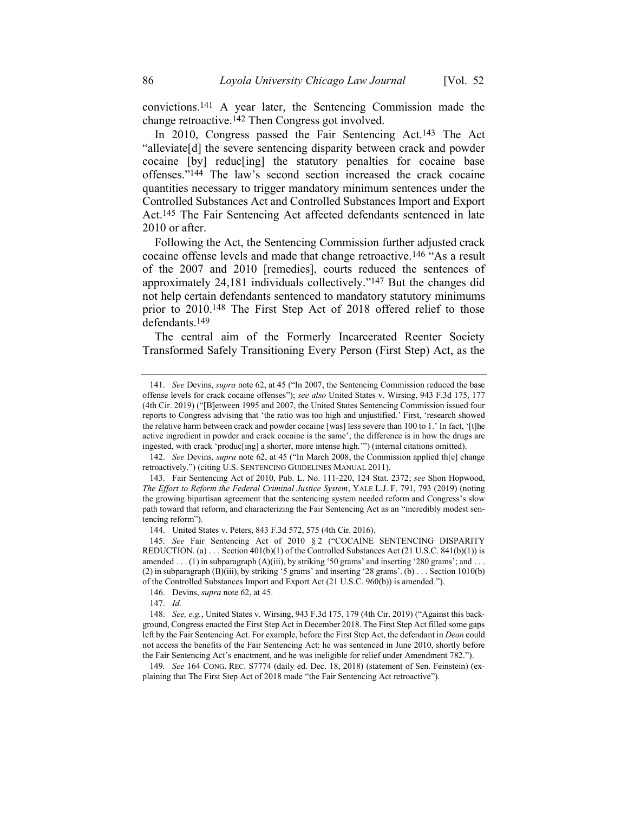convictions.141 A year later, the Sentencing Commission made the change retroactive.142 Then Congress got involved.

<span id="page-20-0"></span>In 2010, Congress passed the Fair Sentencing Act.<sup>143</sup> The Act "alleviate[d] the severe sentencing disparity between crack and powder cocaine [by] reduc[ing] the statutory penalties for cocaine base offenses."144 The law's second section increased the crack cocaine quantities necessary to trigger mandatory minimum sentences under the Controlled Substances Act and Controlled Substances Import and Export Act.145 The Fair Sentencing Act affected defendants sentenced in late 2010 or after.

Following the Act, the Sentencing Commission further adjusted crack cocaine offense levels and made that change retroactive.146 "As a result of the 2007 and 2010 [remedies], courts reduced the sentences of approximately 24,181 individuals collectively."147 But the changes did not help certain defendants sentenced to mandatory statutory minimums prior to 2010.148 The First Step Act of 2018 offered relief to those defendants.149

The central aim of the Formerly Incarcerated Reenter Society Transformed Safely Transitioning Every Person (First Step) Act, as the

<sup>141.</sup> *See* Devins, *supra* note [62,](#page-8-0) at 45 ("In 2007, the Sentencing Commission reduced the base offense levels for crack cocaine offenses"); *see also* United States v. Wirsing, 943 F.3d 175, 177 (4th Cir. 2019) ("[B]etween 1995 and 2007, the United States Sentencing Commission issued four reports to Congress advising that 'the ratio was too high and unjustified.' First, 'research showed the relative harm between crack and powder cocaine [was] less severe than 100 to 1.' In fact, '[t]he active ingredient in powder and crack cocaine is the same'; the difference is in how the drugs are ingested, with crack 'produc[ing] a shorter, more intense high.'") (internal citations omitted).

<sup>142.</sup> *See* Devins, *supra* not[e 62,](#page-8-0) at 45 ("In March 2008, the Commission applied th[e] change retroactively.") (citing U.S. SENTENCING GUIDELINES MANUAL 2011).

<sup>143.</sup> Fair Sentencing Act of 2010, Pub. L. No. 111-220, 124 Stat. 2372; *see* Shon Hopwood, *The Effort to Reform the Federal Criminal Justice System*, YALE L.J. F. 791, 793 (2019) (noting the growing bipartisan agreement that the sentencing system needed reform and Congress's slow path toward that reform, and characterizing the Fair Sentencing Act as an "incredibly modest sentencing reform").

<sup>144.</sup> United States v. Peters, 843 F.3d 572, 575 (4th Cir. 2016).

<sup>145.</sup> *See* Fair Sentencing Act of 2010 § 2 ("COCAINE SENTENCING DISPARITY REDUCTION. (a)  $\ldots$  Section 401(b)(1) of the Controlled Substances Act (21 U.S.C. 841(b)(1)) is amended . . . (1) in subparagraph  $(A)$ (iii), by striking '50 grams' and inserting '280 grams'; and . . . (2) in subparagraph (B)(iii), by striking '5 grams' and inserting '28 grams'. (b) . . . Section 1010(b) of the Controlled Substances Import and Export Act (21 U.S.C. 960(b)) is amended.").

<sup>146.</sup> Devins, *supra* not[e 62,](#page-8-0) at 45.

<sup>147.</sup> *Id.*

<sup>148.</sup> *See, e.g.*, United States v. Wirsing, 943 F.3d 175, 179 (4th Cir. 2019) ("Against this background, Congress enacted the First Step Act in December 2018. The First Step Act filled some gaps left by the Fair Sentencing Act. For example, before the First Step Act, the defendant in *Dean* could not access the benefits of the Fair Sentencing Act: he was sentenced in June 2010, shortly before the Fair Sentencing Act's enactment, and he was ineligible for relief under Amendment 782.").

<sup>149</sup>*. See* 164 CONG. REC. S7774 (daily ed. Dec. 18, 2018) (statement of Sen. Feinstein) (explaining that The First Step Act of 2018 made "the Fair Sentencing Act retroactive").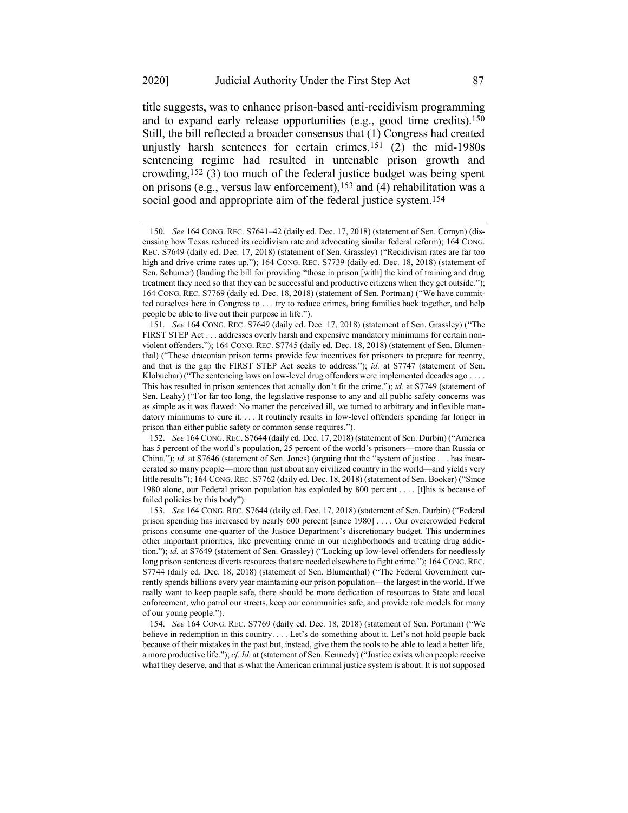title suggests, was to enhance prison-based anti-recidivism programming and to expand early release opportunities (e.g., good time credits).150 Still, the bill reflected a broader consensus that (1) Congress had created unjustly harsh sentences for certain crimes,151 (2) the mid-1980s sentencing regime had resulted in untenable prison growth and crowding,152 (3) too much of the federal justice budget was being spent on prisons (e.g., versus law enforcement),<sup>153</sup> and (4) rehabilitation was a social good and appropriate aim of the federal justice system.154

<sup>150.</sup> *See* 164 CONG. REC. S7641–42 (daily ed. Dec. 17, 2018) (statement of Sen. Cornyn) (discussing how Texas reduced its recidivism rate and advocating similar federal reform); 164 CONG. REC. S7649 (daily ed. Dec. 17, 2018) (statement of Sen. Grassley) ("Recidivism rates are far too high and drive crime rates up."); 164 CONG. REC. S7739 (daily ed. Dec. 18, 2018) (statement of Sen. Schumer) (lauding the bill for providing "those in prison [with] the kind of training and drug treatment they need so that they can be successful and productive citizens when they get outside."); 164 CONG. REC. S7769 (daily ed. Dec. 18, 2018) (statement of Sen. Portman) ("We have committed ourselves here in Congress to . . . try to reduce crimes, bring families back together, and help people be able to live out their purpose in life.").

<sup>151.</sup> *See* 164 CONG. REC. S7649 (daily ed. Dec. 17, 2018) (statement of Sen. Grassley) ("The FIRST STEP Act . . . addresses overly harsh and expensive mandatory minimums for certain nonviolent offenders."); 164 CONG. REC. S7745 (daily ed. Dec. 18, 2018) (statement of Sen. Blumenthal) ("These draconian prison terms provide few incentives for prisoners to prepare for reentry, and that is the gap the FIRST STEP Act seeks to address."); *id.* at S7747 (statement of Sen. Klobuchar) ("The sentencing laws on low-level drug offenders were implemented decades ago . . . . This has resulted in prison sentences that actually don't fit the crime."); *id.* at S7749 (statement of Sen. Leahy) ("For far too long, the legislative response to any and all public safety concerns was as simple as it was flawed: No matter the perceived ill, we turned to arbitrary and inflexible mandatory minimums to cure it. . . . It routinely results in low-level offenders spending far longer in prison than either public safety or common sense requires.").

<sup>152.</sup> *See* 164 CONG. REC. S7644 (daily ed. Dec. 17, 2018) (statement of Sen. Durbin) ("America has 5 percent of the world's population, 25 percent of the world's prisoners—more than Russia or China."); *id.* at S7646 (statement of Sen. Jones) (arguing that the "system of justice . . . has incarcerated so many people—more than just about any civilized country in the world—and yields very little results"); 164 CONG. REC. S7762 (daily ed. Dec. 18, 2018) (statement of Sen. Booker) ("Since 1980 alone, our Federal prison population has exploded by 800 percent . . . . [t]his is because of failed policies by this body").

<sup>153.</sup> *See* 164 CONG. REC. S7644 (daily ed. Dec. 17, 2018) (statement of Sen. Durbin) ("Federal prison spending has increased by nearly 600 percent [since 1980] . . . . Our overcrowded Federal prisons consume one-quarter of the Justice Department's discretionary budget. This undermines other important priorities, like preventing crime in our neighborhoods and treating drug addiction."); *id.* at S7649 (statement of Sen. Grassley) ("Locking up low-level offenders for needlessly long prison sentences diverts resources that are needed elsewhere to fight crime."); 164 CONG. REC. S7744 (daily ed. Dec. 18, 2018) (statement of Sen. Blumenthal) ("The Federal Government currently spends billions every year maintaining our prison population—the largest in the world. If we really want to keep people safe, there should be more dedication of resources to State and local enforcement, who patrol our streets, keep our communities safe, and provide role models for many of our young people.").

<sup>154.</sup> *See* 164 CONG. REC. S7769 (daily ed. Dec. 18, 2018) (statement of Sen. Portman) ("We believe in redemption in this country. . . . Let's do something about it. Let's not hold people back because of their mistakes in the past but, instead, give them the tools to be able to lead a better life, a more productive life."); *cf. Id.* at (statement of Sen. Kennedy) ("Justice exists when people receive what they deserve, and that is what the American criminal justice system is about. It is not supposed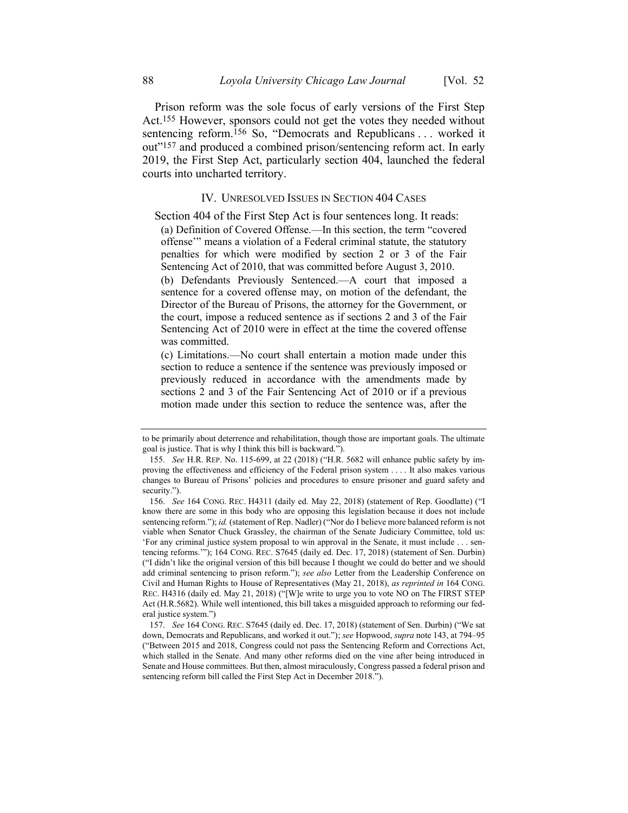Prison reform was the sole focus of early versions of the First Step Act.155 However, sponsors could not get the votes they needed without sentencing reform.<sup>156</sup> So, "Democrats and Republicans . . . worked it out"157 and produced a combined prison/sentencing reform act. In early 2019, the First Step Act, particularly section 404, launched the federal courts into uncharted territory.

#### IV. UNRESOLVED ISSUES IN SECTION 404 CASES

Section 404 of the First Step Act is four sentences long. It reads:

(a) Definition of Covered Offense.—In this section, the term "covered offense'" means a violation of a Federal criminal statute, the statutory penalties for which were modified by section 2 or 3 of the Fair Sentencing Act of 2010, that was committed before August 3, 2010. (b) Defendants Previously Sentenced.—A court that imposed a sentence for a covered offense may, on motion of the defendant, the Director of the Bureau of Prisons, the attorney for the Government, or the court, impose a reduced sentence as if sections 2 and 3 of the Fair Sentencing Act of 2010 were in effect at the time the covered offense

(c) Limitations.—No court shall entertain a motion made under this section to reduce a sentence if the sentence was previously imposed or previously reduced in accordance with the amendments made by sections 2 and 3 of the Fair Sentencing Act of 2010 or if a previous motion made under this section to reduce the sentence was, after the

was committed.

to be primarily about deterrence and rehabilitation, though those are important goals. The ultimate goal is justice. That is why I think this bill is backward.").

<sup>155.</sup> *See* H.R. REP. No. 115-699, at 22 (2018) ("H.R. 5682 will enhance public safety by improving the effectiveness and efficiency of the Federal prison system . . . . It also makes various changes to Bureau of Prisons' policies and procedures to ensure prisoner and guard safety and security.").

<sup>156.</sup> *See* 164 CONG. REC. H4311 (daily ed. May 22, 2018) (statement of Rep. Goodlatte) ("I know there are some in this body who are opposing this legislation because it does not include sentencing reform."); *id.* (statement of Rep. Nadler) ("Nor do I believe more balanced reform is not viable when Senator Chuck Grassley, the chairman of the Senate Judiciary Committee, told us: 'For any criminal justice system proposal to win approval in the Senate, it must include . . . sentencing reforms.'"); 164 CONG. REC. S7645 (daily ed. Dec. 17, 2018) (statement of Sen. Durbin) ("I didn't like the original version of this bill because I thought we could do better and we should add criminal sentencing to prison reform."); *see also* Letter from the Leadership Conference on Civil and Human Rights to House of Representatives (May 21, 2018), *as reprinted in* 164 CONG. REC. H4316 (daily ed. May 21, 2018) ("[W]e write to urge you to vote NO on The FIRST STEP Act (H.R.5682). While well intentioned, this bill takes a misguided approach to reforming our federal justice system.")

<sup>157.</sup> *See* 164 CONG. REC. S7645 (daily ed. Dec. 17, 2018) (statement of Sen. Durbin) ("We sat down, Democrats and Republicans, and worked it out."); *see* Hopwood, *supra* not[e 143,](#page-20-0) at 794–95 ("Between 2015 and 2018, Congress could not pass the Sentencing Reform and Corrections Act, which stalled in the Senate. And many other reforms died on the vine after being introduced in Senate and House committees. But then, almost miraculously, Congress passed a federal prison and sentencing reform bill called the First Step Act in December 2018.").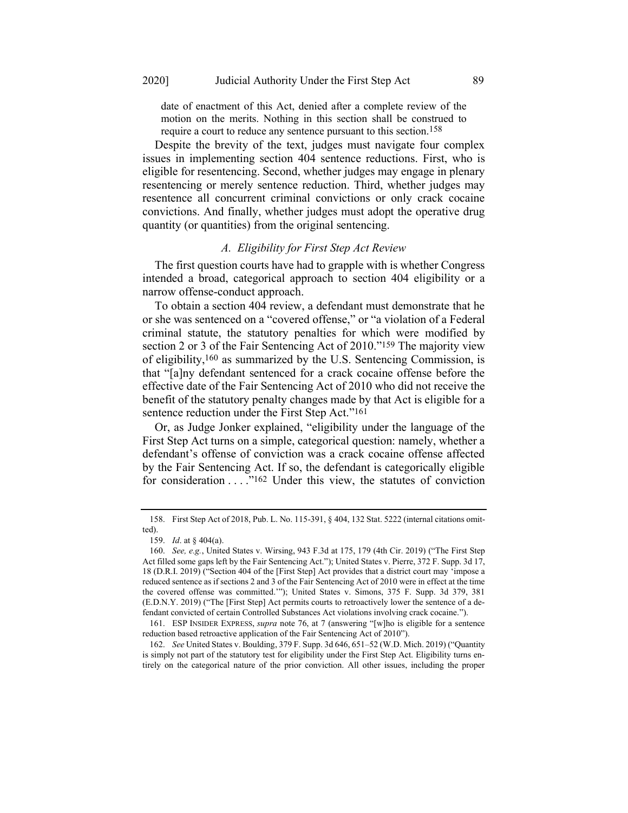date of enactment of this Act, denied after a complete review of the motion on the merits. Nothing in this section shall be construed to require a court to reduce any sentence pursuant to this section.<sup>158</sup>

Despite the brevity of the text, judges must navigate four complex issues in implementing section 404 sentence reductions. First, who is eligible for resentencing. Second, whether judges may engage in plenary resentencing or merely sentence reduction. Third, whether judges may resentence all concurrent criminal convictions or only crack cocaine convictions. And finally, whether judges must adopt the operative drug quantity (or quantities) from the original sentencing.

#### *A. Eligibility for First Step Act Review*

The first question courts have had to grapple with is whether Congress intended a broad, categorical approach to section 404 eligibility or a narrow offense-conduct approach.

To obtain a section 404 review, a defendant must demonstrate that he or she was sentenced on a "covered offense," or "a violation of a Federal criminal statute, the statutory penalties for which were modified by section 2 or 3 of the Fair Sentencing Act of 2010."159 The majority view of eligibility,160 as summarized by the U.S. Sentencing Commission, is that "[a]ny defendant sentenced for a crack cocaine offense before the effective date of the Fair Sentencing Act of 2010 who did not receive the benefit of the statutory penalty changes made by that Act is eligible for a sentence reduction under the First Step Act."161

Or, as Judge Jonker explained, "eligibility under the language of the First Step Act turns on a simple, categorical question: namely, whether a defendant's offense of conviction was a crack cocaine offense affected by the Fair Sentencing Act. If so, the defendant is categorically eligible for consideration  $\dots$ ."<sup>162</sup> Under this view, the statutes of conviction

<sup>158.</sup> First Step Act of 2018, Pub. L. No. 115-391, § 404, 132 Stat. 5222 (internal citations omitted).

<sup>159.</sup> *Id*. at § 404(a).

<sup>160.</sup> *See, e.g.*, United States v. Wirsing, 943 F.3d at 175, 179 (4th Cir. 2019) ("The First Step Act filled some gaps left by the Fair Sentencing Act."); United States v. Pierre, 372 F. Supp. 3d 17, 18 (D.R.I. 2019) ("Section 404 of the [First Step] Act provides that a district court may 'impose a reduced sentence as if sections 2 and 3 of the Fair Sentencing Act of 2010 were in effect at the time the covered offense was committed.'"); United States v. Simons, 375 F. Supp. 3d 379, 381 (E.D.N.Y. 2019) ("The [First Step] Act permits courts to retroactively lower the sentence of a defendant convicted of certain Controlled Substances Act violations involving crack cocaine.").

<sup>161.</sup> ESP INSIDER EXPRESS, *supra* note [76,](#page-10-0) at 7 (answering "[w]ho is eligible for a sentence reduction based retroactive application of the Fair Sentencing Act of 2010").

<sup>162.</sup> *See* United States v. Boulding, 379 F. Supp. 3d 646, 651–52 (W.D. Mich. 2019) ("Quantity is simply not part of the statutory test for eligibility under the First Step Act. Eligibility turns entirely on the categorical nature of the prior conviction. All other issues, including the proper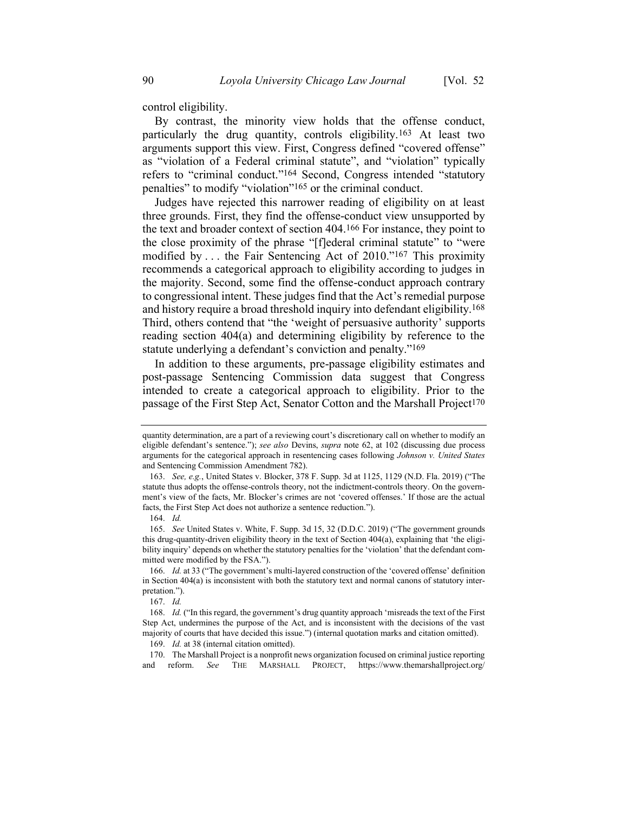control eligibility.

By contrast, the minority view holds that the offense conduct, particularly the drug quantity, controls eligibility.163 At least two arguments support this view. First, Congress defined "covered offense" as "violation of a Federal criminal statute", and "violation" typically refers to "criminal conduct."164 Second, Congress intended "statutory penalties" to modify "violation"165 or the criminal conduct.

Judges have rejected this narrower reading of eligibility on at least three grounds. First, they find the offense-conduct view unsupported by the text and broader context of section 404.166 For instance, they point to the close proximity of the phrase "[f]ederal criminal statute" to "were modified by . . . the Fair Sentencing Act of 2010."167 This proximity recommends a categorical approach to eligibility according to judges in the majority. Second, some find the offense-conduct approach contrary to congressional intent. These judges find that the Act's remedial purpose and history require a broad threshold inquiry into defendant eligibility.168 Third, others contend that "the 'weight of persuasive authority' supports reading section 404(a) and determining eligibility by reference to the statute underlying a defendant's conviction and penalty."169

In addition to these arguments, pre-passage eligibility estimates and post-passage Sentencing Commission data suggest that Congress intended to create a categorical approach to eligibility. Prior to the passage of the First Step Act, Senator Cotton and the Marshall Project<sup>170</sup>

quantity determination, are a part of a reviewing court's discretionary call on whether to modify an eligible defendant's sentence."); *see also* Devins, *supra* note [62,](#page-8-0) at 102 (discussing due process arguments for the categorical approach in resentencing cases following *Johnson v. United States* and Sentencing Commission Amendment 782).

<sup>163.</sup> *See, e.g.*, United States v. Blocker, 378 F. Supp. 3d at 1125, 1129 (N.D. Fla. 2019) ("The statute thus adopts the offense-controls theory, not the indictment-controls theory. On the government's view of the facts, Mr. Blocker's crimes are not 'covered offenses.' If those are the actual facts, the First Step Act does not authorize a sentence reduction.").

<sup>164.</sup> *Id.*

<sup>165.</sup> *See* United States v. White, F. Supp. 3d 15, 32 (D.D.C. 2019) ("The government grounds this drug-quantity-driven eligibility theory in the text of Section 404(a), explaining that 'the eligibility inquiry' depends on whether the statutory penalties for the 'violation' that the defendant committed were modified by the FSA.").

<sup>166.</sup> *Id.* at 33 ("The government's multi-layered construction of the 'covered offense' definition in Section 404(a) is inconsistent with both the statutory text and normal canons of statutory interpretation.").

<sup>167.</sup> *Id.*

<sup>168.</sup> *Id.* ("In this regard, the government's drug quantity approach 'misreads the text of the First Step Act, undermines the purpose of the Act, and is inconsistent with the decisions of the vast majority of courts that have decided this issue.") (internal quotation marks and citation omitted).

<sup>169.</sup> *Id.* at 38 (internal citation omitted).

<sup>170.</sup> The Marshall Project is a nonprofit news organization focused on criminal justice reporting and reform. *See* THE MARSHALL PROJECT, https://www.themarshallproject.org/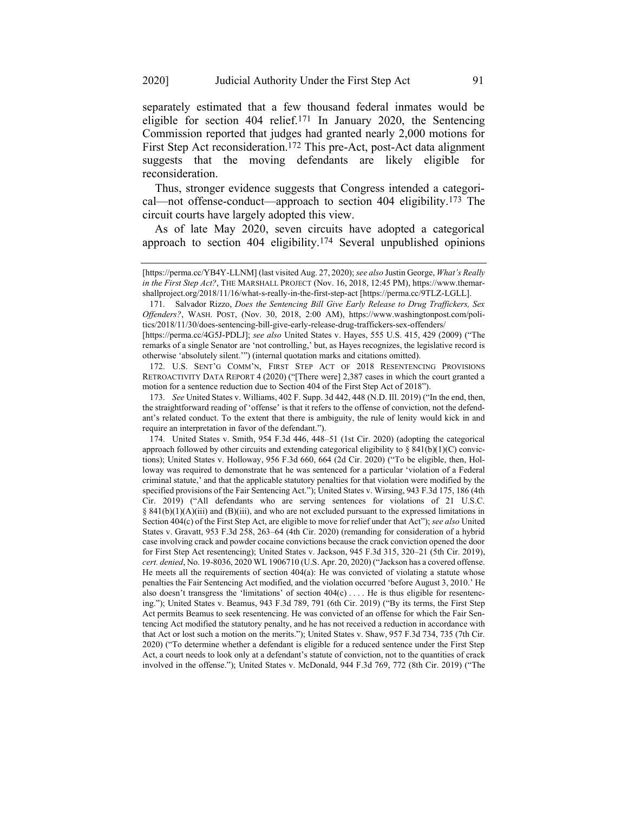separately estimated that a few thousand federal inmates would be eligible for section 404 relief.171 In January 2020, the Sentencing Commission reported that judges had granted nearly 2,000 motions for First Step Act reconsideration.<sup>172</sup> This pre-Act, post-Act data alignment suggests that the moving defendants are likely eligible for reconsideration.

Thus, stronger evidence suggests that Congress intended a categorical—not offense-conduct—approach to section 404 eligibility.173 The circuit courts have largely adopted this view.

As of late May 2020, seven circuits have adopted a categorical approach to section 404 eligibility.174 Several unpublished opinions

172. U.S. SENT'G COMM'N, FIRST STEP ACT OF 2018 RESENTENCING PROVISIONS RETROACTIVITY DATA REPORT 4 (2020) ("[There were] 2,387 cases in which the court granted a motion for a sentence reduction due to Section 404 of the First Step Act of 2018").

173. *See* United States v. Williams, 402 F. Supp. 3d 442, 448 (N.D. Ill. 2019) ("In the end, then, the straightforward reading of 'offense' is that it refers to the offense of conviction, not the defendant's related conduct. To the extent that there is ambiguity, the rule of lenity would kick in and require an interpretation in favor of the defendant.").

174. United States v. Smith, 954 F.3d 446, 448–51 (1st Cir. 2020) (adopting the categorical approach followed by other circuits and extending categorical eligibility to  $\S$  841(b)(1)(C) convictions); United States v. Holloway, 956 F.3d 660, 664 (2d Cir. 2020) ("To be eligible, then, Holloway was required to demonstrate that he was sentenced for a particular 'violation of a Federal criminal statute,' and that the applicable statutory penalties for that violation were modified by the specified provisions of the Fair Sentencing Act."); United States v. Wirsing, 943 F.3d 175, 186 (4th Cir. 2019) ("All defendants who are serving sentences for violations of 21 U.S.C.  $§ 841(b)(1)(A)(iii)$  and  $(B)(iii)$ , and who are not excluded pursuant to the expressed limitations in Section 404(c) of the First Step Act, are eligible to move for relief under that Act"); *see also* United States v. Gravatt, 953 F.3d 258, 263–64 (4th Cir. 2020) (remanding for consideration of a hybrid case involving crack and powder cocaine convictions because the crack conviction opened the door for First Step Act resentencing); United States v. Jackson, 945 F.3d 315, 320–21 (5th Cir. 2019), *cert. denied*, No. 19-8036, 2020 WL 1906710 (U.S. Apr. 20, 2020) ("Jackson has a covered offense. He meets all the requirements of section 404(a): He was convicted of violating a statute whose penalties the Fair Sentencing Act modified, and the violation occurred 'before August 3, 2010.' He also doesn't transgress the 'limitations' of section  $404(c) \ldots$ . He is thus eligible for resentencing."); United States v. Beamus, 943 F.3d 789, 791 (6th Cir. 2019) ("By its terms, the First Step Act permits Beamus to seek resentencing. He was convicted of an offense for which the Fair Sentencing Act modified the statutory penalty, and he has not received a reduction in accordance with that Act or lost such a motion on the merits."); United States v. Shaw, 957 F.3d 734, 735 (7th Cir. 2020) ("To determine whether a defendant is eligible for a reduced sentence under the First Step Act, a court needs to look only at a defendant's statute of conviction, not to the quantities of crack involved in the offense."); United States v. McDonald, 944 F.3d 769, 772 (8th Cir. 2019) ("The

<sup>[</sup>https://perma.cc/YB4Y-LLNM] (last visited Aug. 27, 2020); *see also* Justin George, *What's Really in the First Step Act?*, THE MARSHALL PROJECT (Nov. 16, 2018, 12:45 PM), https://www.themarshallproject.org/2018/11/16/what-s-really-in-the-first-step-act [https://perma.cc/9TLZ-LGLL].

<sup>171.</sup> Salvador Rizzo, *Does the Sentencing Bill Give Early Release to Drug Traffickers, Sex Offenders?*, WASH. POST, (Nov. 30, 2018, 2:00 AM), https://www.washingtonpost.com/politics/2018/11/30/does-sentencing-bill-give-early-release-drug-traffickers-sex-offenders/

<sup>[</sup>https://perma.cc/4G5J-PDLJ]; *see also* United States v. Hayes, 555 U.S. 415, 429 (2009) ("The remarks of a single Senator are 'not controlling,' but, as Hayes recognizes, the legislative record is otherwise 'absolutely silent.'") (internal quotation marks and citations omitted).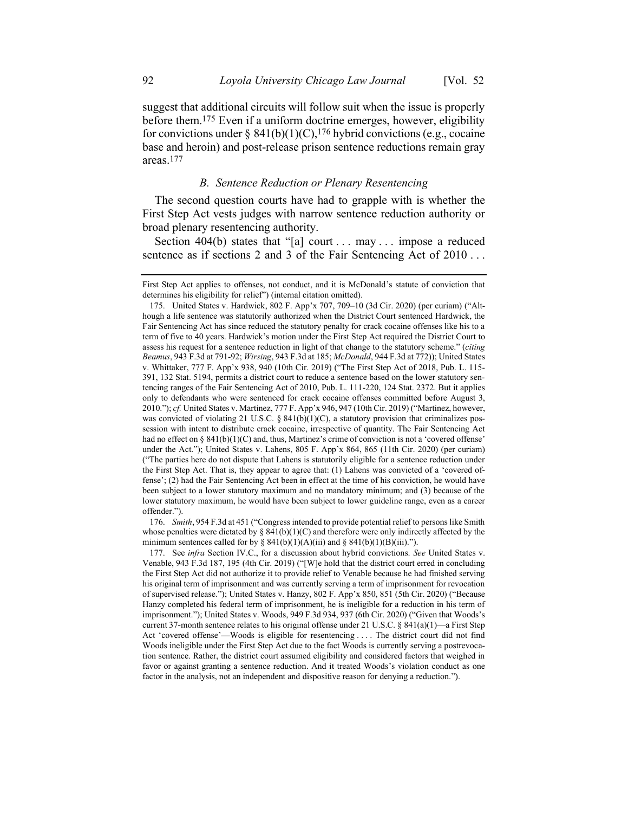suggest that additional circuits will follow suit when the issue is properly before them.175 Even if a uniform doctrine emerges, however, eligibility for convictions under §  $841(b)(1)(C)$ ,<sup>176</sup> hybrid convictions (e.g., cocaine base and heroin) and post-release prison sentence reductions remain gray areas.177

#### *B. Sentence Reduction or Plenary Resentencing*

The second question courts have had to grapple with is whether the First Step Act vests judges with narrow sentence reduction authority or broad plenary resentencing authority.

Section 404(b) states that "[a] court . . . may . . . impose a reduced sentence as if sections 2 and 3 of the Fair Sentencing Act of 2010...

176. *Smith*, 954 F.3d at 451 ("Congress intended to provide potential relief to persons like Smith whose penalties were dictated by §  $841(b)(1)(C)$  and therefore were only indirectly affected by the minimum sentences called for by  $\S 841(b)(1)(A)(iii)$  and  $\S 841(b)(1)(B)(iii)$ .").

First Step Act applies to offenses, not conduct, and it is McDonald's statute of conviction that determines his eligibility for relief") (internal citation omitted).

<sup>175.</sup> United States v. Hardwick, 802 F. App'x 707, 709–10 (3d Cir. 2020) (per curiam) ("Although a life sentence was statutorily authorized when the District Court sentenced Hardwick, the Fair Sentencing Act has since reduced the statutory penalty for crack cocaine offenses like his to a term of five to 40 years. Hardwick's motion under the First Step Act required the District Court to assess his request for a sentence reduction in light of that change to the statutory scheme." (*citing Beamus*, 943 F.3d at 791-92; *Wirsing*, 943 F.3d at 185; *McDonald*, 944 F.3d at 772)); United States v. Whittaker, 777 F. App'x 938, 940 (10th Cir. 2019) ("The First Step Act of 2018, Pub. L. 115- 391, 132 Stat. 5194, permits a district court to reduce a sentence based on the lower statutory sentencing ranges of the Fair Sentencing Act of 2010, Pub. L. 111-220, 124 Stat. 2372. But it applies only to defendants who were sentenced for crack cocaine offenses committed before August 3, 2010."); *cf.* United States v. Martinez, 777 F. App'x 946, 947 (10th Cir. 2019) ("Martinez, however, was convicted of violating 21 U.S.C. § 841(b)(1)(C), a statutory provision that criminalizes possession with intent to distribute crack cocaine, irrespective of quantity. The Fair Sentencing Act had no effect on  $\S$  841(b)(1)(C) and, thus, Martinez's crime of conviction is not a 'covered offense' under the Act."); United States v. Lahens, 805 F. App'x 864, 865 (11th Cir. 2020) (per curiam) ("The parties here do not dispute that Lahens is statutorily eligible for a sentence reduction under the First Step Act. That is, they appear to agree that: (1) Lahens was convicted of a 'covered offense'; (2) had the Fair Sentencing Act been in effect at the time of his conviction, he would have been subject to a lower statutory maximum and no mandatory minimum; and (3) because of the lower statutory maximum, he would have been subject to lower guideline range, even as a career offender.").

<sup>177.</sup> See *infra* Section IV.C., for a discussion about hybrid convictions. *See* United States v. Venable, 943 F.3d 187, 195 (4th Cir. 2019) ("[W]e hold that the district court erred in concluding the First Step Act did not authorize it to provide relief to Venable because he had finished serving his original term of imprisonment and was currently serving a term of imprisonment for revocation of supervised release."); United States v. Hanzy, 802 F. App'x 850, 851 (5th Cir. 2020) ("Because Hanzy completed his federal term of imprisonment, he is ineligible for a reduction in his term of imprisonment."); United States v. Woods, 949 F.3d 934, 937 (6th Cir. 2020) ("Given that Woods's current 37-month sentence relates to his original offense under 21 U.S.C. § 841(a)(1)—a First Step Act 'covered offense'—Woods is eligible for resentencing . . . . The district court did not find Woods ineligible under the First Step Act due to the fact Woods is currently serving a postrevocation sentence. Rather, the district court assumed eligibility and considered factors that weighed in favor or against granting a sentence reduction. And it treated Woods's violation conduct as one factor in the analysis, not an independent and dispositive reason for denying a reduction.").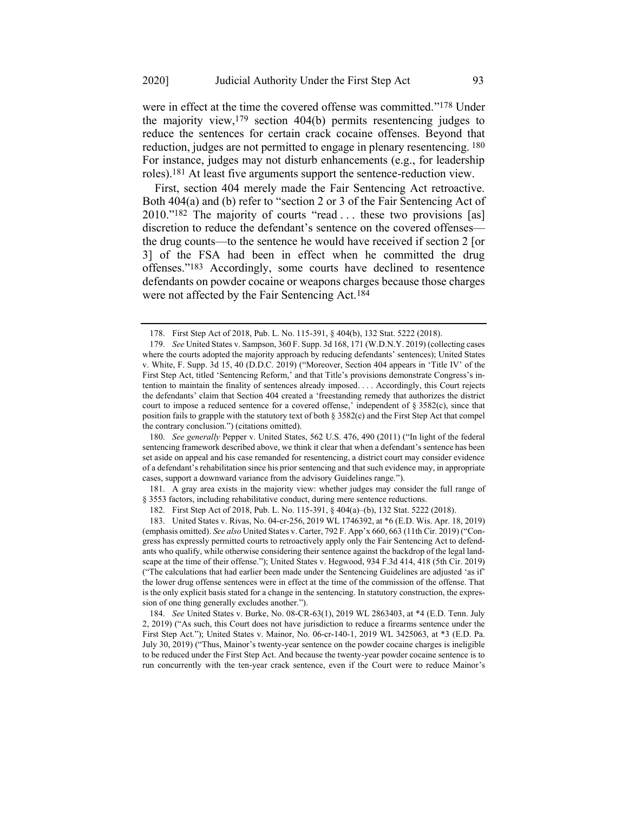were in effect at the time the covered offense was committed."178 Under the majority view,179 section 404(b) permits resentencing judges to reduce the sentences for certain crack cocaine offenses. Beyond that reduction, judges are not permitted to engage in plenary resentencing. 180 For instance, judges may not disturb enhancements (e.g., for leadership roles).181 At least five arguments support the sentence-reduction view.

First, section 404 merely made the Fair Sentencing Act retroactive. Both 404(a) and (b) refer to "section 2 or 3 of the Fair Sentencing Act of 2010."182 The majority of courts "read . . . these two provisions [as] discretion to reduce the defendant's sentence on the covered offenses the drug counts—to the sentence he would have received if section 2 [or 3] of the FSA had been in effect when he committed the drug offenses."183 Accordingly, some courts have declined to resentence defendants on powder cocaine or weapons charges because those charges were not affected by the Fair Sentencing Act.184

180. *See generally* Pepper v. United States, 562 U.S. 476, 490 (2011) ("In light of the federal sentencing framework described above, we think it clear that when a defendant's sentence has been set aside on appeal and his case remanded for resentencing, a district court may consider evidence of a defendant's rehabilitation since his prior sentencing and that such evidence may, in appropriate cases, support a downward variance from the advisory Guidelines range.").

181. A gray area exists in the majority view: whether judges may consider the full range of § 3553 factors, including rehabilitative conduct, during mere sentence reductions.

<sup>178.</sup> First Step Act of 2018, Pub. L. No. 115-391, § 404(b), 132 Stat. 5222 (2018).

<sup>179.</sup> *See* United States v. Sampson, 360 F. Supp. 3d 168, 171 (W.D.N.Y. 2019) (collecting cases where the courts adopted the majority approach by reducing defendants' sentences); United States v. White, F. Supp. 3d 15, 40 (D.D.C. 2019) ("Moreover, Section 404 appears in 'Title IV' of the First Step Act, titled 'Sentencing Reform,' and that Title's provisions demonstrate Congress's intention to maintain the finality of sentences already imposed. . . . Accordingly, this Court rejects the defendants' claim that Section 404 created a 'freestanding remedy that authorizes the district court to impose a reduced sentence for a covered offense,' independent of § 3582(c), since that position fails to grapple with the statutory text of both § 3582(c) and the First Step Act that compel the contrary conclusion.") (citations omitted).

<sup>182.</sup> First Step Act of 2018, Pub. L. No. 115-391, § 404(a)–(b), 132 Stat. 5222 (2018).

<sup>183.</sup> United States v. Rivas, No. 04-cr-256, 2019 WL 1746392, at \*6 (E.D. Wis. Apr. 18, 2019) (emphasis omitted). *See also* United States v. Carter, 792 F. App'x 660, 663 (11th Cir. 2019) ("Congress has expressly permitted courts to retroactively apply only the Fair Sentencing Act to defendants who qualify, while otherwise considering their sentence against the backdrop of the legal landscape at the time of their offense."); United States v. Hegwood, 934 F.3d 414, 418 (5th Cir. 2019) ("The calculations that had earlier been made under the Sentencing Guidelines are adjusted 'as if' the lower drug offense sentences were in effect at the time of the commission of the offense. That is the only explicit basis stated for a change in the sentencing. In statutory construction, the expression of one thing generally excludes another.").

<sup>184.</sup> *See* United States v. Burke, No. 08-CR-63(1), 2019 WL 2863403, at \*4 (E.D. Tenn. July 2, 2019) ("As such, this Court does not have jurisdiction to reduce a firearms sentence under the First Step Act."); United States v. Mainor, No. 06-cr-140-1, 2019 WL 3425063, at \*3 (E.D. Pa. July 30, 2019) ("Thus, Mainor's twenty-year sentence on the powder cocaine charges is ineligible to be reduced under the First Step Act. And because the twenty-year powder cocaine sentence is to run concurrently with the ten-year crack sentence, even if the Court were to reduce Mainor's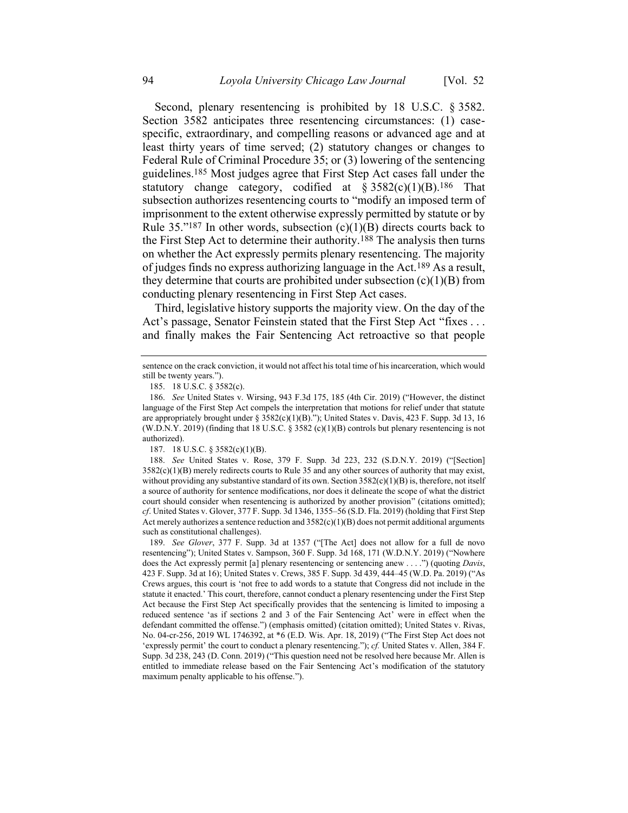Second, plenary resentencing is prohibited by 18 U.S.C. § 3582. Section 3582 anticipates three resentencing circumstances: (1) casespecific, extraordinary, and compelling reasons or advanced age and at least thirty years of time served; (2) statutory changes or changes to Federal Rule of Criminal Procedure 35; or (3) lowering of the sentencing guidelines.185 Most judges agree that First Step Act cases fall under the statutory change category, codified at  $\S 3582(c)(1)(B).$ <sup>186</sup> That subsection authorizes resentencing courts to "modify an imposed term of imprisonment to the extent otherwise expressly permitted by statute or by Rule  $35.^{187}$  In other words, subsection (c)(1)(B) directs courts back to the First Step Act to determine their authority.188 The analysis then turns on whether the Act expressly permits plenary resentencing. The majority of judges finds no express authorizing language in the Act.189 As a result, they determine that courts are prohibited under subsection  $(c)(1)(B)$  from conducting plenary resentencing in First Step Act cases.

Third, legislative history supports the majority view. On the day of the Act's passage, Senator Feinstein stated that the First Step Act "fixes ... and finally makes the Fair Sentencing Act retroactive so that people

187. 18 U.S.C. § 3582(c)(1)(B).

sentence on the crack conviction, it would not affect his total time of his incarceration, which would still be twenty years.").

<sup>185.</sup> 18 U.S.C. § 3582(c).

<sup>186.</sup> *See* United States v. Wirsing, 943 F.3d 175, 185 (4th Cir. 2019) ("However, the distinct language of the First Step Act compels the interpretation that motions for relief under that statute are appropriately brought under § 3582(c)(1)(B)."); United States v. Davis, 423 F. Supp. 3d 13, 16 (W.D.N.Y. 2019) (finding that 18 U.S.C. § 3582 (c)(1)(B) controls but plenary resentencing is not authorized).

<sup>188.</sup> *See* United States v. Rose, 379 F. Supp. 3d 223, 232 (S.D.N.Y. 2019) ("[Section]  $3582(c)(1)(B)$  merely redirects courts to Rule 35 and any other sources of authority that may exist, without providing any substantive standard of its own. Section  $3582(c)(1)(B)$  is, therefore, not itself a source of authority for sentence modifications, nor does it delineate the scope of what the district court should consider when resentencing is authorized by another provision" (citations omitted); *cf*. United States v. Glover, 377 F. Supp. 3d 1346, 1355–56 (S.D. Fla. 2019) (holding that First Step Act merely authorizes a sentence reduction and  $3582(c)(1)(B)$  does not permit additional arguments such as constitutional challenges).

<sup>189.</sup> *See Glover*, 377 F. Supp. 3d at 1357 ("[The Act] does not allow for a full de novo resentencing"); United States v. Sampson, 360 F. Supp. 3d 168, 171 (W.D.N.Y. 2019) ("Nowhere does the Act expressly permit [a] plenary resentencing or sentencing anew . . . .") (quoting *Davis*, 423 F. Supp. 3d at 16); United States v. Crews, 385 F. Supp. 3d 439, 444–45 (W.D. Pa. 2019) ("As Crews argues, this court is 'not free to add words to a statute that Congress did not include in the statute it enacted.' This court, therefore, cannot conduct a plenary resentencing under the First Step Act because the First Step Act specifically provides that the sentencing is limited to imposing a reduced sentence 'as if sections 2 and 3 of the Fair Sentencing Act' were in effect when the defendant committed the offense.") (emphasis omitted) (citation omitted); United States v. Rivas, No. 04-cr-256, 2019 WL 1746392, at \*6 (E.D. Wis. Apr. 18, 2019) ("The First Step Act does not 'expressly permit' the court to conduct a plenary resentencing."); *cf.* United States v. Allen, 384 F. Supp. 3d 238, 243 (D. Conn. 2019) ("This question need not be resolved here because Mr. Allen is entitled to immediate release based on the Fair Sentencing Act's modification of the statutory maximum penalty applicable to his offense.").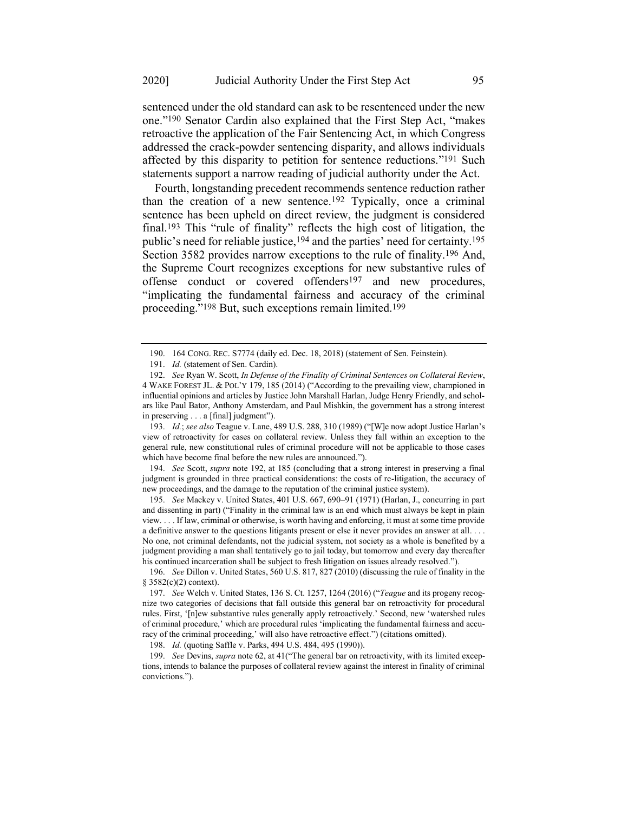sentenced under the old standard can ask to be resentenced under the new one."190 Senator Cardin also explained that the First Step Act, "makes retroactive the application of the Fair Sentencing Act, in which Congress addressed the crack-powder sentencing disparity, and allows individuals affected by this disparity to petition for sentence reductions."191 Such statements support a narrow reading of judicial authority under the Act.

<span id="page-29-0"></span>Fourth, longstanding precedent recommends sentence reduction rather than the creation of a new sentence.192 Typically, once a criminal sentence has been upheld on direct review, the judgment is considered final.193 This "rule of finality" reflects the high cost of litigation, the public's need for reliable justice,<sup>194</sup> and the parties' need for certainty.<sup>195</sup> Section 3582 provides narrow exceptions to the rule of finality.196 And, the Supreme Court recognizes exceptions for new substantive rules of offense conduct or covered offenders197 and new procedures, "implicating the fundamental fairness and accuracy of the criminal proceeding."198 But, such exceptions remain limited.199

193. *Id.*; *see also* Teague v. Lane, 489 U.S. 288, 310 (1989) ("[W]e now adopt Justice Harlan's view of retroactivity for cases on collateral review. Unless they fall within an exception to the general rule, new constitutional rules of criminal procedure will not be applicable to those cases which have become final before the new rules are announced.").

194. *See* Scott, *supra* note [192,](#page-29-0) at 185 (concluding that a strong interest in preserving a final judgment is grounded in three practical considerations: the costs of re-litigation, the accuracy of new proceedings, and the damage to the reputation of the criminal justice system).

195. *See* Mackey v. United States, 401 U.S. 667, 690–91 (1971) (Harlan, J., concurring in part and dissenting in part) ("Finality in the criminal law is an end which must always be kept in plain view. . . . If law, criminal or otherwise, is worth having and enforcing, it must at some time provide a definitive answer to the questions litigants present or else it never provides an answer at all. . . . No one, not criminal defendants, not the judicial system, not society as a whole is benefited by a judgment providing a man shall tentatively go to jail today, but tomorrow and every day thereafter his continued incarceration shall be subject to fresh litigation on issues already resolved.").

198. *Id.* (quoting Saffle v. Parks, 494 U.S. 484, 495 (1990)).

199. *See* Devins, *supra* note [62,](#page-8-0) at 41("The general bar on retroactivity, with its limited exceptions, intends to balance the purposes of collateral review against the interest in finality of criminal convictions.").

<sup>190.</sup> 164 CONG. REC. S7774 (daily ed. Dec. 18, 2018) (statement of Sen. Feinstein).

<sup>191.</sup> *Id.* (statement of Sen. Cardin).

<sup>192.</sup> *See* Ryan W. Scott, *In Defense of the Finality of Criminal Sentences on Collateral Review*, 4 WAKE FOREST JL. & POL'Y 179, 185 (2014) ("According to the prevailing view, championed in influential opinions and articles by Justice John Marshall Harlan, Judge Henry Friendly, and scholars like Paul Bator, Anthony Amsterdam, and Paul Mishkin, the government has a strong interest in preserving . . . a [final] judgment").

<sup>196.</sup> *See* Dillon v. United States, 560 U.S. 817, 827 (2010) (discussing the rule of finality in the § [3582\(c\)\(2\)](https://1.next.westlaw.com/Link/Document/FullText?findType=L&pubNum=1000546&cite=18USCAS3582&originatingDoc=I936fc9af7a0b11dfbd1deb0d18fe7234&refType=RB&originationContext=document&transitionType=DocumentItem&contextData=(sc.History*oc.DocLink)#co_pp_fcf30000ea9c4) context).

<sup>197.</sup> *See* Welch v. United States, 136 S. Ct. 1257, 1264 (2016) ("*Teague* and its progeny recognize two categories of decisions that fall outside this general bar on retroactivity for procedural rules. First, '[n]ew substantive rules generally apply retroactively.' Second, new 'watershed rules of criminal procedure,' which are procedural rules 'implicating the fundamental fairness and accuracy of the criminal proceeding,' will also have retroactive effect.") (citations omitted).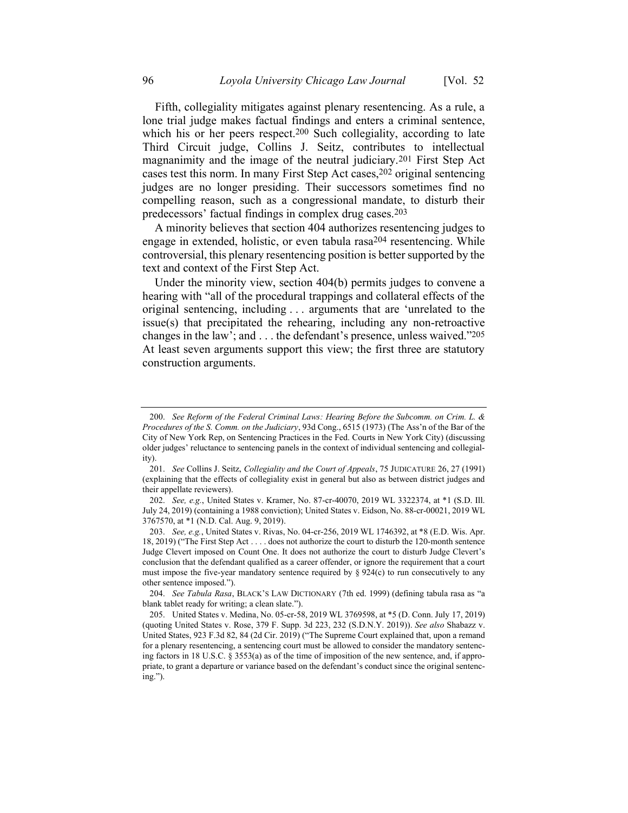Fifth, collegiality mitigates against plenary resentencing. As a rule, a lone trial judge makes factual findings and enters a criminal sentence, which his or her peers respect.<sup>200</sup> Such collegiality, according to late Third Circuit judge, Collins J. Seitz, contributes to intellectual magnanimity and the image of the neutral judiciary.201 First Step Act cases test this norm. In many First Step Act cases, <sup>202</sup> original sentencing judges are no longer presiding. Their successors sometimes find no compelling reason, such as a congressional mandate, to disturb their predecessors' factual findings in complex drug cases.203

A minority believes that section 404 authorizes resentencing judges to engage in extended, holistic, or even tabula rasa204 resentencing. While controversial, this plenary resentencing position is better supported by the text and context of the First Step Act.

Under the minority view, section 404(b) permits judges to convene a hearing with "all of the procedural trappings and collateral effects of the original sentencing, including . . . arguments that are 'unrelated to the issue(s) that precipitated the rehearing, including any non-retroactive changes in the law'; and . . . the defendant's presence, unless waived."205 At least seven arguments support this view; the first three are statutory construction arguments.

<sup>200.</sup> *See Reform of the Federal Criminal Laws: Hearing Before the Subcomm. on Crim. L. & Procedures of the S. Comm. on the Judiciary*, 93d Cong., 6515 (1973) (The Ass'n of the Bar of the City of New York Rep, on Sentencing Practices in the Fed. Courts in New York City) (discussing older judges' reluctance to sentencing panels in the context of individual sentencing and collegiality).

<sup>201.</sup> *See* Collins J. Seitz, *Collegiality and the Court of Appeals*, 75 JUDICATURE 26, 27 (1991) (explaining that the effects of collegiality exist in general but also as between district judges and their appellate reviewers).

<sup>202.</sup> *See, e.g.*, United States v. Kramer, No. 87-cr-40070, 2019 WL 3322374, at \*1 (S.D. Ill. July 24, 2019) (containing a 1988 conviction); United States v. Eidson, No. 88-cr-00021, 2019 WL 3767570, at \*1 (N.D. Cal. Aug. 9, 2019).

<sup>203.</sup> *See, e.g.*, United States v. Rivas, No. 04-cr-256, 2019 WL 1746392, at \*8 (E.D. Wis. Apr. 18, 2019) ("The First Step Act . . . . does not authorize the court to disturb the 120-month sentence Judge Clevert imposed on Count One. It does not authorize the court to disturb Judge Clevert's conclusion that the defendant qualified as a career offender, or ignore the requirement that a court must impose the five-year mandatory sentence required by  $\S 924(c)$  to run consecutively to any other sentence imposed.").

<sup>204.</sup> *See Tabula Rasa*, BLACK'S LAW DICTIONARY (7th ed. 1999) (defining tabula rasa as "a blank tablet ready for writing; a clean slate.").

<sup>205.</sup> United States v. Medina, No. 05-cr-58, 2019 WL 3769598, at \*5 (D. Conn. July 17, 2019) (quoting United States v. Rose, 379 F. Supp. 3d 223, 232 (S.D.N.Y. 2019)). *See also* Shabazz v. United States, 923 F.3d 82, 84 (2d Cir. 2019) ("The Supreme Court explained that, upon a remand for a plenary resentencing, a sentencing court must be allowed to consider the mandatory sentencing factors in 18 U.S.C. § 3553(a) as of the time of imposition of the new sentence, and, if appropriate, to grant a departure or variance based on the defendant's conduct since the original sentencing.").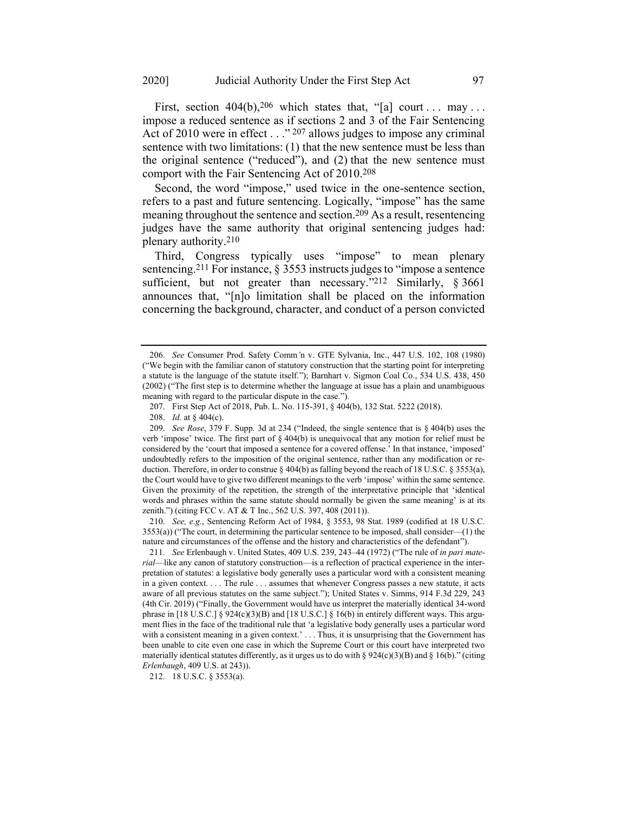First, section  $404(b)$ ,  $206$  which states that, "[a] court ... may ... impose a reduced sentence as if sections 2 and 3 of the Fair Sentencing Act of 2010 were in effect  $\ldots$  <sup>207</sup> allows judges to impose any criminal sentence with two limitations: (1) that the new sentence must be less than the original sentence ("reduced"), and (2) that the new sentence must comport with the Fair Sentencing Act of 2010.208

Second, the word "impose," used twice in the one-sentence section, refers to a past and future sentencing. Logically, "impose" has the same meaning throughout the sentence and section.209 As a result, resentencing judges have the same authority that original sentencing judges had: plenary authority.210

Third, Congress typically uses "impose" to mean plenary sentencing.211 For instance, § 3553 instructs judges to "impose a sentence sufficient, but not greater than necessary."<sup>212</sup> Similarly, § 3661 announces that, "[n]o limitation shall be placed on the information concerning the background, character, and conduct of a person convicted

210. *See, e.g.*, Sentencing Reform Act of 1984, § 3553, 98 Stat. 1989 (codified at 18 U.S.C. 3553(a)) ("The court, in determining the particular sentence to be imposed, shall consider—(1) the nature and circumstances of the offense and the history and characteristics of the defendant").

<sup>206.</sup> *See* Consumer Prod. Safety Comm*'*n v. GTE Sylvania, Inc., 447 U.S. 102, 108 (1980) ("We begin with the familiar canon of statutory construction that the starting point for interpreting a statute is the language of the statute itself."); Barnhart v. Sigmon Coal Co., 534 U.S. 438, 450 (2002) ("The first step is to determine whether the language at issue has a plain and unambiguous meaning with regard to the particular dispute in the case.").

<sup>207.</sup> First Step Act of 2018, Pub. L. No. 115-391, § 404(b), 132 Stat. 5222 (2018).

<sup>208.</sup> *Id.* at § 404(c).

<sup>209.</sup> *See Rose*, 379 F. Supp. 3d at 234 ("Indeed, the single sentence that is § 404(b) uses the verb 'impose' twice. The first part of § 404(b) is unequivocal that any motion for relief must be considered by the 'court that imposed a sentence for a covered offense.' In that instance, 'imposed' undoubtedly refers to the imposition of the original sentence, rather than any modification or reduction. Therefore, in order to construe § 404(b) as falling beyond the reach of 18 U.S.C. § 3553(a), the Court would have to give two different meanings to the verb 'impose' within the same sentence. Given the proximity of the repetition, the strength of the interpretative principle that 'identical words and phrases within the same statute should normally be given the same meaning' is at its zenith.") (citing FCC v. AT & T Inc., 562 U.S. 397, 408 (2011)).

<sup>211.</sup> *See* Erlenbaugh v. United States, 409 U.S. 239, 243–44 (1972) ("The rule of *in pari material*—like any canon of statutory construction—is a reflection of practical experience in the interpretation of statutes: a legislative body generally uses a particular word with a consistent meaning in a given context. . . . The rule . . . assumes that whenever Congress passes a new statute, it acts aware of all previous statutes on the same subject."); United States v. Simms, 914 F.3d 229, 243 (4th Cir. 2019) ("Finally, the Government would have us interpret the materially identical 34-word phrase in [18 U.S.C.] § 924(c)(3)(B) and [18 U.S.C.] § 16(b) in entirely different ways. This argument flies in the face of the traditional rule that 'a legislative body generally uses a particular word with a consistent meaning in a given context.'... Thus, it is unsurprising that the Government has been unable to cite even one case in which the Supreme Court or this court have interpreted two materially identical statutes differently, as it urges us to do with §  $924(c)(3)(B)$  and § 16(b)." (citing *Erlenbaugh*, 409 U.S. at 243)).

<sup>212.</sup> 18 U.S.C. § 3553(a).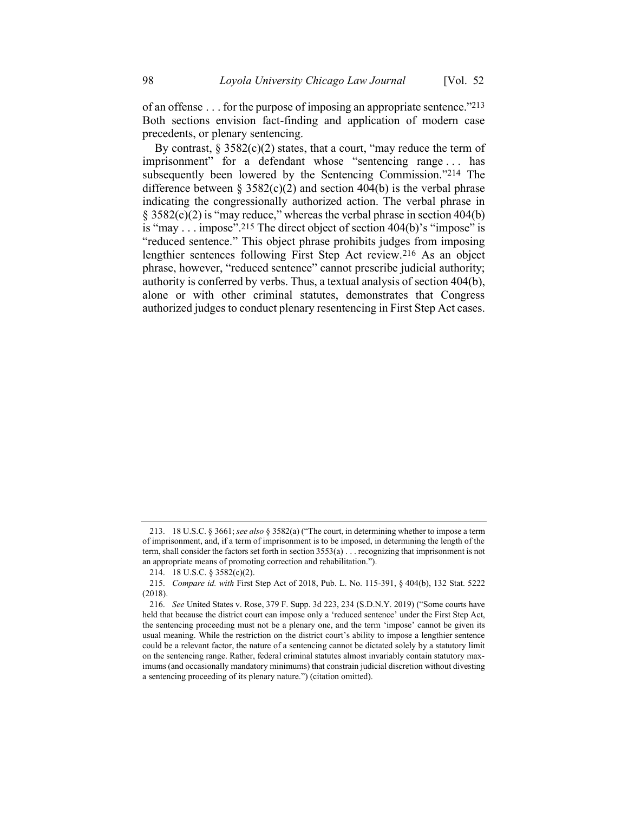of an offense . . . for the purpose of imposing an appropriate sentence."213 Both sections envision fact-finding and application of modern case precedents, or plenary sentencing.

By contrast,  $\S 3582(c)(2)$  states, that a court, "may reduce the term of imprisonment" for a defendant whose "sentencing range . . . has subsequently been lowered by the Sentencing Commission."214 The difference between  $\S 3582(c)(2)$  and section 404(b) is the verbal phrase indicating the congressionally authorized action. The verbal phrase in § 3582(c)(2) is "may reduce," whereas the verbal phrase in section 404(b) is "may . . . impose". 215 The direct object of section 404(b)'s "impose" is "reduced sentence." This object phrase prohibits judges from imposing lengthier sentences following First Step Act review.216 As an object phrase, however, "reduced sentence" cannot prescribe judicial authority; authority is conferred by verbs. Thus, a textual analysis of section 404(b), alone or with other criminal statutes, demonstrates that Congress authorized judges to conduct plenary resentencing in First Step Act cases.

<sup>213.</sup> 18 U.S.C. § 3661; *see also* § 3582(a) ("The court, in determining whether to impose a term of imprisonment, and, if a term of imprisonment is to be imposed, in determining the length of the term, shall consider the factors set forth in section 3553(a) . . . recognizing that imprisonment is not an appropriate means of promoting correction and rehabilitation.").

<sup>214.</sup> 18 U.S.C. § 3582(c)(2).

<sup>215.</sup> *Compare id. with* First Step Act of 2018, Pub. L. No. 115-391, § 404(b), 132 Stat. 5222 (2018).

<sup>216.</sup> *See* United States v. Rose, 379 F. Supp. 3d 223, 234 (S.D.N.Y. 2019) ("Some courts have held that because the district court can impose only a 'reduced sentence' under the First Step Act, the sentencing proceeding must not be a plenary one, and the term 'impose' cannot be given its usual meaning. While the restriction on the district court's ability to impose a lengthier sentence could be a relevant factor, the nature of a sentencing cannot be dictated solely by a statutory limit on the sentencing range. Rather, federal criminal statutes almost invariably contain statutory maximums (and occasionally mandatory minimums) that constrain judicial discretion without divesting a sentencing proceeding of its plenary nature.") (citation omitted).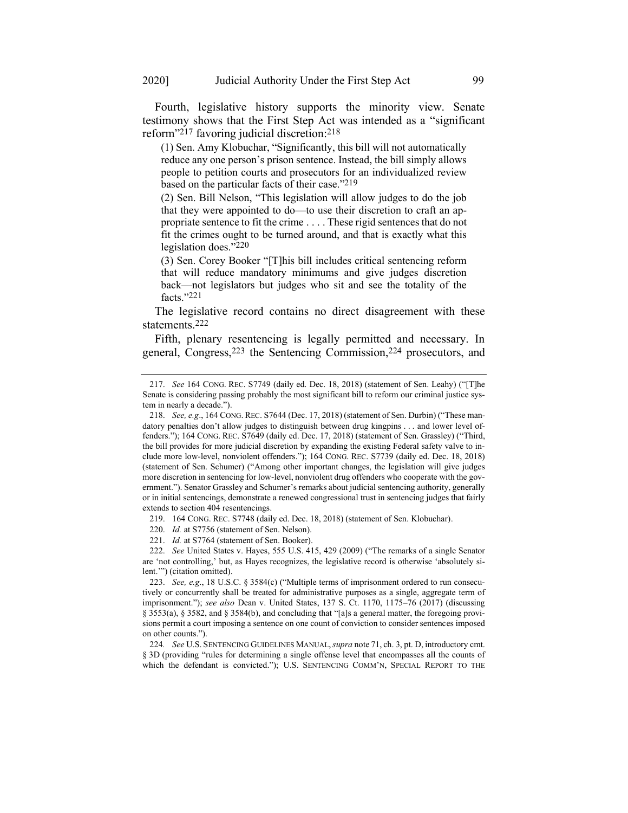Fourth, legislative history supports the minority view. Senate testimony shows that the First Step Act was intended as a "significant reform"217 favoring judicial discretion:218

(1) Sen. Amy Klobuchar, "Significantly, this bill will not automatically reduce any one person's prison sentence. Instead, the bill simply allows people to petition courts and prosecutors for an individualized review based on the particular facts of their case."219

(2) Sen. Bill Nelson, "This legislation will allow judges to do the job that they were appointed to do—to use their discretion to craft an appropriate sentence to fit the crime . . . . These rigid sentences that do not fit the crimes ought to be turned around, and that is exactly what this legislation does." 220

(3) Sen. Corey Booker "[T]his bill includes critical sentencing reform that will reduce mandatory minimums and give judges discretion back—not legislators but judges who sit and see the totality of the facts." 221

The legislative record contains no direct disagreement with these statements.222

Fifth, plenary resentencing is legally permitted and necessary. In general, Congress,223 the Sentencing Commission,224 prosecutors, and

219. 164 CONG. REC. S7748 (daily ed. Dec. 18, 2018) (statement of Sen. Klobuchar).

220. *Id.* at S7756 (statement of Sen. Nelson).

221. *Id.* at S7764 (statement of Sen. Booker).

222. *See* United States v. Hayes, 555 U.S. 415, 429 (2009) ("The remarks of a single Senator are 'not controlling,' but, as Hayes recognizes, the legislative record is otherwise 'absolutely silent.'") (citation omitted).

224*. See* U.S. SENTENCING GUIDELINES MANUAL,*supra* note [71,](#page-9-0) ch. 3, pt. D, introductory cmt. § 3D (providing "rules for determining a single offense level that encompasses all the counts of which the defendant is convicted."); U.S. SENTENCING COMM'N, SPECIAL REPORT TO THE

<sup>217.</sup> *See* 164 CONG. REC. S7749 (daily ed. Dec. 18, 2018) (statement of Sen. Leahy) ("[T]he Senate is considering passing probably the most significant bill to reform our criminal justice system in nearly a decade.").

<sup>218.</sup> *See, e.g*., 164 CONG. REC. S7644 (Dec. 17, 2018) (statement of Sen. Durbin) ("These mandatory penalties don't allow judges to distinguish between drug kingpins . . . and lower level offenders."); 164 CONG. REC. S7649 (daily ed. Dec. 17, 2018) (statement of Sen. Grassley) ("Third, the bill provides for more judicial discretion by expanding the existing Federal safety valve to include more low-level, nonviolent offenders."); 164 CONG. REC. S7739 (daily ed. Dec. 18, 2018) (statement of Sen. Schumer) ("Among other important changes, the legislation will give judges more discretion in sentencing for low-level, nonviolent drug offenders who cooperate with the government."). Senator Grassley and Schumer's remarks about judicial sentencing authority, generally or in initial sentencings, demonstrate a renewed congressional trust in sentencing judges that fairly extends to section 404 resentencings.

<sup>223.</sup> *See, e.g*., 18 U.S.C. § 3584(c) ("Multiple terms of imprisonment ordered to run consecutively or concurrently shall be treated for administrative purposes as a single, aggregate term of imprisonment."); *see also* Dean v. United States, 137 S. Ct. 1170, 1175–76 (2017) (discussing § 3553(a), § 3582, and § 3584(b), and concluding that "[a]s a general matter, the foregoing provisions permit a court imposing a sentence on one count of conviction to consider sentences imposed on other counts.").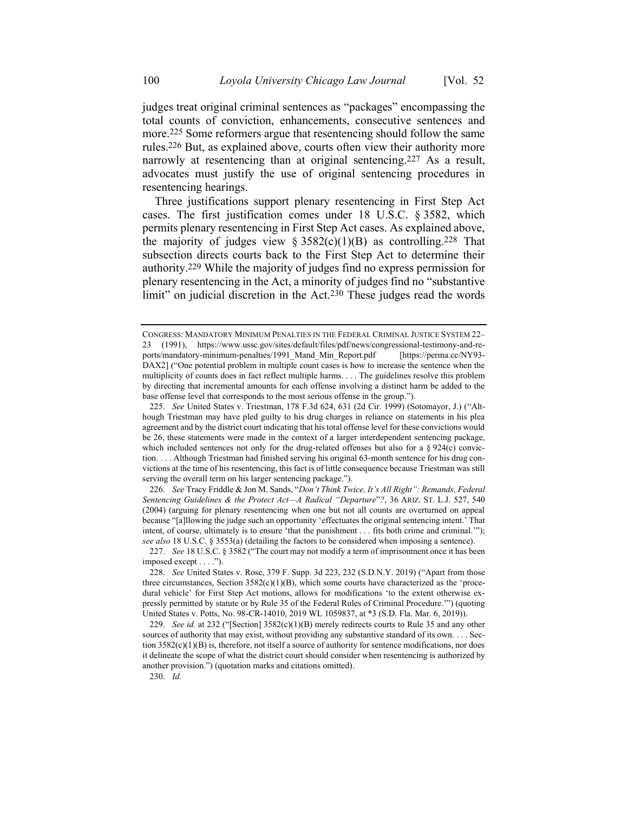judges treat original criminal sentences as "packages" encompassing the total counts of conviction, enhancements, consecutive sentences and more.<sup>225</sup> Some reformers argue that resentencing should follow the same rules.226 But, as explained above, courts often view their authority more narrowly at resentencing than at original sentencing.<sup>227</sup> As a result, advocates must justify the use of original sentencing procedures in resentencing hearings.

Three justifications support plenary resentencing in First Step Act cases. The first justification comes under 18 U.S.C. § 3582, which permits plenary resentencing in First Step Act cases. As explained above, the majority of judges view  $\S 3582(c)(1)(B)$  as controlling.<sup>228</sup> That subsection directs courts back to the First Step Act to determine their authority.229 While the majority of judges find no express permission for plenary resentencing in the Act, a minority of judges find no "substantive limit" on judicial discretion in the Act.<sup>230</sup> These judges read the words

230. *Id.* 

CONGRESS: MANDATORY MINIMUM PENALTIES IN THE FEDERAL CRIMINAL JUSTICE SYSTEM 22– 23 (1991), https://www.ussc.gov/sites/default/files/pdf/news/congressional-testimony-and-reports/mandatory-minimum-penalties/1991\_Mand\_Min\_Report.pdf [https://perma.cc/NY93- DAX2] ("One potential problem in multiple count cases is how to increase the sentence when the multiplicity of counts does in fact reflect multiple harms. . . . The guidelines resolve this problem by directing that incremental amounts for each offense involving a distinct harm be added to the base offense level that corresponds to the most serious offense in the group.").

<sup>225.</sup> *See* United States v. Triestman, 178 F.3d 624, 631 (2d Cir. 1999) (Sotomayor, J.) ("Although Triestman may have pled guilty to his drug charges in reliance on statements in his plea agreement and by the district court indicating that his total offense level for these convictions would be 26, these statements were made in the context of a larger interdependent sentencing package, which included sentences not only for the drug-related offenses but also for a  $\S 924(c)$  conviction. . . . Although Triestman had finished serving his original 63-month sentence for his drug convictions at the time of his resentencing, this fact is of little consequence because Triestman was still serving the overall term on his larger sentencing package.").

<sup>226.</sup> *See* Tracy Friddle & Jon M. Sands, "*Don't Think Twice, It's All Right": Remands, Federal Sentencing Guidelines & the Protect Act—A Radical "Departure*"*?*, 36 ARIZ. ST. L.J. 527, 540 (2004) (arguing for plenary resentencing when one but not all counts are overturned on appeal because "[a]llowing the judge such an opportunity 'effectuates the original sentencing intent.' That intent, of course, ultimately is to ensure 'that the punishment . . . fits both crime and criminal.'"); *see also* 18 U.S.C. § 3553(a) (detailing the factors to be considered when imposing a sentence).

<sup>227.</sup> *See* 18 U.S.C. § 3582 ("The court may not modify a term of imprisonment once it has been imposed except . . . .").

<sup>228.</sup> *See* United States v. Rose, 379 F. Supp. 3d 223, 232 (S.D.N.Y. 2019) ("Apart from those three circumstances, Section  $3582(c)(1)(B)$ , which some courts have characterized as the 'procedural vehicle' for First Step Act motions, allows for modifications 'to the extent otherwise expressly permitted by statute or by Rule 35 of the Federal Rules of Criminal Procedure.'") (quoting United States v. Potts, No. 98-CR-14010, 2019 WL 1059837, at \*3 (S.D. Fla. Mar. 6, 2019)).

<sup>229.</sup> *See id.* at 232 ("[Section] 3582(c)(1)(B) merely redirects courts to Rule 35 and any other sources of authority that may exist, without providing any substantive standard of its own. . . . Section  $3582(c)(1)(B)$  is, therefore, not itself a source of authority for sentence modifications, nor does it delineate the scope of what the district court should consider when resentencing is authorized by another provision.") (quotation marks and citations omitted).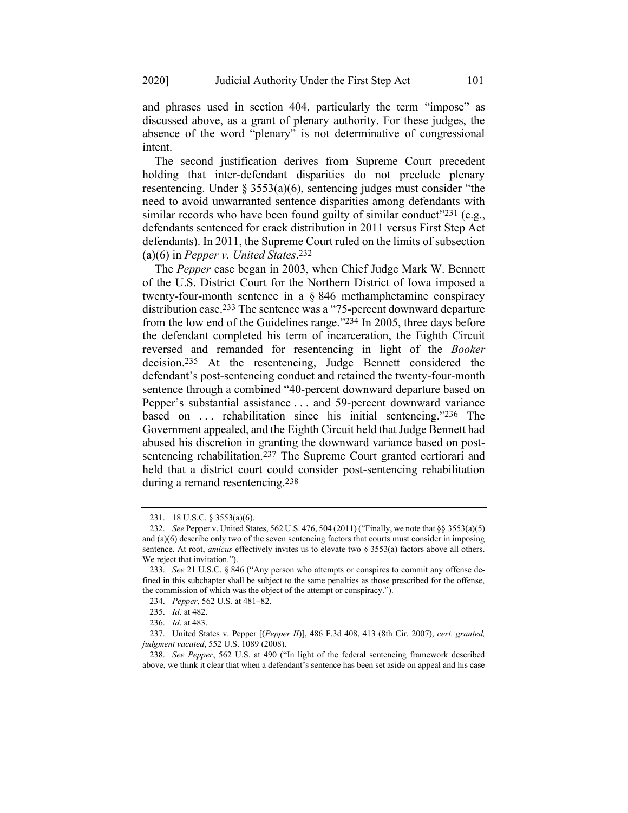and phrases used in section 404, particularly the term "impose" as discussed above, as a grant of plenary authority. For these judges, the absence of the word "plenary" is not determinative of congressional intent.

The second justification derives from Supreme Court precedent holding that inter-defendant disparities do not preclude plenary resentencing. Under § 3553(a)(6), sentencing judges must consider "the need to avoid unwarranted sentence disparities among defendants with similar records who have been found guilty of similar conduct"<sup>231</sup> (e.g., defendants sentenced for crack distribution in 2011 versus First Step Act defendants). In 2011, the Supreme Court ruled on the limits of subsection (a)(6) in *Pepper v. United States*. 232

The *Pepper* case began in 2003, when Chief Judge Mark W. Bennett of the U.S. District Court for the Northern District of Iowa imposed a twenty-four-month sentence in a § 846 methamphetamine conspiracy distribution case. 233 The sentence was a "75-percent downward departure from the low end of the Guidelines range."234 In 2005, three days before the defendant completed his term of incarceration, the Eighth Circuit reversed and remanded for resentencing in light of the *Booker* decision. 235 At the resentencing, Judge Bennett considered the defendant's post-sentencing conduct and retained the twenty-four-month sentence through a combined "40-percent downward departure based on Pepper's substantial assistance . . . and 59-percent downward variance based on ... rehabilitation since his initial sentencing."236 The Government appealed, and the Eighth Circuit held that Judge Bennett had abused his discretion in granting the downward variance based on postsentencing rehabilitation.<sup>237</sup> The Supreme Court granted certiorari and held that a district court could consider post-sentencing rehabilitation during a remand resentencing.238

<sup>231.</sup> 18 U.S.C. § 3553(a)(6).

<sup>232.</sup> *See* Pepper v. United States, 562 U.S. 476, 504 (2011) ("Finally, we note that §§ 3553(a)(5) and (a)(6) describe only two of the seven sentencing factors that courts must consider in imposing sentence. At root, *amicus* effectively invites us to elevate two § 3553(a) factors above all others. We reject that invitation.").

<sup>233.</sup> *See* 21 U.S.C. § 846 ("Any person who attempts or conspires to commit any offense defined in this subchapter shall be subject to the same penalties as those prescribed for the offense, the commission of which was the object of the attempt or conspiracy.").

<sup>234.</sup> *Pepper*, 562 U.S*.* at 481–82.

<sup>235.</sup> *Id*. at 482.

<sup>236.</sup> *Id*. at 483.

<sup>237.</sup> United States v. Pepper [(*Pepper II*)], 486 F.3d 408, 413 (8th Cir. 2007), *cert. granted, judgment vacated*, 552 U.S. 1089 (2008).

<sup>238.</sup> *See Pepper*, 562 U.S. at 490 ("In light of the federal sentencing framework described above, we think it clear that when a defendant's sentence has been set aside on appeal and his case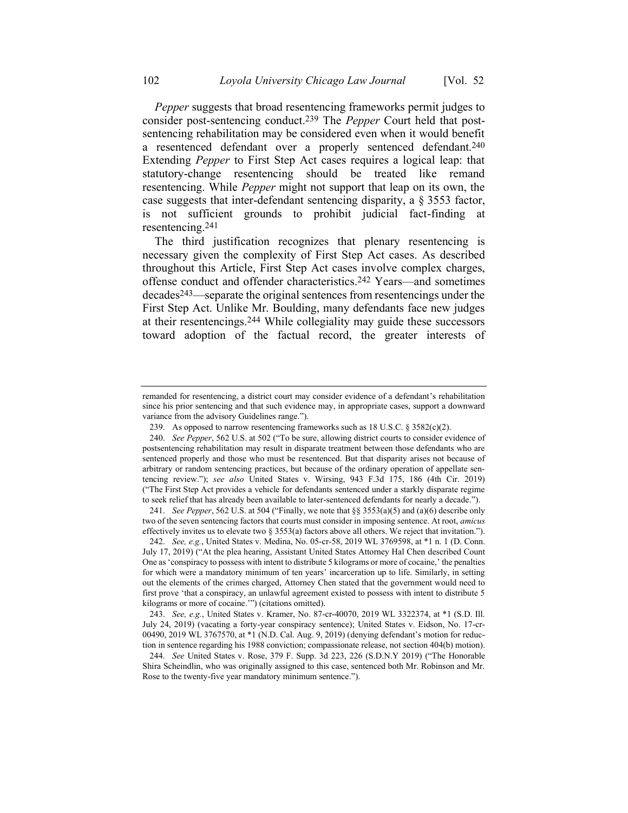*Pepper* suggests that broad resentencing frameworks permit judges to consider post-sentencing conduct.239 The *Pepper* Court held that postsentencing rehabilitation may be considered even when it would benefit a resentenced defendant over a properly sentenced defendant.240 Extending *Pepper* to First Step Act cases requires a logical leap: that statutory-change resentencing should be treated like remand resentencing. While *Pepper* might not support that leap on its own, the case suggests that inter-defendant sentencing disparity, a § 3553 factor, is not sufficient grounds to prohibit judicial fact-finding at resentencing.241

The third justification recognizes that plenary resentencing is necessary given the complexity of First Step Act cases. As described throughout this Article, First Step Act cases involve complex charges, offense conduct and offender characteristics.242 Years—and sometimes decades243—separate the original sentences from resentencings under the First Step Act. Unlike Mr. Boulding, many defendants face new judges at their resentencings.244 While collegiality may guide these successors toward adoption of the factual record, the greater interests of

241. *See Pepper*, 562 U.S. at 504 ("Finally, we note that §§ 3553(a)(5) and (a)(6) describe only two of the seven sentencing factors that courts must consider in imposing sentence. At root, *amicus* effectively invites us to elevate two  $\S 3553(a)$  factors above all others. We reject that invitation.").

243. *See, e.g.*, United States v. Kramer, No. 87-cr-40070, 2019 WL 3322374, at \*1 (S.D. Ill. July 24, 2019) (vacating a forty-year conspiracy sentence); United States v. Eidson, No. 17-cr-00490, 2019 WL 3767570, at \*1 (N.D. Cal. Aug. 9, 2019) (denying defendant's motion for reduction in sentence regarding his 1988 conviction; compassionate release, not section 404(b) motion).

remanded for resentencing, a district court may consider evidence of a defendant's rehabilitation since his prior sentencing and that such evidence may, in appropriate cases, support a downward variance from the advisory Guidelines range.").

<sup>239.</sup> As opposed to narrow resentencing frameworks such as 18 U.S.C. § 3582(c)(2).

<sup>240.</sup> *See Pepper*, 562 U.S. at 502 ("To be sure, allowing district courts to consider evidence of postsentencing rehabilitation may result in disparate treatment between those defendants who are sentenced properly and those who must be resentenced. But that disparity arises not because of arbitrary or random sentencing practices, but because of the ordinary operation of appellate sentencing review."); *see also* United States v. Wirsing, 943 F.3d 175, 186 (4th Cir. 2019) ("The First Step Act provides a vehicle for defendants sentenced under a starkly disparate regime to seek relief that has already been available to later-sentenced defendants for nearly a decade.").

<sup>242.</sup> *See, e.g.*, United States v. Medina, No. 05-cr-58, 2019 WL 3769598, at \*1 n. 1 (D. Conn. July 17, 2019) ("At the plea hearing, Assistant United States Attorney Hal Chen described Count One as 'conspiracy to possess with intent to distribute 5 kilograms or more of cocaine,' the penalties for which were a mandatory minimum of ten years' incarceration up to life. Similarly, in setting out the elements of the crimes charged, Attorney Chen stated that the government would need to first prove 'that a conspiracy, an unlawful agreement existed to possess with intent to distribute 5 kilograms or more of cocaine.'") (citations omitted).

<sup>244.</sup> *See* United States v. Rose, 379 F. Supp. 3d 223, 226 (S.D.N.Y 2019) ("The Honorable Shira Scheindlin, who was originally assigned to this case, sentenced both Mr. Robinson and Mr. Rose to the twenty-five year mandatory minimum sentence.").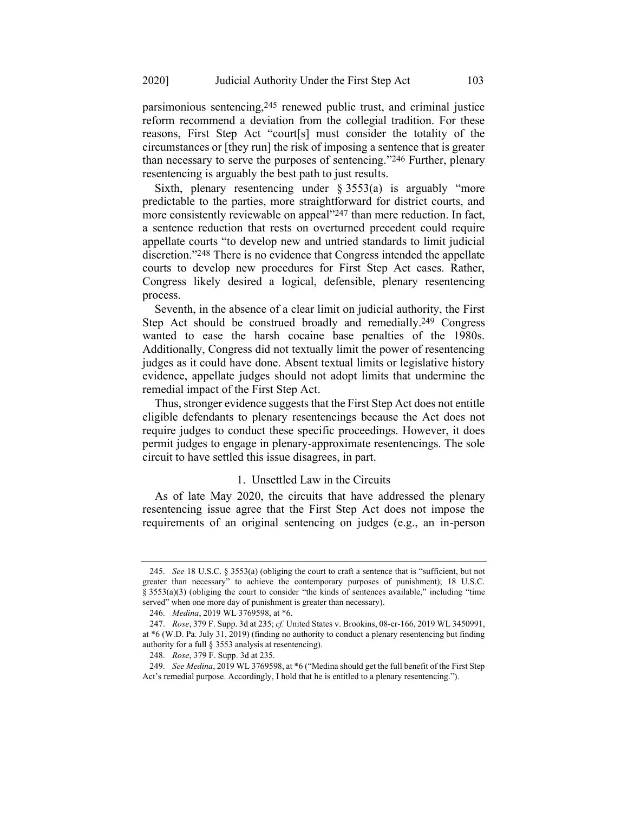parsimonious sentencing,245 renewed public trust, and criminal justice reform recommend a deviation from the collegial tradition. For these reasons, First Step Act "court[s] must consider the totality of the circumstances or [they run] the risk of imposing a sentence that is greater than necessary to serve the purposes of sentencing."246 Further, plenary resentencing is arguably the best path to just results.

Sixth, plenary resentencing under  $\S 3553(a)$  is arguably "more predictable to the parties, more straightforward for district courts, and more consistently reviewable on appeal"247 than mere reduction. In fact, a sentence reduction that rests on overturned precedent could require appellate courts "to develop new and untried standards to limit judicial discretion."248 There is no evidence that Congress intended the appellate courts to develop new procedures for First Step Act cases. Rather, Congress likely desired a logical, defensible, plenary resentencing process.

Seventh, in the absence of a clear limit on judicial authority, the First Step Act should be construed broadly and remedially.<sup>249</sup> Congress wanted to ease the harsh cocaine base penalties of the 1980s. Additionally, Congress did not textually limit the power of resentencing judges as it could have done. Absent textual limits or legislative history evidence, appellate judges should not adopt limits that undermine the remedial impact of the First Step Act.

Thus, stronger evidence suggests that the First Step Act does not entitle eligible defendants to plenary resentencings because the Act does not require judges to conduct these specific proceedings. However, it does permit judges to engage in plenary-approximate resentencings. The sole circuit to have settled this issue disagrees, in part.

#### 1. Unsettled Law in the Circuits

As of late May 2020, the circuits that have addressed the plenary resentencing issue agree that the First Step Act does not impose the requirements of an original sentencing on judges (e.g., an in-person

<sup>245.</sup> *See* 18 U.S.C. § 3553(a) (obliging the court to craft a sentence that is "sufficient, but not greater than necessary" to achieve the contemporary purposes of punishment); 18 U.S.C. § 3553(a)(3) (obliging the court to consider "the kinds of sentences available," including "time served" when one more day of punishment is greater than necessary).

<sup>246.</sup> *Medina*, 2019 WL 3769598, at \*6.

<sup>247.</sup> *Rose*, 379 F. Supp. 3d at 235; *cf.* United States v. Brookins, 08-cr-166, 2019 WL 3450991, at \*6 (W.D. Pa. July 31, 2019) (finding no authority to conduct a plenary resentencing but finding authority for a full § 3553 analysis at resentencing).

<sup>248.</sup> *Rose*, 379 F. Supp. 3d at 235.

<sup>249.</sup> *See Medina*, 2019 WL 3769598, at \*6 ("Medina should get the full benefit of the First Step Act's remedial purpose. Accordingly, I hold that he is entitled to a plenary resentencing.").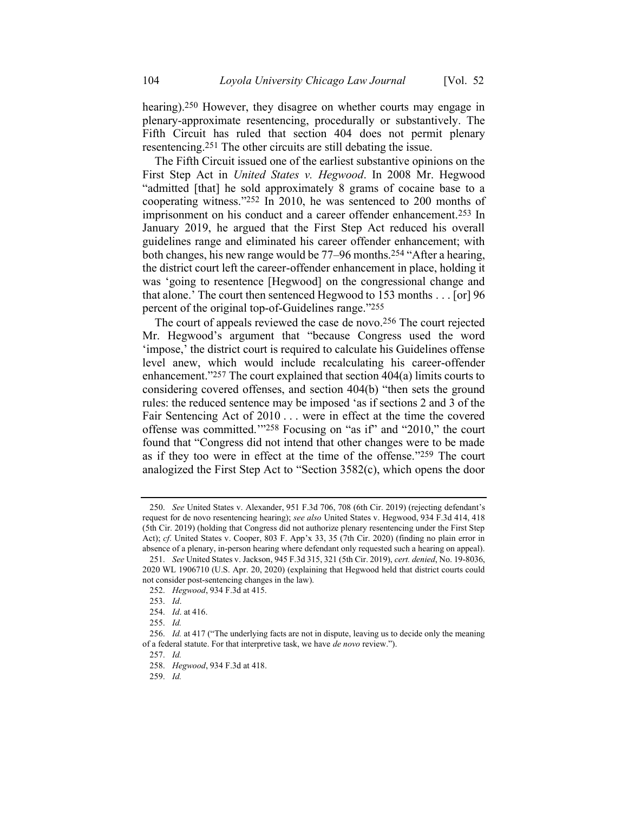hearing).250 However, they disagree on whether courts may engage in plenary-approximate resentencing, procedurally or substantively. The Fifth Circuit has ruled that section 404 does not permit plenary resentencing.251 The other circuits are still debating the issue.

The Fifth Circuit issued one of the earliest substantive opinions on the First Step Act in *United States v. Hegwood*. In 2008 Mr. Hegwood "admitted [that] he sold approximately 8 grams of cocaine base to a cooperating witness."252 In 2010, he was sentenced to 200 months of imprisonment on his conduct and a career offender enhancement.253 In January 2019, he argued that the First Step Act reduced his overall guidelines range and eliminated his career offender enhancement; with both changes, his new range would be 77–96 months.254 "After a hearing, the district court left the career-offender enhancement in place, holding it was 'going to resentence [Hegwood] on the congressional change and that alone.' The court then sentenced Hegwood to 153 months . . . [or] 96 percent of the original top-of-Guidelines range."255

The court of appeals reviewed the case de novo. 256 The court rejected Mr. Hegwood's argument that "because Congress used the word 'impose,' the district court is required to calculate his Guidelines offense level anew, which would include recalculating his career-offender enhancement."257 The court explained that section 404(a) limits courts to considering covered offenses, and section 404(b) "then sets the ground rules: the reduced sentence may be imposed 'as if sections 2 and 3 of the Fair Sentencing Act of 2010 . . . were in effect at the time the covered offense was committed.'"258 Focusing on "as if" and "2010," the court found that "Congress did not intend that other changes were to be made as if they too were in effect at the time of the offense."259 The court analogized the First Step Act to "Section 3582(c), which opens the door

<sup>250.</sup> *See* United States v. Alexander, 951 F.3d 706, 708 (6th Cir. 2019) (rejecting defendant's request for de novo resentencing hearing); *see also* United States v. Hegwood, 934 F.3d 414, 418 (5th Cir. 2019) (holding that Congress did not authorize plenary resentencing under the First Step Act); *cf*. United States v. Cooper, 803 F. App'x 33, 35 (7th Cir. 2020) (finding no plain error in absence of a plenary, in-person hearing where defendant only requested such a hearing on appeal).

<sup>251.</sup> *See* United States v. Jackson, 945 F.3d 315, 321 (5th Cir. 2019), *cert. denied*, No. 19-8036, 2020 WL 1906710 (U.S. Apr. 20, 2020) (explaining that Hegwood held that district courts could not consider post-sentencing changes in the law).

<sup>252.</sup> *Hegwood*, 934 F.3d at 415.

<sup>253.</sup> *Id*.

<sup>254.</sup> *Id*. at 416.

<sup>255.</sup> *Id.*

<sup>256.</sup> *Id.* at 417 ("The underlying facts are not in dispute, leaving us to decide only the meaning of a federal statute. For that interpretive task, we have *de novo* review.").

<sup>257.</sup> *Id.*

<sup>258.</sup> *Hegwood*, 934 F.3d at 418.

<sup>259.</sup> *Id.*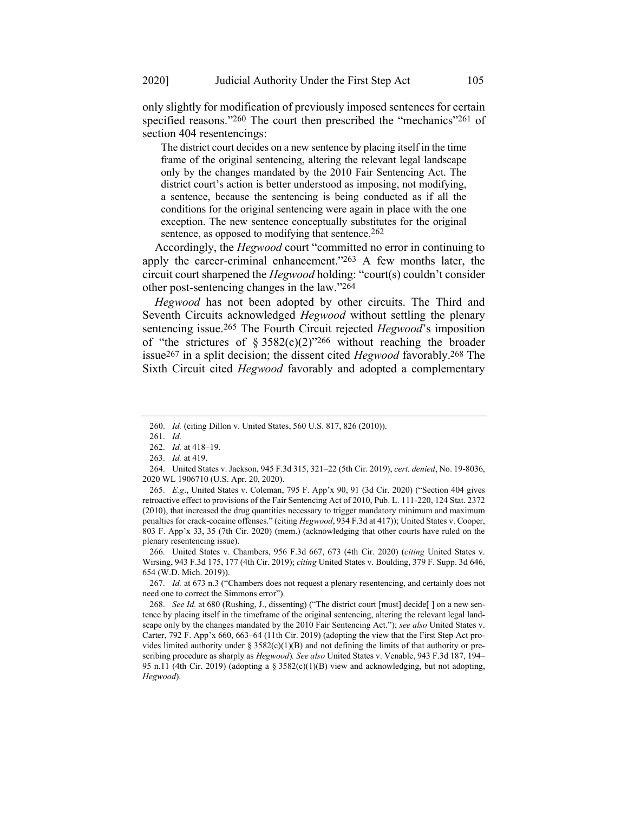only slightly for modification of previously imposed sentences for certain specified reasons."260 The court then prescribed the "mechanics"<sup>261</sup> of section 404 resentencings:

The district court decides on a new sentence by placing itself in the time frame of the original sentencing, altering the relevant legal landscape only by the changes mandated by the 2010 Fair Sentencing Act. The district court's action is better understood as imposing, not modifying, a sentence, because the sentencing is being conducted as if all the conditions for the original sentencing were again in place with the one exception. The new sentence conceptually substitutes for the original sentence, as opposed to modifying that sentence.<sup>262</sup>

Accordingly, the *Hegwood* court "committed no error in continuing to apply the career-criminal enhancement."263 A few months later, the circuit court sharpened the *Hegwood* holding: "court(s) couldn't consider other post-sentencing changes in the law."264

*Hegwood* has not been adopted by other circuits. The Third and Seventh Circuits acknowledged *Hegwood* without settling the plenary sentencing issue.265 The Fourth Circuit rejected *Hegwood*'s imposition of "the strictures of § 3582(c)(2)"266 without reaching the broader issue267 in a split decision; the dissent cited *Hegwood* favorably.268 The Sixth Circuit cited *Hegwood* favorably and adopted a complementary

<sup>260.</sup> *Id.* (citing Dillon v. United States, 560 U.S. 817, 826 (2010)).

<sup>261.</sup> *Id.*

<sup>262.</sup> *Id.* at 418–19.

<sup>263.</sup> *Id.* at 419.

<sup>264.</sup> United States v. Jackson, 945 F.3d 315, 321–22 (5th Cir. 2019), *cert. denied*, No. 19-8036, 2020 WL 1906710 (U.S. Apr. 20, 2020).

<sup>265.</sup> *E.g*., United States v. Coleman, 795 F. App'x 90, 91 (3d Cir. 2020) ("Section 404 gives retroactive effect to provisions of the Fair Sentencing Act of 2010, Pub. L. 111-220, 124 Stat. 2372 (2010), that increased the drug quantities necessary to trigger mandatory minimum and maximum penalties for crack-cocaine offenses." (citing *Hegwood*, 934 F.3d at 417)); United States v. Cooper, 803 F. App'x 33, 35 (7th Cir. 2020) (mem.) (acknowledging that other courts have ruled on the plenary resentencing issue).

<sup>266.</sup> United States v. Chambers, 956 F.3d 667, 673 (4th Cir. 2020) (*citing* United States v. Wirsing, 943 F.3d 175, 177 (4th Cir. 2019); *citing* United States v. Boulding, 379 F. Supp. 3d 646, 654 (W.D. Mich. 2019)).

<sup>267.</sup> *Id.* at 673 n.3 ("Chambers does not request a plenary resentencing, and certainly does not need one to correct the Simmons error").

<sup>268.</sup> *See Id*. at 680 (Rushing, J., dissenting) ("The district court [must] decide[ ] on a new sentence by placing itself in the timeframe of the original sentencing, altering the relevant legal landscape only by the changes mandated by the 2010 Fair Sentencing Act."); *see also* United States v. Carter, 792 F. App'x 660, 663–64 (11th Cir. 2019) (adopting the view that the First Step Act provides limited authority under  $\S 3582(c)(1)(B)$  and not defining the limits of that authority or prescribing procedure as sharply as *Hegwood*)*. See also* United States v. Venable, 943 F.3d 187, 194– 95 n.11 (4th Cir. 2019) (adopting a  $\S 3582(c)(1)(B)$  view and acknowledging, but not adopting, *Hegwood*).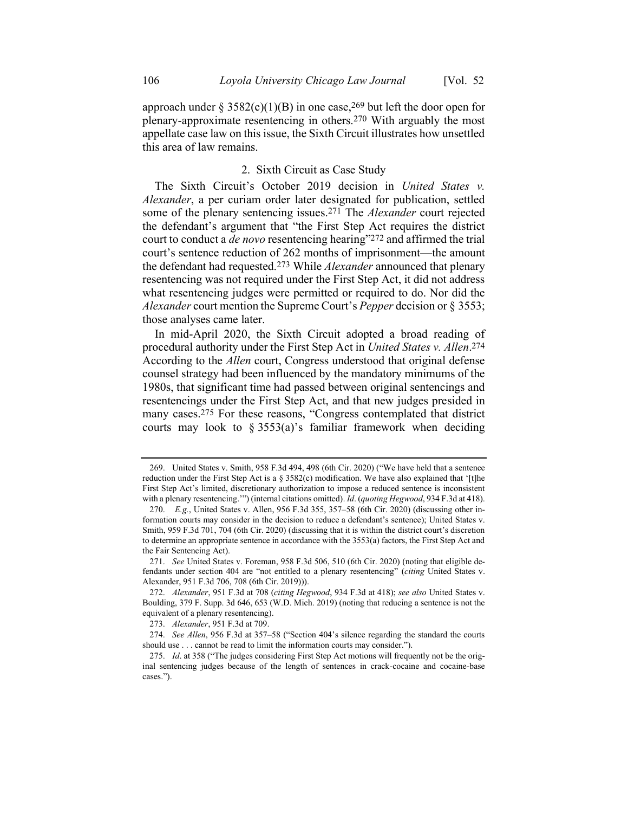approach under § 3582(c)(1)(B) in one case,<sup>269</sup> but left the door open for plenary-approximate resentencing in others.270 With arguably the most appellate case law on this issue, the Sixth Circuit illustrates how unsettled this area of law remains.

#### 2. Sixth Circuit as Case Study

The Sixth Circuit's October 2019 decision in *United States v. Alexander*, a per curiam order later designated for publication, settled some of the plenary sentencing issues. 271 The *Alexander* court rejected the defendant's argument that "the First Step Act requires the district court to conduct a *de novo* resentencing hearing"272 and affirmed the trial court's sentence reduction of 262 months of imprisonment—the amount the defendant had requested.273 While *Alexander* announced that plenary resentencing was not required under the First Step Act, it did not address what resentencing judges were permitted or required to do. Nor did the *Alexander* court mention the Supreme Court's *Pepper* decision or § 3553; those analyses came later.

In mid-April 2020, the Sixth Circuit adopted a broad reading of procedural authority under the First Step Act in *United States v. Allen*. 274 According to the *Allen* court, Congress understood that original defense counsel strategy had been influenced by the mandatory minimums of the 1980s, that significant time had passed between original sentencings and resentencings under the First Step Act, and that new judges presided in many cases.275 For these reasons, "Congress contemplated that district courts may look to  $\S 3553(a)$ 's familiar framework when deciding

<sup>269.</sup> United States v. Smith, 958 F.3d 494, 498 (6th Cir. 2020) ("We have held that a sentence reduction under the First Step Act is a  $\S 3582(c)$  modification. We have also explained that '[t]he First Step Act's limited, discretionary authorization to impose a reduced sentence is inconsistent with a plenary resentencing.'") (internal citations omitted). *Id*. (*quoting Hegwood*, 934 F.3d at 418).

<sup>270.</sup> *E.g.*, United States v. Allen, 956 F.3d 355, 357–58 (6th Cir. 2020) (discussing other information courts may consider in the decision to reduce a defendant's sentence); United States v. Smith, 959 F.3d 701, 704 (6th Cir. 2020) (discussing that it is within the district court's discretion to determine an appropriate sentence in accordance with the 3553(a) factors, the First Step Act and the Fair Sentencing Act).

<sup>271.</sup> *See* United States v. Foreman, 958 F.3d 506, 510 (6th Cir. 2020) (noting that eligible defendants under section 404 are "not entitled to a plenary resentencing" (*citing* United States v. Alexander, 951 F.3d 706, 708 (6th Cir. 2019))).

<sup>272.</sup> *Alexander*, 951 F.3d at 708 (*citing Hegwood*, 934 F.3d at 418); *see also* United States v. Boulding, 379 F. Supp. 3d 646, 653 (W.D. Mich. 2019) (noting that reducing a sentence is not the equivalent of a plenary resentencing).

<sup>273.</sup> *Alexander*, 951 F.3d at 709.

<sup>274.</sup> *See Allen*, 956 F.3d at 357–58 ("Section 404's silence regarding the standard the courts should use . . . cannot be read to limit the information courts may consider.").

<sup>275.</sup> *Id*. at 358 ("The judges considering First Step Act motions will frequently not be the original sentencing judges because of the length of sentences in crack-cocaine and cocaine-base cases.").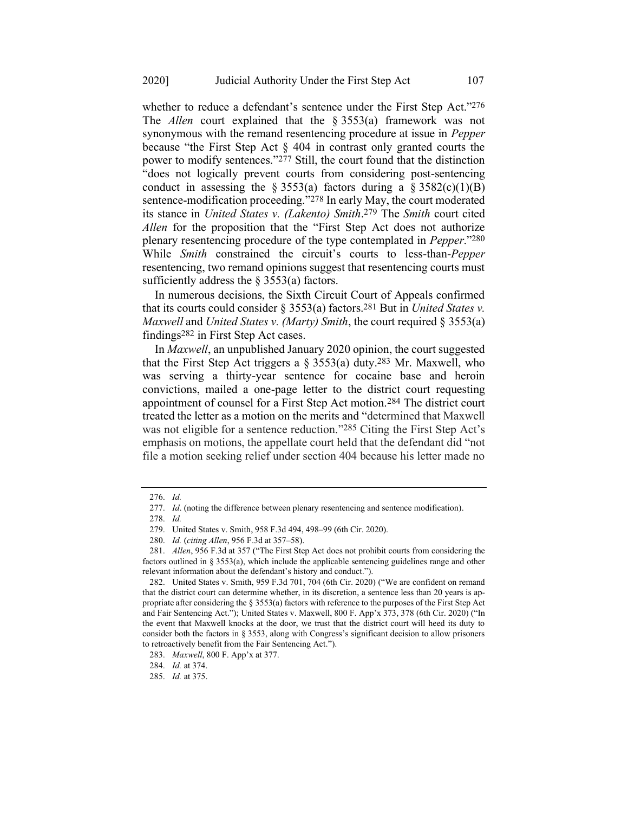whether to reduce a defendant's sentence under the First Step Act."276 The *Allen* court explained that the § 3553(a) framework was not synonymous with the remand resentencing procedure at issue in *Pepper*  because "the First Step Act § 404 in contrast only granted courts the power to modify sentences."277 Still, the court found that the distinction "does not logically prevent courts from considering post-sentencing conduct in assessing the  $\S 3553(a)$  factors during a  $\S 3582(c)(1)(B)$ sentence-modification proceeding."<sup>278</sup> In early May, the court moderated its stance in *United States v. (Lakento) Smith*. 279 The *Smith* court cited *Allen* for the proposition that the "First Step Act does not authorize plenary resentencing procedure of the type contemplated in *[Pepper](https://1-next-westlaw-com.ezproxy.wesleyan.edu/Link/Document/FullText?findType=Y&serNum=2024695210&pubNum=0000780&originatingDoc=I6c868460900611ea8cb395d22c142a61&refType=RP&originationContext=document&transitionType=DocumentItem&contextData=(sc.UserEnteredCitation))*."280 While *Smith* constrained the circuit's courts to less-than-*Pepper* resentencing, two remand opinions suggest that resentencing courts must sufficiently address the  $\S$  3553(a) factors.

In numerous decisions, the Sixth Circuit Court of Appeals confirmed that its courts could consider § 3553(a) factors.281 But in *United States v. Maxwell* and *United States v. (Marty) Smith*, the court required § 3553(a) findings282 in First Step Act cases.

In *Maxwell*, an unpublished January 2020 opinion, the court suggested that the First Step Act triggers a  $\S 3553(a)$  duty.<sup>283</sup> Mr. Maxwell, who was serving a thirty-year sentence for cocaine base and heroin convictions, mailed a one-page letter to the district court requesting appointment of counsel for a First Step Act motion.284 The district court treated the letter as a motion on the merits and "determined that Maxwell was not eligible for a sentence reduction."285 Citing the First Step Act's emphasis on motions, the appellate court held that the defendant did "not file a motion seeking relief under section 404 because his letter made no

<sup>276.</sup> *Id.*

<sup>277.</sup> *Id*. (noting the difference between plenary resentencing and sentence modification).

<sup>278.</sup> *Id.* 

<sup>279.</sup> United States v. Smith, 958 F.3d 494, 498–99 (6th Cir. 2020).

<sup>280.</sup> *Id.* (*citing Allen*, 956 F.3d at 357–58).

<sup>281.</sup> *Allen*, 956 F.3d at 357 ("The First Step Act does not prohibit courts from considering the factors outlined in  $\S 3553(a)$ , which include the applicable sentencing guidelines range and other relevant information about the defendant's history and conduct.").

<sup>282.</sup> United States v. Smith, 959 F.3d 701, 704 (6th Cir. 2020) ("We are confident on remand that the district court can determine whether, in its discretion, a sentence less than 20 years is appropriate after considering the § 3553(a) factors with reference to the purposes of the First Step Act and Fair Sentencing Act."); United States v. Maxwell, 800 F. App'x 373, 378 (6th Cir. 2020) ("In the event that Maxwell knocks at the door, we trust that the district court will heed its duty to consider both the factors in § 3553, along with Congress's significant decision to allow prisoners to retroactively benefit from the Fair Sentencing Act.").

<sup>283.</sup> *Maxwell*, 800 F. App'x at 377.

<sup>284.</sup> *Id.* at 374.

<sup>285.</sup> *Id.* at 375.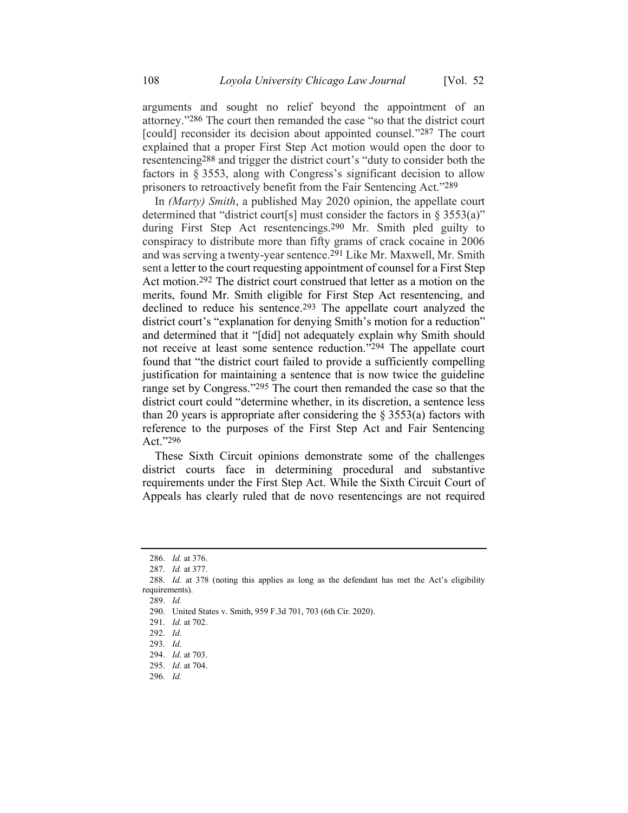arguments and sought no relief beyond the appointment of an attorney."286 The court then remanded the case "so that the district court [could] reconsider its decision about appointed counsel."287 The court explained that a proper First Step Act motion would open the door to resentencing288 and trigger the district court's "duty to consider both the factors in § 3553, along with Congress's significant decision to allow prisoners to retroactively benefit from the Fair Sentencing Act."289

In *(Marty) Smith*, a published May 2020 opinion, the appellate court determined that "district court[s] must consider the factors in § 3553(a)" during First Step Act resentencings.290 Mr. Smith pled guilty to conspiracy to distribute more than fifty grams of crack cocaine in 2006 and was serving a twenty-year sentence.291 Like Mr. Maxwell, Mr. Smith sent a letter to the court requesting appointment of counsel for a First Step Act motion.292 The district court construed that letter as a motion on the merits, found Mr. Smith eligible for First Step Act resentencing, and declined to reduce his sentence.<sup>293</sup> The appellate court analyzed the district court's "explanation for denying Smith's motion for a reduction" and determined that it "[did] not adequately explain why Smith should not receive at least some sentence reduction."294 The appellate court found that "the district court failed to provide a sufficiently compelling justification for maintaining a sentence that is now twice the guideline range set by Congress."<sup>295</sup> The court then remanded the case so that the district court could "determine whether, in its discretion, a sentence less than 20 years is appropriate after considering the  $\S$  3553(a) factors with reference to the purposes of the First Step Act and Fair Sentencing Act."296

These Sixth Circuit opinions demonstrate some of the challenges district courts face in determining procedural and substantive requirements under the First Step Act. While the Sixth Circuit Court of Appeals has clearly ruled that de novo resentencings are not required

289. *Id.*

296. *Id.*

<sup>286.</sup> *Id.* at 376.

<sup>287.</sup> *Id.* at 377.

<sup>288.</sup> *Id.* at 378 (noting this applies as long as the defendant has met the Act's eligibility requirements).

<sup>290.</sup> United States v. Smith, 959 F.3d 701, 703 (6th Cir. 2020).

<sup>291.</sup> *Id.* at 702.

<sup>292.</sup> *Id*.

<sup>293.</sup> *Id*.

<sup>294.</sup> *Id*. at 703.

<sup>295.</sup> *Id*. at 704.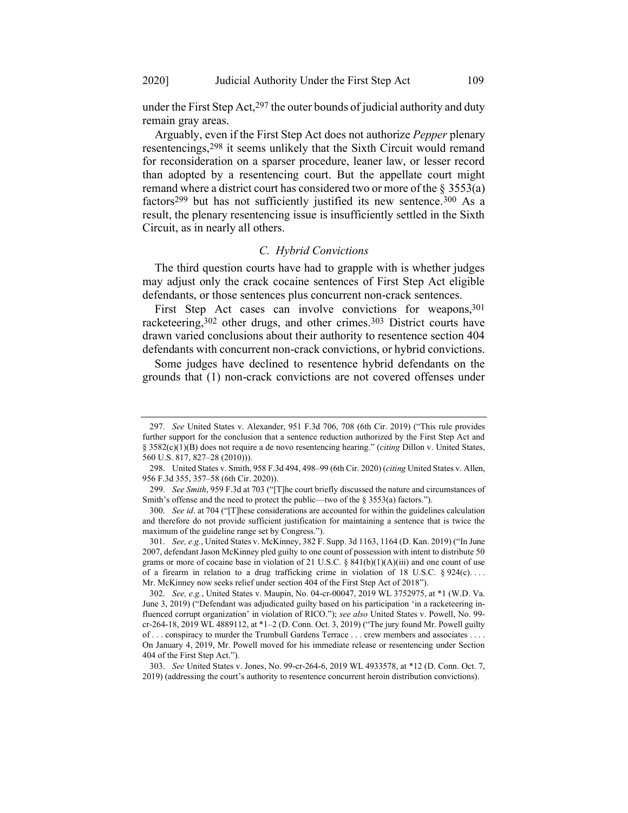under the First Step Act, $297$  the outer bounds of judicial authority and duty remain gray areas.

Arguably, even if the First Step Act does not authorize *Pepper* plenary resentencings,298 it seems unlikely that the Sixth Circuit would remand for reconsideration on a sparser procedure, leaner law, or lesser record than adopted by a resentencing court. But the appellate court might remand where a district court has considered two or more of the  $\S 3553(a)$ factors299 but has not sufficiently justified its new sentence.300 As a result, the plenary resentencing issue is insufficiently settled in the Sixth Circuit, as in nearly all others.

#### *C. Hybrid Convictions*

The third question courts have had to grapple with is whether judges may adjust only the crack cocaine sentences of First Step Act eligible defendants, or those sentences plus concurrent non-crack sentences.

First Step Act cases can involve convictions for weapons, 301 racketeering,<sup>302</sup> other drugs, and other crimes.<sup>303</sup> District courts have drawn varied conclusions about their authority to resentence section 404 defendants with concurrent non-crack convictions, or hybrid convictions.

Some judges have declined to resentence hybrid defendants on the grounds that (1) non-crack convictions are not covered offenses under

<sup>297.</sup> *See* United States v. Alexander, 951 F.3d 706, 708 (6th Cir. 2019) ("This rule provides further support for the conclusion that a sentence reduction authorized by the First Step Act and § 3582(c)(1)(B) does not require a de novo resentencing hearing." (*citing* Dillon v. United States, 560 U.S. 817, 827–28 (2010))).

<sup>298.</sup> United States v. Smith, 958 F.3d 494, 498–99 (6th Cir. 2020) (*citing* United States v. Allen, 956 F.3d 355, 357–58 (6th Cir. 2020)).

<sup>299.</sup> *See Smith*, 959 F.3d at 703 ("[T]he court briefly discussed the nature and circumstances of Smith's offense and the need to protect the public—two of the § 3553(a) factors.").

<sup>300.</sup> *See id*. at 704 ("[T]hese considerations are accounted for within the guidelines calculation and therefore do not provide sufficient justification for maintaining a sentence that is twice the maximum of the guideline range set by Congress.").

<sup>301.</sup> *See, e.g.*, United States v. McKinney, 382 F. Supp. 3d 1163, 1164 (D. Kan. 2019) ("In June 2007, defendant Jason McKinney pled guilty to one count of possession with intent to distribute 50 grams or more of cocaine base in violation of 21 U.S.C. § 841(b)(1)(A)(iii) and one count of use of a firearm in relation to a drug trafficking crime in violation of 18 U.S.C.  $\S 924(c)$ ... Mr. McKinney now seeks relief under section 404 of the First Step Act of 2018").

<sup>302.</sup> *See, e.g.*, United States v. Maupin, No. 04-cr-00047, 2019 WL 3752975, at \*1 (W.D. Va. June 3, 2019) ("Defendant was adjudicated guilty based on his participation 'in a racketeering influenced corrupt organization' in violation of RICO."); *see also* United States v. Powell, No. 99 cr-264-18, 2019 WL 4889112, at \*1–2 (D. Conn. Oct. 3, 2019) ("The jury found Mr. Powell guilty of . . . conspiracy to murder the Trumbull Gardens Terrace . . . crew members and associates . . . . On January 4, 2019, Mr. Powell moved for his immediate release or resentencing under Section 404 of the First Step Act.").

<sup>303.</sup> *See* United States v. Jones, No. 99-cr-264-6, 2019 WL 4933578, at \*12 (D. Conn. Oct. 7, 2019) (addressing the court's authority to resentence concurrent heroin distribution convictions).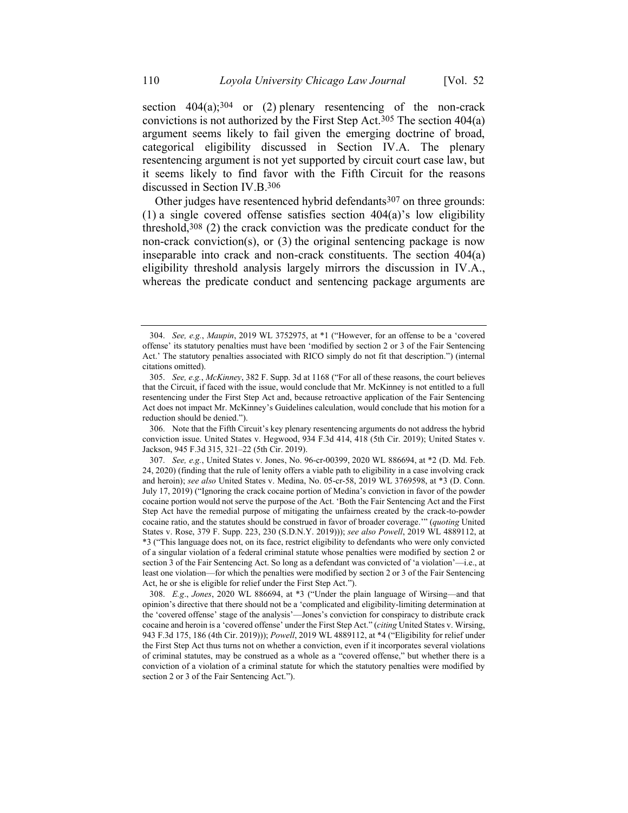section  $404(a);^{304}$  or (2) plenary resentencing of the non-crack convictions is not authorized by the First Step Act.<sup>305</sup> The section  $404(a)$ argument seems likely to fail given the emerging doctrine of broad, categorical eligibility discussed in Section IV.A. The plenary resentencing argument is not yet supported by circuit court case law, but it seems likely to find favor with the Fifth Circuit for the reasons discussed in Section IV.B.306

Other judges have resentenced hybrid defendants $307$  on three grounds: (1) a single covered offense satisfies section 404(a)'s low eligibility threshold,308 (2) the crack conviction was the predicate conduct for the non-crack conviction(s), or (3) the original sentencing package is now inseparable into crack and non-crack constituents. The section 404(a) eligibility threshold analysis largely mirrors the discussion in IV.A., whereas the predicate conduct and sentencing package arguments are

<sup>304.</sup> *See, e.g.*, *Maupin*, 2019 WL 3752975, at \*1 ("However, for an offense to be a 'covered offense' its statutory penalties must have been 'modified by section 2 or 3 of the Fair Sentencing Act.' The statutory penalties associated with RICO simply do not fit that description.") (internal citations omitted).

<sup>305.</sup> *See, e.g.*, *McKinney*, 382 F. Supp. 3d at 1168 ("For all of these reasons, the court believes that the Circuit, if faced with the issue, would conclude that Mr. McKinney is not entitled to a full resentencing under the First Step Act and, because retroactive application of the Fair Sentencing Act does not impact Mr. McKinney's Guidelines calculation, would conclude that his motion for a reduction should be denied.").

<sup>306.</sup> Note that the Fifth Circuit's key plenary resentencing arguments do not address the hybrid conviction issue. United States v. Hegwood, 934 F.3d 414, 418 (5th Cir. 2019); United States v. Jackson, 945 F.3d 315, 321–22 (5th Cir. 2019).

<sup>307.</sup> *See, e.g.*, United States v. Jones, No. 96-cr-00399, 2020 WL 886694, at \*2 (D. Md. Feb. 24, 2020) (finding that the rule of lenity offers a viable path to eligibility in a case involving crack and heroin); *see also* United States v. Medina, No. 05-cr-58, 2019 WL 3769598, at \*3 (D. Conn. July 17, 2019) ("Ignoring the crack cocaine portion of Medina's conviction in favor of the powder cocaine portion would not serve the purpose of the Act. 'Both the Fair Sentencing Act and the First Step Act have the remedial purpose of mitigating the unfairness created by the crack-to-powder cocaine ratio, and the statutes should be construed in favor of broader coverage.'" (*quoting* United States v. Rose, 379 F. Supp. 223, 230 (S.D.N.Y. 2019))); *see also Powell*, 2019 WL 4889112, at \*3 ("This language does not, on its face, restrict eligibility to defendants who were only convicted of a singular violation of a federal criminal statute whose penalties were modified by section 2 or section 3 of the Fair Sentencing Act. So long as a defendant was convicted of 'a violation'—i.e., at least one violation—for which the penalties were modified by section 2 or 3 of the Fair Sentencing Act, he or she is eligible for relief under the First Step Act.").

<sup>308.</sup> *E.g*., *Jones*, 2020 WL 886694, at \*3 ("Under the plain language of Wirsing—and that opinion's directive that there should not be a 'complicated and eligibility-limiting determination at the 'covered offense' stage of the analysis'—Jones's conviction for conspiracy to distribute crack cocaine and heroin is a 'covered offense' under the First Step Act." (*citing* United States v. Wirsing, 943 F.3d 175, 186 (4th Cir. 2019))); *Powell*, 2019 WL 4889112, at \*4 ("Eligibility for relief under the First Step Act thus turns not on whether a conviction, even if it incorporates several violations of criminal statutes, may be construed as a whole as a "covered offense," but whether there is a conviction of a violation of a criminal statute for which the statutory penalties were modified by section 2 or 3 of the Fair Sentencing Act.").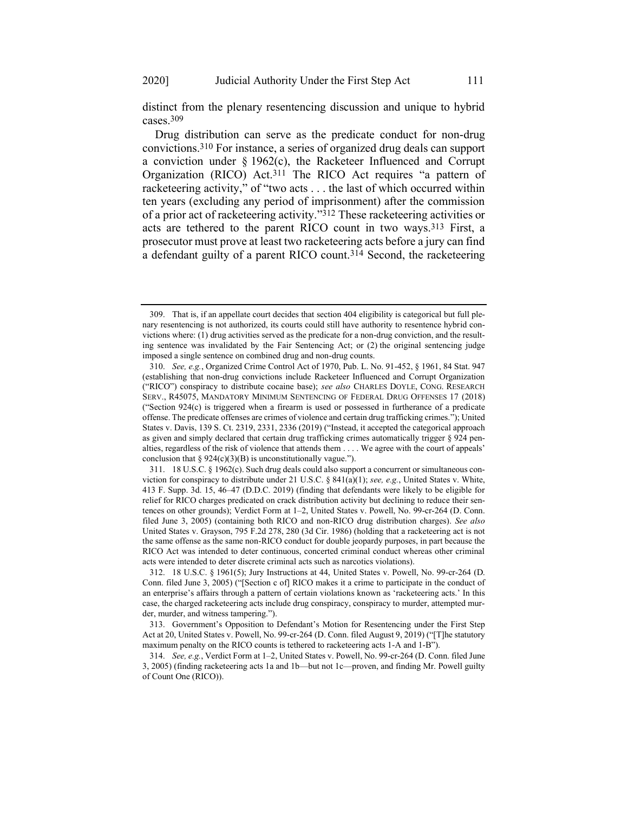distinct from the plenary resentencing discussion and unique to hybrid cases.309

Drug distribution can serve as the predicate conduct for non-drug convictions.310 For instance, a series of organized drug deals can support a conviction under § 1962(c), the Racketeer Influenced and Corrupt Organization (RICO) Act.311 The RICO Act requires "a pattern of racketeering activity," of "two acts . . . the last of which occurred within ten years (excluding any period of imprisonment) after the commission of a prior act of racketeering activity."312 These racketeering activities or acts are tethered to the parent RICO count in two ways.313 First, a prosecutor must prove at least two racketeering acts before a jury can find a defendant guilty of a parent RICO count.314 Second, the racketeering

<sup>309.</sup> That is, if an appellate court decides that section 404 eligibility is categorical but full plenary resentencing is not authorized, its courts could still have authority to resentence hybrid convictions where: (1) drug activities served as the predicate for a non-drug conviction, and the resulting sentence was invalidated by the Fair Sentencing Act; or (2) the original sentencing judge imposed a single sentence on combined drug and non-drug counts.

<sup>310.</sup> *See, e.g.*, Organized Crime Control Act of 1970, Pub. L. No. 91-452, § 1961, 84 Stat. 947 (establishing that non-drug convictions include Racketeer Influenced and Corrupt Organization ("RICO") conspiracy to distribute cocaine base); *see also* CHARLES DOYLE, CONG. RESEARCH SERV., R45075, MANDATORY MINIMUM SENTENCING OF FEDERAL DRUG OFFENSES 17 (2018) ("Section 924(c) is triggered when a firearm is used or possessed in furtherance of a predicate offense. The predicate offenses are crimes of violence and certain drug trafficking crimes."); United States v. Davis, 139 S. Ct. 2319, 2331, 2336 (2019) ("Instead, it accepted the categorical approach as given and simply declared that certain drug trafficking crimes automatically trigger § 924 penalties, regardless of the risk of violence that attends them . . . . We agree with the court of appeals' conclusion that  $\S 924(c)(3)(B)$  is unconstitutionally vague.").

<sup>311.</sup> 18 U.S.C. § 1962(c). Such drug deals could also support a concurrent or simultaneous conviction for conspiracy to distribute under 21 U.S.C. § 841(a)(1); *see, e.g.*, United States v. White, 413 F. Supp. 3d. 15, 46–47 (D.D.C. 2019) (finding that defendants were likely to be eligible for relief for RICO charges predicated on crack distribution activity but declining to reduce their sentences on other grounds); Verdict Form at 1–2, United States v. Powell, No. 99-cr-264 (D. Conn. filed June 3, 2005) (containing both RICO and non-RICO drug distribution charges). *See also* United States v. Grayson, 795 F.2d 278, 280 (3d Cir. 1986) (holding that a racketeering act is not the same offense as the same non-RICO conduct for double jeopardy purposes, in part because the RICO Act was intended to deter continuous, concerted criminal conduct whereas other criminal acts were intended to deter discrete criminal acts such as narcotics violations).

<sup>312.</sup> 18 U.S.C. § 1961(5); Jury Instructions at 44, United States v. Powell, No. 99-cr-264 (D. Conn. filed June 3, 2005) ("[Section c of] RICO makes it a crime to participate in the conduct of an enterprise's affairs through a pattern of certain violations known as 'racketeering acts.' In this case, the charged racketeering acts include drug conspiracy, conspiracy to murder, attempted murder, murder, and witness tampering.").

<sup>313.</sup> Government's Opposition to Defendant's Motion for Resentencing under the First Step Act at 20, United States v. Powell, No. 99-cr-264 (D. Conn. filed August 9, 2019) ("[T]he statutory maximum penalty on the RICO counts is tethered to racketeering acts 1-A and 1-B").

<sup>314.</sup> *See, e.g.*, Verdict Form at 1–2, United States v. Powell, No. 99-cr-264 (D. Conn. filed June 3, 2005) (finding racketeering acts 1a and 1b—but not 1c—proven, and finding Mr. Powell guilty of Count One (RICO)).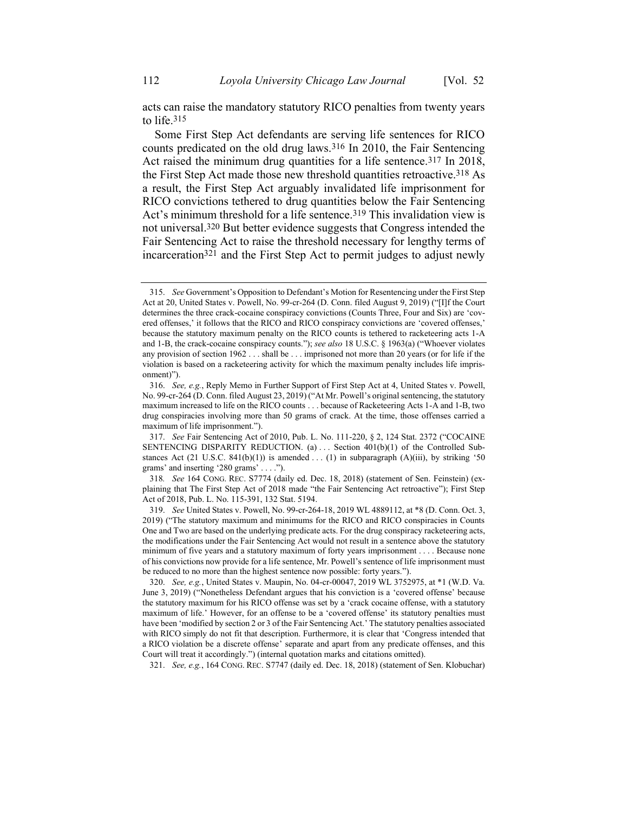acts can raise the mandatory statutory RICO penalties from twenty years to life.315

Some First Step Act defendants are serving life sentences for RICO counts predicated on the old drug laws.316 In 2010, the Fair Sentencing Act raised the minimum drug quantities for a life sentence.<sup>317</sup> In 2018, the First Step Act made those new threshold quantities retroactive.<sup>318</sup> As a result, the First Step Act arguably invalidated life imprisonment for RICO convictions tethered to drug quantities below the Fair Sentencing Act's minimum threshold for a life sentence.<sup>319</sup> This invalidation view is not universal.320 But better evidence suggests that Congress intended the Fair Sentencing Act to raise the threshold necessary for lengthy terms of incarceration321 and the First Step Act to permit judges to adjust newly

318*. See* 164 CONG. REC. S7774 (daily ed. Dec. 18, 2018) (statement of Sen. Feinstein) (explaining that The First Step Act of 2018 made "the Fair Sentencing Act retroactive"); First Step Act of 2018, Pub. L. No. 115-391, 132 Stat. 5194.

321. *See, e.g.*, 164 CONG. REC. S7747 (daily ed. Dec. 18, 2018) (statement of Sen. Klobuchar)

<sup>315.</sup> *See* Government's Opposition to Defendant's Motion for Resentencing under the First Step Act at 20, United States v. Powell, No. 99-cr-264 (D. Conn. filed August 9, 2019) ("[I]f the Court determines the three crack-cocaine conspiracy convictions (Counts Three, Four and Six) are 'covered offenses,' it follows that the RICO and RICO conspiracy convictions are 'covered offenses,' because the statutory maximum penalty on the RICO counts is tethered to racketeering acts 1-A and 1-B, the crack-cocaine conspiracy counts."); *see also* 18 U.S.C. § 1963(a) ("Whoever violates any provision of section 1962 . . . shall be . . . imprisoned not more than 20 years (or for life if the violation is based on a racketeering activity for which the maximum penalty includes life imprisonment)").

<sup>316.</sup> *See, e.g.*, Reply Memo in Further Support of First Step Act at 4, United States v. Powell, No. 99-cr-264 (D. Conn. filed August 23, 2019) ("At Mr. Powell's original sentencing, the statutory maximum increased to life on the RICO counts . . . because of Racketeering Acts 1-A and 1-B, two drug conspiracies involving more than 50 grams of crack. At the time, those offenses carried a maximum of life imprisonment.").

<sup>317.</sup> *See* Fair Sentencing Act of 2010, Pub. L. No. 111-220, § 2, 124 Stat. 2372 ("COCAINE SENTENCING DISPARITY REDUCTION. (a)  $\ldots$  Section 401(b)(1) of the Controlled Substances Act (21 U.S.C. 841(b)(1)) is amended . . . (1) in subparagraph (A)(iii), by striking '50 grams' and inserting '280 grams' . . . .").

<sup>319.</sup> *See* United States v. Powell, No. 99-cr-264-18, 2019 WL 4889112, at \*8 (D. Conn. Oct. 3, 2019) ("The statutory maximum and minimums for the RICO and RICO conspiracies in Counts One and Two are based on the underlying predicate acts. For the drug conspiracy racketeering acts, the modifications under the Fair Sentencing Act would not result in a sentence above the statutory minimum of five years and a statutory maximum of forty years imprisonment . . . . Because none of his convictions now provide for a life sentence, Mr. Powell's sentence of life imprisonment must be reduced to no more than the highest sentence now possible: forty years.").

<sup>320.</sup> *See, e.g.*, United States v. Maupin, No. 04-cr-00047, 2019 WL 3752975, at \*1 (W.D. Va. June 3, 2019) ("Nonetheless Defendant argues that his conviction is a 'covered offense' because the statutory maximum for his RICO offense was set by a 'crack cocaine offense, with a statutory maximum of life.' However, for an offense to be a 'covered offense' its statutory penalties must have been 'modified by section 2 or 3 of the Fair Sentencing Act.' The statutory penalties associated with RICO simply do not fit that description. Furthermore, it is clear that 'Congress intended that a RICO violation be a discrete offense' separate and apart from any predicate offenses, and this Court will treat it accordingly.") (internal quotation marks and citations omitted).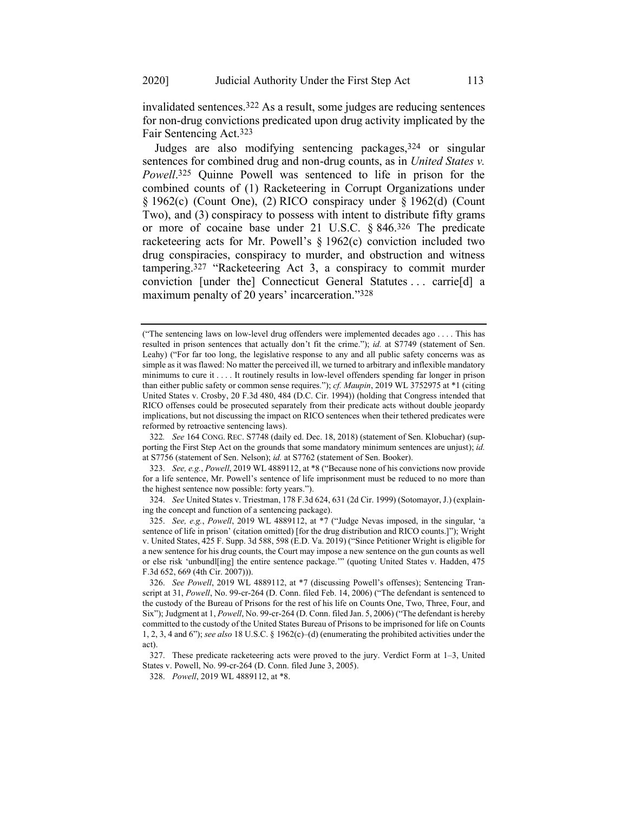invalidated sentences.322 As a result, some judges are reducing sentences for non-drug convictions predicated upon drug activity implicated by the Fair Sentencing Act.323

Judges are also modifying sentencing packages, 324 or singular sentences for combined drug and non-drug counts, as in *United States v. Powell*. 325 Quinne Powell was sentenced to life in prison for the combined counts of (1) Racketeering in Corrupt Organizations under § 1962(c) (Count One), (2) RICO conspiracy under § 1962(d) (Count Two), and (3) conspiracy to possess with intent to distribute fifty grams or more of cocaine base under 21 U.S.C. § 846.326 The predicate racketeering acts for Mr. Powell's § 1962(c) conviction included two drug conspiracies, conspiracy to murder, and obstruction and witness tampering.327 "Racketeering Act 3, a conspiracy to commit murder conviction [under the] Connecticut General Statutes . . . carrie[d] a maximum penalty of 20 years' incarceration."328

322*. See* 164 CONG. REC. S7748 (daily ed. Dec. 18, 2018) (statement of Sen. Klobuchar) (supporting the First Step Act on the grounds that some mandatory minimum sentences are unjust); *id.* at S7756 (statement of Sen. Nelson); *id.* at S7762 (statement of Sen. Booker).

323. *See, e.g.*, *Powell*, 2019 WL 4889112, at \*8 ("Because none of his convictions now provide for a life sentence, Mr. Powell's sentence of life imprisonment must be reduced to no more than the highest sentence now possible: forty years.").

324. *See* United States v. Triestman, 178 F.3d 624, 631 (2d Cir. 1999) (Sotomayor, J.) (explaining the concept and function of a sentencing package).

325. *See, e.g.*, *Powell*, 2019 WL 4889112, at \*7 ("Judge Nevas imposed, in the singular, 'a sentence of life in prison' (citation omitted) [for the drug distribution and RICO counts.]"); Wright v. United States, 425 F. Supp. 3d 588, 598 (E.D. Va. 2019) ("Since Petitioner Wright is eligible for a new sentence for his drug counts, the Court may impose a new sentence on the gun counts as well or else risk 'unbundl[ing] the entire sentence package.'" (quoting [United States v. Hadden, 475](https://1-next-westlaw-com.ezproxy.wesleyan.edu/Link/Document/FullText?findType=Y&serNum=2011391763&pubNum=0000506&originatingDoc=If0d05dc007af11ea99759a7d72d9b23a&refType=RP&fi=co_pp_sp_506_669&originationContext=document&transitionType=DocumentItem&contextData=(sc.Keycite)#co_pp_sp_506_669)  [F.3d 652, 669 \(4th Cir. 2007\)\)](https://1-next-westlaw-com.ezproxy.wesleyan.edu/Link/Document/FullText?findType=Y&serNum=2011391763&pubNum=0000506&originatingDoc=If0d05dc007af11ea99759a7d72d9b23a&refType=RP&fi=co_pp_sp_506_669&originationContext=document&transitionType=DocumentItem&contextData=(sc.Keycite)#co_pp_sp_506_669)).

<sup>(</sup>"The sentencing laws on low-level drug offenders were implemented decades ago . . . . This has resulted in prison sentences that actually don't fit the crime."); *id.* at S7749 (statement of Sen. Leahy) ("For far too long, the legislative response to any and all public safety concerns was as simple as it was flawed: No matter the perceived ill, we turned to arbitrary and inflexible mandatory minimums to cure it . . . . It routinely results in low-level offenders spending far longer in prison than either public safety or common sense requires."); *cf. Maupin*, 2019 WL 3752975 at \*1 (citing United States v. Crosby, 20 F.3d 480, 484 (D.C. Cir. 1994)) (holding that Congress intended that RICO offenses could be prosecuted separately from their predicate acts without double jeopardy implications, but not discussing the impact on RICO sentences when their tethered predicates were reformed by retroactive sentencing laws).

<sup>326.</sup> *See Powell*, 2019 WL 4889112, at \*7 (discussing Powell's offenses); Sentencing Transcript at 31, *Powell*, No. 99-cr-264 (D. Conn. filed Feb. 14, 2006) ("The defendant is sentenced to the custody of the Bureau of Prisons for the rest of his life on Counts One, Two, Three, Four, and Six"); Judgment at 1, *Powell*, No. 99-cr-264 (D. Conn. filed Jan. 5, 2006) ("The defendant is hereby committed to the custody of the United States Bureau of Prisons to be imprisoned for life on Counts 1, 2, 3, 4 and 6"); *see also* 18 U.S.C. § 1962(c)–(d) (enumerating the prohibited activities under the act).

<sup>327.</sup> These predicate racketeering acts were proved to the jury. Verdict Form at 1–3, United States v. Powell, No. 99-cr-264 (D. Conn. filed June 3, 2005).

<sup>328.</sup> *Powell*, 2019 WL 4889112, at \*8.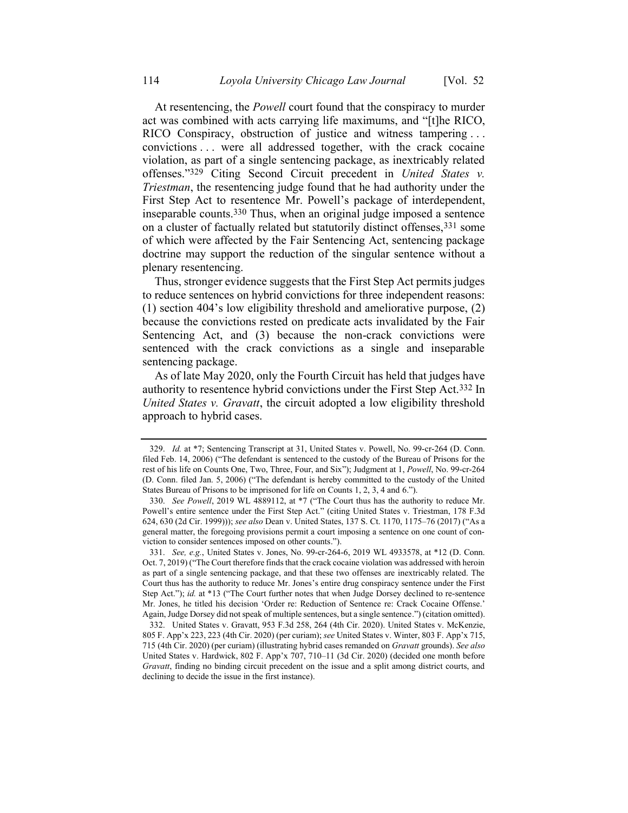At resentencing, the *Powell* court found that the conspiracy to murder act was combined with acts carrying life maximums, and "[t]he RICO, RICO Conspiracy, obstruction of justice and witness tampering . . . convictions . . . were all addressed together, with the crack cocaine violation, as part of a single sentencing package, as inextricably related offenses."329 Citing Second Circuit precedent in *United States v. Triestman*, the resentencing judge found that he had authority under the First Step Act to resentence Mr. Powell's package of interdependent, inseparable counts.330 Thus, when an original judge imposed a sentence on a cluster of factually related but statutorily distinct offenses,331 some of which were affected by the Fair Sentencing Act, sentencing package doctrine may support the reduction of the singular sentence without a plenary resentencing.

Thus, stronger evidence suggests that the First Step Act permits judges to reduce sentences on hybrid convictions for three independent reasons: (1) section 404's low eligibility threshold and ameliorative purpose, (2) because the convictions rested on predicate acts invalidated by the Fair Sentencing Act, and (3) because the non-crack convictions were sentenced with the crack convictions as a single and inseparable sentencing package.

As of late May 2020, only the Fourth Circuit has held that judges have authority to resentence hybrid convictions under the First Step Act.332 In *United States v. Gravatt*, the circuit adopted a low eligibility threshold approach to hybrid cases.

<sup>329.</sup> *Id.* at \*7; Sentencing Transcript at 31, United States v. Powell, No. 99-cr-264 (D. Conn. filed Feb. 14, 2006) ("The defendant is sentenced to the custody of the Bureau of Prisons for the rest of his life on Counts One, Two, Three, Four, and Six"); Judgment at 1, *Powell*, No. 99-cr-264 (D. Conn. filed Jan. 5, 2006) ("The defendant is hereby committed to the custody of the United States Bureau of Prisons to be imprisoned for life on Counts 1, 2, 3, 4 and 6.").

<sup>330.</sup> *See Powell*, 2019 WL 4889112, at \*7 ("The Court thus has the authority to reduce Mr. Powell's entire sentence under the First Step Act." (citing United States v. Triestman, 178 F.3d 624, 630 (2d Cir. 1999))); *see also* Dean v. United States, 137 S. Ct. 1170, 1175–76 (2017) ("As a general matter, the foregoing provisions permit a court imposing a sentence on one count of conviction to consider sentences imposed on other counts.").

<sup>331.</sup> *See, e.g.*, United States v. Jones, No. 99-cr-264-6, 2019 WL 4933578, at \*12 (D. Conn. Oct. 7, 2019) ("The Court therefore finds that the crack cocaine violation was addressed with heroin as part of a single sentencing package, and that these two offenses are inextricably related. The Court thus has the authority to reduce Mr. Jones's entire drug conspiracy sentence under the First Step Act."); *id.* at \*13 ("The Court further notes that when Judge Dorsey declined to re-sentence Mr. Jones, he titled his decision 'Order re: Reduction of Sentence re: Crack Cocaine Offense.' Again, Judge Dorsey did not speak of multiple sentences, but a single sentence.") (citation omitted).

<sup>332.</sup> United States v. Gravatt, 953 F.3d 258, 264 (4th Cir. 2020). United States v. McKenzie, 805 F. App'x 223, 223 (4th Cir. 2020) (per curiam); *see* United States v. Winter, 803 F. App'x 715, 715 (4th Cir. 2020) (per curiam) (illustrating hybrid cases remanded on *Gravatt* grounds). *See also* United States v. Hardwick, 802 F. App'x 707, 710–11 (3d Cir. 2020) (decided one month before *Gravatt*, finding no binding circuit precedent on the issue and a split among district courts, and declining to decide the issue in the first instance).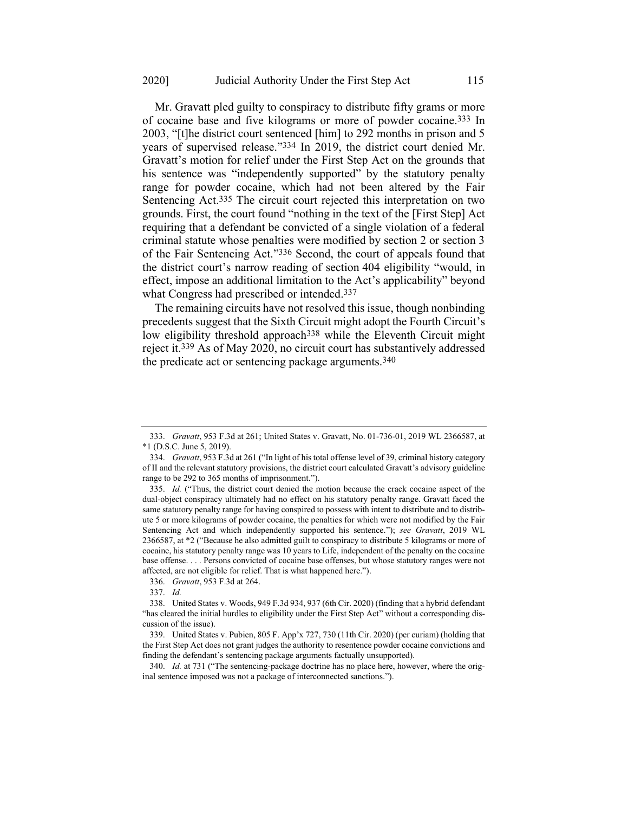Mr. Gravatt pled guilty to conspiracy to distribute fifty grams or more of cocaine base and five kilograms or more of powder cocaine.333 In 2003, "[t]he district court sentenced [him] to 292 months in prison and 5 years of supervised release."334 In 2019, the district court denied Mr. Gravatt's motion for relief under the First Step Act on the grounds that his sentence was "independently supported" by the statutory penalty range for powder cocaine, which had not been altered by the Fair Sentencing Act.<sup>335</sup> The circuit court rejected this interpretation on two grounds. First, the court found "nothing in the text of the [First Step] Act requiring that a defendant be convicted of a single violation of a federal criminal statute whose penalties were modified by section 2 or section 3 of the Fair Sentencing Act."336 Second, the court of appeals found that the district court's narrow reading of section 404 eligibility "would, in effect, impose an additional limitation to the Act's applicability" beyond what Congress had prescribed or intended. 337

The remaining circuits have not resolved this issue, though nonbinding precedents suggest that the Sixth Circuit might adopt the Fourth Circuit's low eligibility threshold approach<sup>338</sup> while the Eleventh Circuit might reject it.339 As of May 2020, no circuit court has substantively addressed the predicate act or sentencing package arguments.340

<sup>333.</sup> *Gravatt*, 953 F.3d at 261; United States v. Gravatt, No. 01-736-01, 2019 WL 2366587, at \*1 (D.S.C. June 5, 2019).

<sup>334.</sup> *Gravatt*, 953 F.3d at 261 ("In light of his total offense level of 39, criminal history category of II and the relevant statutory provisions, the district court calculated Gravatt's advisory guideline range to be 292 to 365 months of imprisonment.").

<sup>335.</sup> *Id.* ("Thus, the district court denied the motion because the crack cocaine aspect of the dual-object conspiracy ultimately had no effect on his statutory penalty range. Gravatt faced the same statutory penalty range for having conspired to possess with intent to distribute and to distribute 5 or more kilograms of powder cocaine, the penalties for which were not modified by the Fair Sentencing Act and which independently supported his sentence."); *see Gravatt*, 2019 WL 2366587, at \*2 ("Because he also admitted guilt to conspiracy to distribute 5 kilograms or more of cocaine, his statutory penalty range was 10 years to Life, independent of the penalty on the cocaine base offense. . . . Persons convicted of cocaine base offenses, but whose statutory ranges were not affected, are not eligible for relief. That is what happened here.").

<sup>336.</sup> *Gravatt*, 953 F.3d at 264.

<sup>337.</sup> *Id.*

<sup>338.</sup> United States v. Woods, 949 F.3d 934, 937 (6th Cir. 2020) (finding that a hybrid defendant "has cleared the initial hurdles to eligibility under the First Step Act" without a corresponding discussion of the issue).

<sup>339.</sup> United States v. Pubien, 805 F. App'x 727, 730 (11th Cir. 2020) (per curiam) (holding that the First Step Act does not grant judges the authority to resentence powder cocaine convictions and finding the defendant's sentencing package arguments factually unsupported).

<sup>340.</sup> *Id.* at 731 ("The sentencing-package doctrine has no place here, however, where the original sentence imposed was not a package of interconnected sanctions.").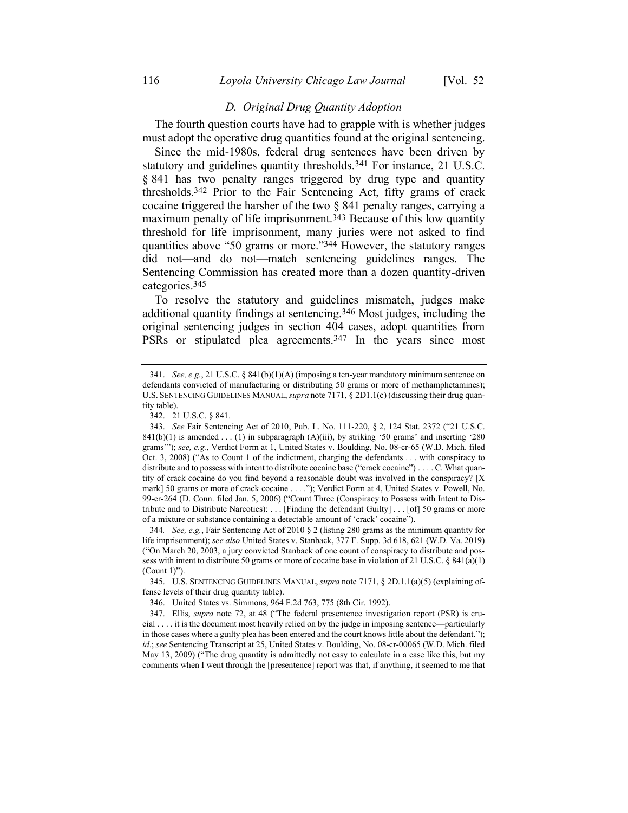#### *D. Original Drug Quantity Adoption*

The fourth question courts have had to grapple with is whether judges must adopt the operative drug quantities found at the original sentencing.

Since the mid-1980s, federal drug sentences have been driven by statutory and guidelines quantity thresholds.341 For instance, 21 U.S.C. § 841 has two penalty ranges triggered by drug type and quantity thresholds.342 Prior to the Fair Sentencing Act, fifty grams of crack cocaine triggered the harsher of the two  $\S$  841 penalty ranges, carrying a maximum penalty of life imprisonment.<sup>343</sup> Because of this low quantity threshold for life imprisonment, many juries were not asked to find quantities above "50 grams or more."344 However, the statutory ranges did not—and do not—match sentencing guidelines ranges. The Sentencing Commission has created more than a dozen quantity-driven categories.345

To resolve the statutory and guidelines mismatch, judges make additional quantity findings at sentencing.346 Most judges, including the original sentencing judges in section 404 cases, adopt quantities from PSRs or stipulated plea agreements.<sup>347</sup> In the years since most

342. 21 U.S.C. § 841.

<sup>341.</sup> *See, e.g.*, 21 U.S.C. § 841(b)(1)(A) (imposing a ten-year mandatory minimum sentence on defendants convicted of manufacturing or distributing 50 grams or more of methamphetamines); U.S. SENTENCING GUIDELINES MANUAL,*supra* not[e 7171,](#page-9-0) § 2D1.1(c) (discussing their drug quantity table).

<sup>343.</sup> *See* Fair Sentencing Act of 2010, Pub. L. No. 111-220, § 2, 124 Stat. 2372 ("21 U.S.C.  $841(b)(1)$  is amended . . . (1) in subparagraph (A)(iii), by striking '50 grams' and inserting '280 grams'"); *see, e.g.*, Verdict Form at 1, United States v. Boulding, No. 08-cr-65 (W.D. Mich. filed Oct. 3, 2008) ("As to Count 1 of the indictment, charging the defendants . . . with conspiracy to distribute and to possess with intent to distribute cocaine base ("crack cocaine") . . . . C. What quantity of crack cocaine do you find beyond a reasonable doubt was involved in the conspiracy? [X mark] 50 grams or more of crack cocaine . . . ."); Verdict Form at 4, United States v. Powell, No. 99-cr-264 (D. Conn. filed Jan. 5, 2006) ("Count Three (Conspiracy to Possess with Intent to Distribute and to Distribute Narcotics): . . . [Finding the defendant Guilty] . . . [of] 50 grams or more of a mixture or substance containing a detectable amount of 'crack' cocaine").

<sup>344</sup>*. See, e.g.*, Fair Sentencing Act of 2010 § 2 (listing 280 grams as the minimum quantity for life imprisonment); *see also* United States v. Stanback, 377 F. Supp. 3d 618, 621 (W.D. Va. 2019) ("On March 20, 2003, a jury convicted Stanback of one count of conspiracy to distribute and possess with intent to distribute 50 grams or more of cocaine base in violation of 21 U.S.C. § 841(a)(1) (Count 1)").

<sup>345.</sup> U.S. SENTENCING GUIDELINES MANUAL, *supra* note [7171,](#page-9-0) § 2D.1.1(a)(5) (explaining offense levels of their drug quantity table).

<sup>346.</sup> United States vs. Simmons, 964 F.2d 763, 775 (8th Cir. 1992).

<sup>347.</sup> Ellis, *supra* note [72,](#page-9-1) at 48 ("The federal presentence investigation report (PSR) is crucial . . . . it is the document most heavily relied on by the judge in imposing sentence—particularly in those cases where a guilty plea has been entered and the court knows little about the defendant."); *id*.; *see* Sentencing Transcript at 25, United States v. Boulding, No. 08-cr-00065 (W.D. Mich. filed May 13, 2009) ("The drug quantity is admittedly not easy to calculate in a case like this, but my comments when I went through the [presentence] report was that, if anything, it seemed to me that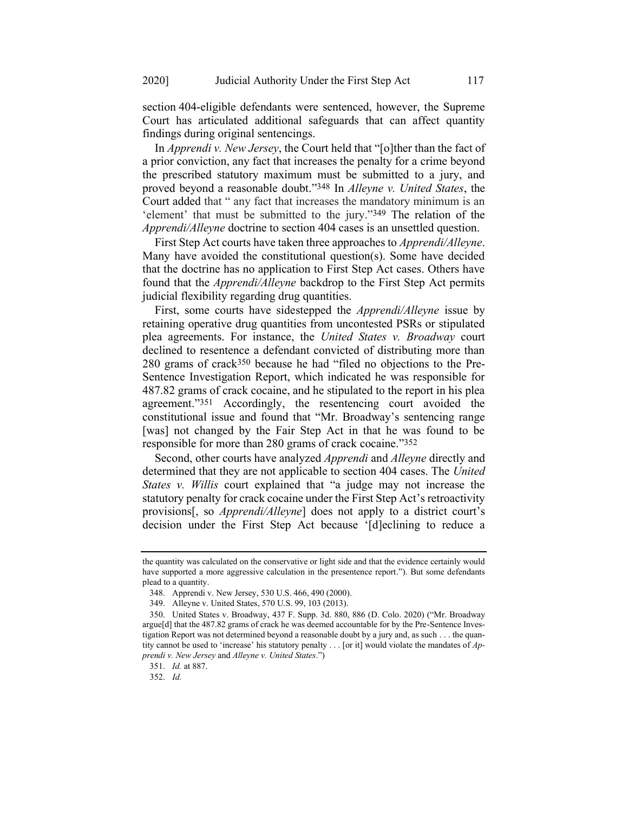section 404-eligible defendants were sentenced, however, the Supreme Court has articulated additional safeguards that can affect quantity findings during original sentencings.

In *Apprendi v. New Jersey*, the Court held that "[o]ther than the fact of a prior conviction, any fact that increases the penalty for a crime beyond the prescribed statutory maximum must be submitted to a jury, and proved beyond a reasonable doubt."348 In *Alleyne v. United States*, the Court added that " any fact that increases the mandatory minimum is an 'element' that must be submitted to the jury."349 The relation of the *Apprendi/Alleyne* doctrine to section 404 cases is an unsettled question.

First Step Act courts have taken three approaches to *Apprendi/Alleyne*. Many have avoided the constitutional question(s). Some have decided that the doctrine has no application to First Step Act cases. Others have found that the *Apprendi/Alleyne* backdrop to the First Step Act permits judicial flexibility regarding drug quantities.

First, some courts have sidestepped the *Apprendi/Alleyne* issue by retaining operative drug quantities from uncontested PSRs or stipulated plea agreements. For instance, the *United States v. Broadway* court declined to resentence a defendant convicted of distributing more than 280 grams of crack350 because he had "filed no objections to the Pre-Sentence Investigation Report, which indicated he was responsible for 487.82 grams of crack cocaine, and he stipulated to the report in his plea agreement."351 Accordingly, the resentencing court avoided the constitutional issue and found that "Mr. Broadway's sentencing range [was] not changed by the Fair Step Act in that he was found to be responsible for more than 280 grams of crack cocaine."352

Second, other courts have analyzed *Apprendi* and *Alleyne* directly and determined that they are not applicable to section 404 cases. The *United States v. Willis* court explained that "a judge may not increase the statutory penalty for crack cocaine under the First Step Act's retroactivity provisions[, so *Apprendi/Alleyne*] does not apply to a district court's decision under the First Step Act because '[d]eclining to reduce a

the quantity was calculated on the conservative or light side and that the evidence certainly would have supported a more aggressive calculation in the presentence report."). But some defendants plead to a quantity.

<sup>348.</sup> Apprendi v. New Jersey, 530 U.S. 466, 490 (2000).

<sup>349.</sup> Alleyne v. United States, 570 U.S. 99, 103 (2013).

<sup>350.</sup> United States v. Broadway, 437 F. Supp. 3d. 880, 886 (D. Colo. 2020) ("Mr. Broadway argue[d] that the 487.82 grams of crack he was deemed accountable for by the Pre-Sentence Investigation Report was not determined beyond a reasonable doubt by a jury and, as such . . . the quantity cannot be used to 'increase' his statutory penalty . . . [or it] would violate the mandates of *Apprendi v. New Jersey* and *Alleyne v. United States*.")

<sup>351.</sup> *Id.* at 887.

<sup>352.</sup> *Id.*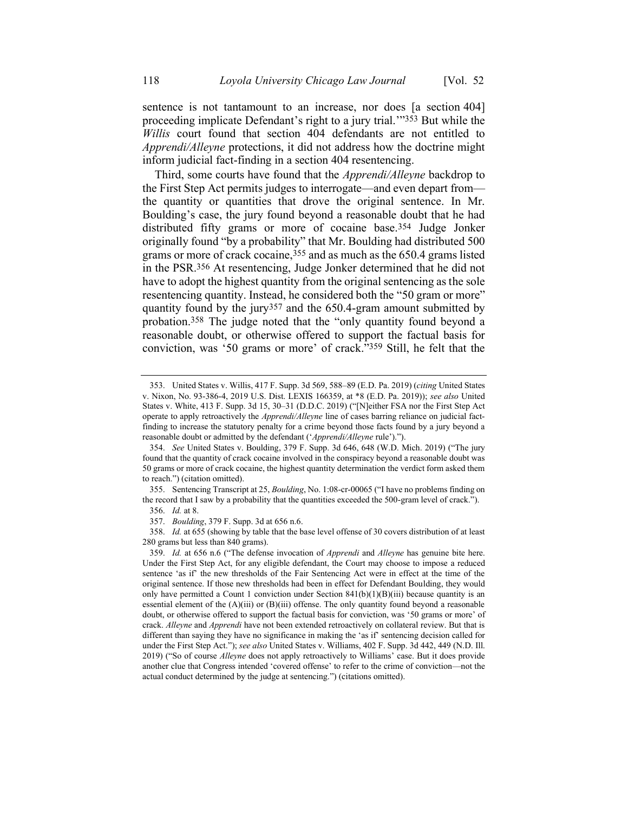sentence is not tantamount to an increase, nor does [a section 404] proceeding implicate Defendant's right to a jury trial.'"353 But while the *Willis* court found that section 404 defendants are not entitled to *Apprendi/Alleyne* protections, it did not address how the doctrine might inform judicial fact-finding in a section 404 resentencing.

Third, some courts have found that the *Apprendi/Alleyne* backdrop to the First Step Act permits judges to interrogate—and even depart from the quantity or quantities that drove the original sentence. In Mr. Boulding's case, the jury found beyond a reasonable doubt that he had distributed fifty grams or more of cocaine base.354 Judge Jonker originally found "by a probability" that Mr. Boulding had distributed 500 grams or more of crack cocaine,355 and as much as the 650.4 grams listed in the PSR.356 At resentencing, Judge Jonker determined that he did not have to adopt the highest quantity from the original sentencing as the sole resentencing quantity. Instead, he considered both the "50 gram or more" quantity found by the jury<sup>357</sup> and the  $650.4$ -gram amount submitted by probation.358 The judge noted that the "only quantity found beyond a reasonable doubt, or otherwise offered to support the factual basis for conviction, was '50 grams or more' of crack."359 Still, he felt that the

<sup>353.</sup> United States v. Willis, 417 F. Supp. 3d 569, 588–89 (E.D. Pa. 2019) (*citing* United States v. Nixon, No. 93-386-4, 2019 U.S. Dist. LEXIS 166359, at \*8 (E.D. Pa. 2019)); *see also* United States v. White, 413 F. Supp. 3d 15, 30–31 (D.D.C. 2019) ("[N]either FSA nor the First Step Act operate to apply retroactively the *Apprendi/Alleyne* line of cases barring reliance on judicial factfinding to increase the statutory penalty for a crime beyond those facts found by a jury beyond a reasonable doubt or admitted by the defendant ('*Apprendi/Alleyne* rule').").

<sup>354.</sup> *See* United States v. Boulding, 379 F. Supp. 3d 646, 648 (W.D. Mich. 2019) ("The jury found that the quantity of crack cocaine involved in the conspiracy beyond a reasonable doubt was 50 grams or more of crack cocaine, the highest quantity determination the verdict form asked them to reach.") (citation omitted).

<sup>355.</sup> Sentencing Transcript at 25, *Boulding*, No. 1:08-cr-00065 ("I have no problems finding on the record that I saw by a probability that the quantities exceeded the 500-gram level of crack.").

<sup>356.</sup> *Id.* at 8.

<sup>357.</sup> *Boulding*, 379 F. Supp. 3d at 656 n.6.

<sup>358.</sup> *Id.* at 655 (showing by table that the base level offense of 30 covers distribution of at least 280 grams but less than 840 grams).

<sup>359.</sup> *Id.* at 656 n.6 ("The defense invocation of *Apprendi* and *Alleyne* has genuine bite here. Under the First Step Act, for any eligible defendant, the Court may choose to impose a reduced sentence 'as if' the new thresholds of the Fair Sentencing Act were in effect at the time of the original sentence. If those new thresholds had been in effect for Defendant Boulding, they would only have permitted a Count 1 conviction under Section  $841(b)(1)(B)(iii)$  because quantity is an essential element of the  $(A)(iii)$  or  $(B)(iii)$  offense. The only quantity found beyond a reasonable doubt, or otherwise offered to support the factual basis for conviction, was '50 grams or more' of crack. *Alleyne* and *Apprendi* have not been extended retroactively on collateral review. But that is different than saying they have no significance in making the 'as if' sentencing decision called for under the First Step Act."); *see also* United States v. Williams, 402 F. Supp. 3d 442, 449 (N.D. Ill. 2019) ("So of course *Alleyne* does not apply retroactively to Williams' case. But it does provide another clue that Congress intended 'covered offense' to refer to the crime of conviction—not the actual conduct determined by the judge at sentencing.") (citations omitted).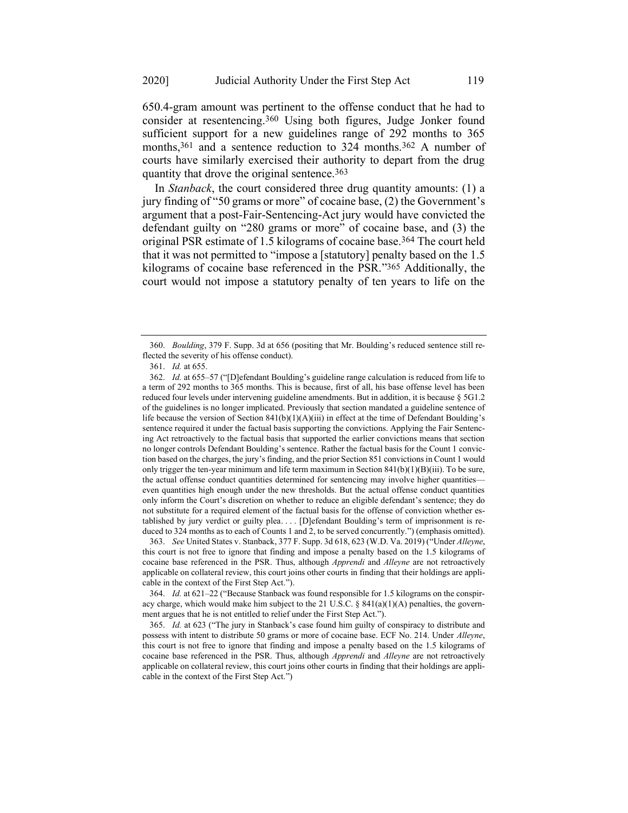650.4-gram amount was pertinent to the offense conduct that he had to consider at resentencing.360 Using both figures, Judge Jonker found sufficient support for a new guidelines range of 292 months to 365 months, 361 and a sentence reduction to 324 months.362 A number of courts have similarly exercised their authority to depart from the drug quantity that drove the original sentence.<sup>363</sup>

In *Stanback*, the court considered three drug quantity amounts: (1) a jury finding of "50 grams or more" of cocaine base, (2) the Government's argument that a post-Fair-Sentencing-Act jury would have convicted the defendant guilty on "280 grams or more" of cocaine base, and (3) the original PSR estimate of 1.5 kilograms of cocaine base.364 The court held that it was not permitted to "impose a [statutory] penalty based on the 1.5 kilograms of cocaine base referenced in the PSR."365 Additionally, the court would not impose a statutory penalty of ten years to life on the

363. *See* United States v. Stanback, 377 F. Supp. 3d 618, 623 (W.D. Va. 2019) ("Under *Alleyne*, this court is not free to ignore that finding and impose a penalty based on the 1.5 kilograms of cocaine base referenced in the PSR. Thus, although *Apprendi* and *Alleyne* are not retroactively applicable on collateral review, this court joins other courts in finding that their holdings are applicable in the context of the First Step Act.").

364. *Id.* at 621–22 ("Because Stanback was found responsible for 1.5 kilograms on the conspiracy charge, which would make him subject to the 21 U.S.C. § 841(a)(1)(A) penalties, the government argues that he is not entitled to relief under the First Step Act.").

365. *Id.* at 623 ("The jury in Stanback's case found him guilty of conspiracy to distribute and possess with intent to distribute 50 grams or more of cocaine base. ECF No. 214. Under *Alleyne*, this court is not free to ignore that finding and impose a penalty based on the 1.5 kilograms of cocaine base referenced in the PSR. Thus, although *Apprendi* and *Alleyne* are not retroactively applicable on collateral review, this court joins other courts in finding that their holdings are applicable in the context of the First Step Act.")

<sup>360.</sup> *Boulding*, 379 F. Supp. 3d at 656 (positing that Mr. Boulding's reduced sentence still reflected the severity of his offense conduct).

<sup>361.</sup> *Id.* at 655.

<sup>362.</sup> *Id.* at 655–57 ("[D]efendant Boulding's guideline range calculation is reduced from life to a term of 292 months to 365 months. This is because, first of all, his base offense level has been reduced four levels under intervening guideline amendments. But in addition, it is because § 5G1.2 of the guidelines is no longer implicated. Previously that section mandated a guideline sentence of life because the version of Section 841(b)(1)(A)(iii) in effect at the time of Defendant Boulding's sentence required it under the factual basis supporting the convictions. Applying the Fair Sentencing Act retroactively to the factual basis that supported the earlier convictions means that section no longer controls Defendant Boulding's sentence. Rather the factual basis for the Count 1 conviction based on the charges, the jury's finding, and the prior Section 851 convictions in Count 1 would only trigger the ten-year minimum and life term maximum in Section  $841(b)(1)(B)(iii)$ . To be sure, the actual offense conduct quantities determined for sentencing may involve higher quantities even quantities high enough under the new thresholds. But the actual offense conduct quantities only inform the Court's discretion on whether to reduce an eligible defendant's sentence; they do not substitute for a required element of the factual basis for the offense of conviction whether established by jury verdict or guilty plea. . . . [D]efendant Boulding's term of imprisonment is reduced to 324 months as to each of Counts 1 and 2, to be served concurrently.") (emphasis omitted).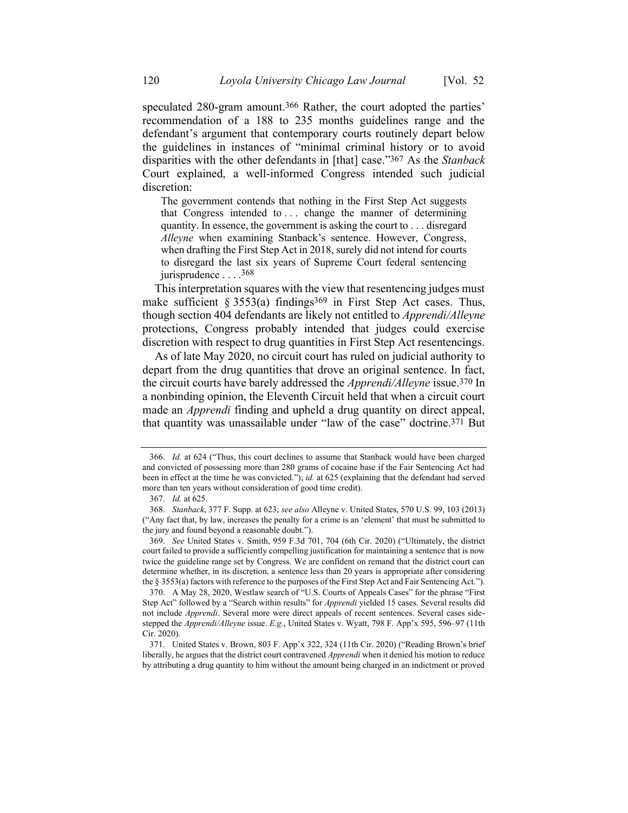speculated 280-gram amount.<sup>366</sup> Rather, the court adopted the parties' recommendation of a 188 to 235 months guidelines range and the defendant's argument that contemporary courts routinely depart below the guidelines in instances of "minimal criminal history or to avoid disparities with the other defendants in [that] case."367 As the *Stanback* Court explained, a well-informed Congress intended such judicial discretion:

The government contends that nothing in the First Step Act suggests that Congress intended to . . . change the manner of determining quantity. In essence, the government is asking the court to . . . disregard *Alleyne* when examining Stanback's sentence. However, Congress, when drafting the First Step Act in 2018, surely did not intend for courts to disregard the last six years of Supreme Court federal sentencing jurisprudence . . . . 368

This interpretation squares with the view that resentencing judges must make sufficient § 3553(a) findings<sup>369</sup> in First Step Act cases. Thus, though section 404 defendants are likely not entitled to *Apprendi/Alleyne* protections, Congress probably intended that judges could exercise discretion with respect to drug quantities in First Step Act resentencings.

As of late May 2020, no circuit court has ruled on judicial authority to depart from the drug quantities that drove an original sentence. In fact, the circuit courts have barely addressed the *Apprendi/Alleyne* issue.370 In a nonbinding opinion, the Eleventh Circuit held that when a circuit court made an *Apprendi* finding and upheld a drug quantity on direct appeal, that quantity was unassailable under "law of the case" doctrine.371 But

<sup>366.</sup> *Id.* at 624 ("Thus, this court declines to assume that Stanback would have been charged and convicted of possessing more than 280 grams of cocaine base if the Fair Sentencing Act had been in effect at the time he was convicted."); *id.* at 625 (explaining that the defendant had served more than ten years without consideration of good time credit).

<sup>367.</sup> *Id.* at 625.

<sup>368.</sup> *Stanback*, 377 F. Supp. at 623; *see also* Alleyne v. United States, 570 U.S. 99, 103 (2013) ("Any fact that, by law, increases the penalty for a crime is an 'element' that must be submitted to the jury and found beyond a reasonable doubt.").

<sup>369.</sup> *See* United States v. Smith, 959 F.3d 701, 704 (6th Cir. 2020) ("Ultimately, the district court failed to provide a sufficiently compelling justification for maintaining a sentence that is now twice the guideline range set by Congress. We are confident on remand that the district court can determine whether, in its discretion, a sentence less than 20 years is appropriate after considering the § 3553(a) factors with reference to the purposes of the First Step Act and Fair Sentencing Act.").

<sup>370.</sup> A May 28, 2020, Westlaw search of "U.S. Courts of Appeals Cases" for the phrase "First Step Act" followed by a "Search within results" for *Apprendi* yielded 15 cases. Several results did not include *Apprendi*. Several more were direct appeals of recent sentences. Several cases sidestepped the *Apprendi/Alleyne* issue. *E.g.*, United States v. Wyatt, 798 F. App'x 595, 596–97 (11th Cir. 2020).

<sup>371.</sup> United States v. Brown, 803 F. App'x 322, 324 (11th Cir. 2020) ("Reading Brown's brief liberally, he argues that the district court contravened *Apprendi* when it denied his motion to reduce by attributing a drug quantity to him without the amount being charged in an indictment or proved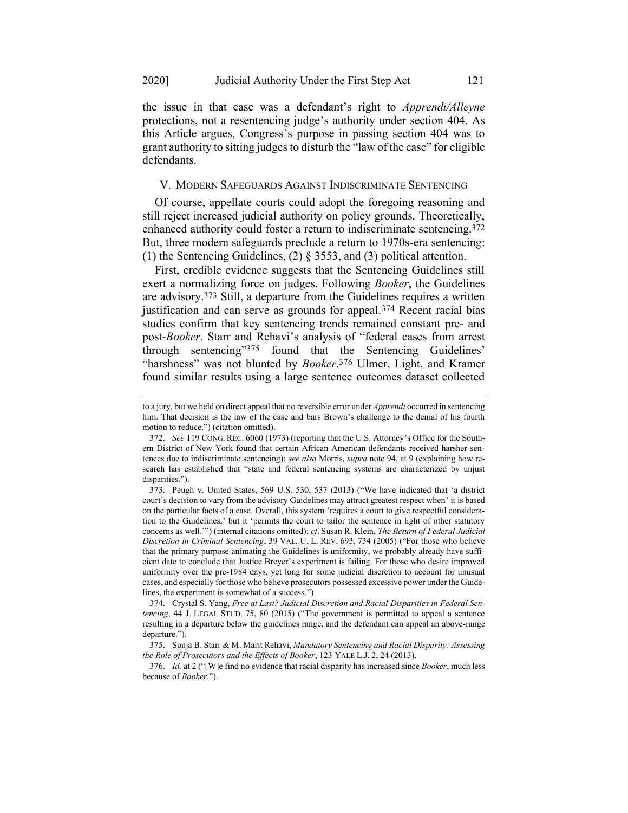the issue in that case was a defendant's right to *Apprendi/Alleyne*  protections, not a resentencing judge's authority under section 404. As this Article argues, Congress's purpose in passing section 404 was to grant authority to sitting judges to disturb the "law of the case" for eligible defendants.

#### V. MODERN SAFEGUARDS AGAINST INDISCRIMINATE SENTENCING

Of course, appellate courts could adopt the foregoing reasoning and still reject increased judicial authority on policy grounds. Theoretically, enhanced authority could foster a return to indiscriminate sentencing.372 But, three modern safeguards preclude a return to 1970s-era sentencing: (1) the Sentencing Guidelines, (2) § 3553, and (3) political attention.

<span id="page-55-0"></span>First, credible evidence suggests that the Sentencing Guidelines still exert a normalizing force on judges. Following *Booker*, the Guidelines are advisory.373 Still, a departure from the Guidelines requires a written justification and can serve as grounds for appeal.374 Recent racial bias studies confirm that key sentencing trends remained constant pre- and post-*Booker*. Starr and Rehavi's analysis of "federal cases from arrest through sentencing"375 found that the Sentencing Guidelines' "harshness" was not blunted by *Booker*. 376 Ulmer, Light, and Kramer found similar results using a large sentence outcomes dataset collected

<span id="page-55-1"></span>to a jury, but we held on direct appeal that no reversible error under *Apprendi* occurred in sentencing him. That decision is the law of the case and bars Brown's challenge to the denial of his fourth motion to reduce.") (citation omitted).

<sup>372.</sup> *See* 119 CONG. REC. 6060 (1973) (reporting that the U.S. Attorney's Office for the Southern District of New York found that certain African American defendants received harsher sentences due to indiscriminate sentencing); *see also* Morris, *supra* not[e 94,](#page-13-1) at 9 (explaining how research has established that "state and federal sentencing systems are characterized by unjust disparities.").

<sup>373.</sup> Peugh v. United States, 569 U.S. 530, 537 (2013) ("We have indicated that 'a district court's decision to vary from the advisory Guidelines may attract greatest respect when' it is based on the particular facts of a case. Overall, this system 'requires a court to give respectful consideration to the Guidelines,' but it 'permits the court to tailor the sentence in light of other statutory concerns as well.'") (internal citations omitted); *cf*. Susan R. Klein, *The Return of Federal Judicial Discretion in Criminal Sentencing*, 39 VAL. U. L. REV. 693, 734 (2005) ("For those who believe that the primary purpose animating the Guidelines is uniformity, we probably already have sufficient date to conclude that Justice Breyer's experiment is failing. For those who desire improved uniformity over the pre-1984 days, yet long for some judicial discretion to account for unusual cases, and especially for those who believe prosecutors possessed excessive power under the Guidelines, the experiment is somewhat of a success.").

<sup>374.</sup> Crystal S. Yang, *Free at Last? Judicial Discretion and Racial Disparities in Federal Sentencing*, 44 J. LEGAL STUD. 75, 80 (2015) ("The government is permitted to appeal a sentence resulting in a departure below the guidelines range, and the defendant can appeal an above-range departure.").

<sup>375.</sup> Sonja B. Starr & M. Marit Rehavi, *Mandatory Sentencing and Racial Disparity: Assessing the Role of Prosecutors and the Effects of Booker*, 123 YALE L.J. 2, 24 (2013).

<sup>376.</sup> *Id.* at 2 ("[W]e find no evidence that racial disparity has increased since *Booker*, much less because of *Booker*.").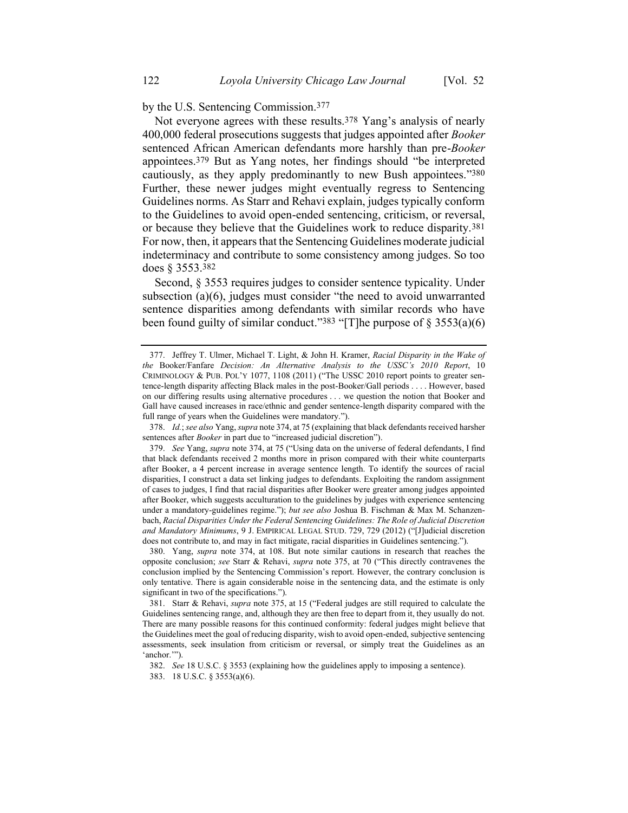by the U.S. Sentencing Commission.377

Not everyone agrees with these results.<sup>378</sup> Yang's analysis of nearly 400,000 federal prosecutions suggests that judges appointed after *Booker* sentenced African American defendants more harshly than pre-*Booker* appointees.379 But as Yang notes, her findings should "be interpreted cautiously, as they apply predominantly to new Bush appointees."380 Further, these newer judges might eventually regress to Sentencing Guidelines norms. As Starr and Rehavi explain, judges typically conform to the Guidelines to avoid open-ended sentencing, criticism, or reversal, or because they believe that the Guidelines work to reduce disparity.381 For now, then, it appears that the Sentencing Guidelines moderate judicial indeterminacy and contribute to some consistency among judges. So too does § 3553.382

Second, § 3553 requires judges to consider sentence typicality. Under subsection (a)(6), judges must consider "the need to avoid unwarranted sentence disparities among defendants with similar records who have been found guilty of similar conduct."<sup>383</sup> "[T]he purpose of  $\S$  3553(a)(6)

380. Yang, *supra* note [374,](#page-55-0) at 108. But note similar cautions in research that reaches the opposite conclusion; *see* Starr & Rehavi, *supra* note [375,](#page-55-1) at 70 ("This directly contravenes the conclusion implied by the Sentencing Commission's report. However, the contrary conclusion is only tentative. There is again considerable noise in the sentencing data, and the estimate is only significant in two of the specifications.").

381. Starr & Rehavi, *supra* note [375,](#page-55-1) at 15 ("Federal judges are still required to calculate the Guidelines sentencing range, and, although they are then free to depart from it, they usually do not. There are many possible reasons for this continued conformity: federal judges might believe that the Guidelines meet the goal of reducing disparity, wish to avoid open-ended, subjective sentencing assessments, seek insulation from criticism or reversal, or simply treat the Guidelines as an 'anchor.'").

383. 18 U.S.C. § 3553(a)(6).

<sup>377.</sup> Jeffrey T. Ulmer, Michael T. Light, & John H. Kramer, *Racial Disparity in the Wake of the* Booker/Fanfare *Decision: An Alternative Analysis to the USSC's 2010 Report*, 10 CRIMINOLOGY & PUB. POL'Y 1077, 1108 (2011) ("The USSC 2010 report points to greater sentence-length disparity affecting Black males in the post-Booker/Gall periods . . . . However, based on our differing results using alternative procedures . . . we question the notion that Booker and Gall have caused increases in race/ethnic and gender sentence-length disparity compared with the full range of years when the Guidelines were mandatory.").

<sup>378.</sup> *Id.*; *see also* Yang, *supra* not[e 374,](#page-55-0) at 75 (explaining that black defendants received harsher sentences after *Booker* in part due to "increased judicial discretion").

<sup>379.</sup> *See* Yang, *supra* note [374,](#page-55-0) at 75 ("Using data on the universe of federal defendants, I find that black defendants received 2 months more in prison compared with their white counterparts after Booker, a 4 percent increase in average sentence length. To identify the sources of racial disparities, I construct a data set linking judges to defendants. Exploiting the random assignment of cases to judges, I find that racial disparities after Booker were greater among judges appointed after Booker, which suggests acculturation to the guidelines by judges with experience sentencing under a mandatory-guidelines regime."); *but see also* Joshua B. Fischman & Max M. Schanzenbach, *Racial Disparities Under the Federal Sentencing Guidelines: The Role of Judicial Discretion and Mandatory Minimums*, 9 J. EMPIRICAL LEGAL STUD. 729, 729 (2012) ("[J]udicial discretion does not contribute to, and may in fact mitigate, racial disparities in Guidelines sentencing.").

<sup>382.</sup> *See* 18 U.S.C. § 3553 (explaining how the guidelines apply to imposing a sentence).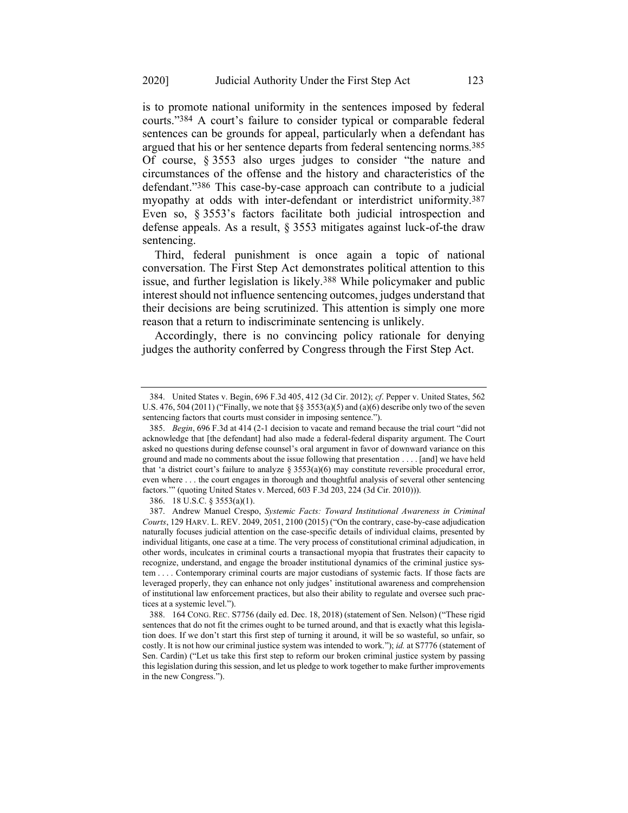is to promote national uniformity in the sentences imposed by federal courts."384 A court's failure to consider typical or comparable federal sentences can be grounds for appeal, particularly when a defendant has argued that his or her sentence departs from federal sentencing norms.385 Of course, § 3553 also urges judges to consider "the nature and circumstances of the offense and the history and characteristics of the defendant."386 This case-by-case approach can contribute to a judicial myopathy at odds with inter-defendant or interdistrict uniformity.387 Even so, § 3553's factors facilitate both judicial introspection and defense appeals. As a result, § 3553 mitigates against luck-of-the draw sentencing.

Third, federal punishment is once again a topic of national conversation. The First Step Act demonstrates political attention to this issue, and further legislation is likely.388 While policymaker and public interest should not influence sentencing outcomes, judges understand that their decisions are being scrutinized. This attention is simply one more reason that a return to indiscriminate sentencing is unlikely.

Accordingly, there is no convincing policy rationale for denying judges the authority conferred by Congress through the First Step Act.

<sup>384.</sup> United States v. Begin, 696 F.3d 405, 412 (3d Cir. 2012); *cf*. Pepper v. United States, 562 U.S. 476, 504 (2011) ("Finally, we note that §§ 3553(a)(5) and (a)(6) describe only two of the seven sentencing factors that courts must consider in imposing sentence.").

<sup>385.</sup> *Begin*, 696 F.3d at 414 (2-1 decision to vacate and remand because the trial court "did not acknowledge that [the defendant] had also made a federal-federal disparity argument. The Court asked no questions during defense counsel's oral argument in favor of downward variance on this ground and made no comments about the issue following that presentation . . . . [and] we have held that 'a district court's failure to analyze § 3553(a)(6) may constitute reversible procedural error, even where . . . the court engages in thorough and thoughtful analysis of several other sentencing factors.'" (quoting United States v. Merced, 603 F.3d 203, 224 (3d Cir. 2010))).

<sup>386.</sup> 18 U.S.C. § 3553(a)(1).

<sup>387.</sup> Andrew Manuel Crespo, *Systemic Facts: Toward Institutional Awareness in Criminal Courts*, 129 HARV. L. REV. 2049, 2051, 2100 (2015) ("On the contrary, case-by-case adjudication naturally focuses judicial attention on the case-specific details of individual claims, presented by individual litigants, one case at a time. The very process of constitutional criminal adjudication, in other words, inculcates in criminal courts a transactional myopia that frustrates their capacity to recognize, understand, and engage the broader institutional dynamics of the criminal justice system . . . . Contemporary criminal courts are major custodians of systemic facts. If those facts are leveraged properly, they can enhance not only judges' institutional awareness and comprehension of institutional law enforcement practices, but also their ability to regulate and oversee such practices at a systemic level.").

<sup>388.</sup> 164 CONG. REC. S7756 (daily ed. Dec. 18, 2018) (statement of Sen. Nelson) ("These rigid sentences that do not fit the crimes ought to be turned around, and that is exactly what this legislation does. If we don't start this first step of turning it around, it will be so wasteful, so unfair, so costly. It is not how our criminal justice system was intended to work."); *id.* at S7776 (statement of Sen. Cardin) ("Let us take this first step to reform our broken criminal justice system by passing this legislation during this session, and let us pledge to work together to make further improvements in the new Congress.").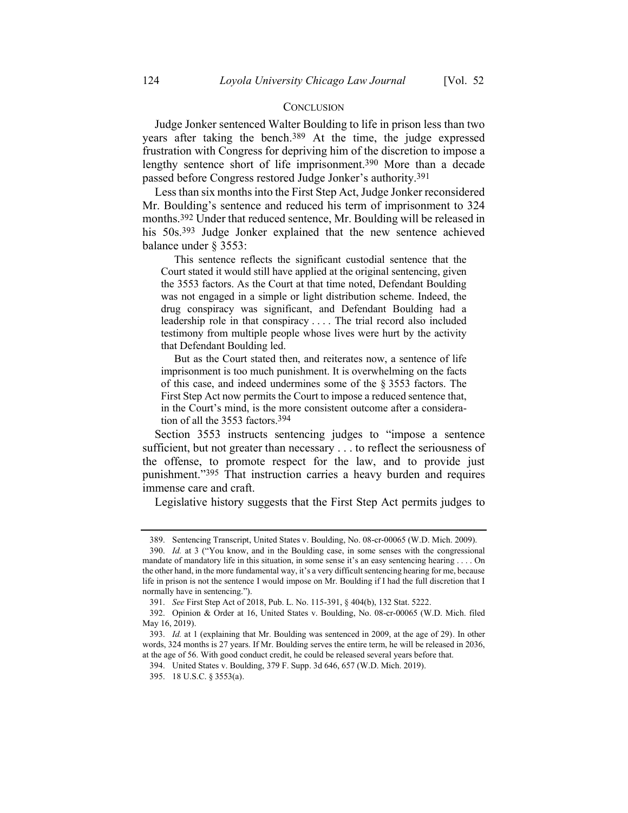#### **CONCLUSION**

Judge Jonker sentenced Walter Boulding to life in prison less than two years after taking the bench.389 At the time, the judge expressed frustration with Congress for depriving him of the discretion to impose a lengthy sentence short of life imprisonment.390 More than a decade passed before Congress restored Judge Jonker's authority.391

Less than six months into the First Step Act, Judge Jonker reconsidered Mr. Boulding's sentence and reduced his term of imprisonment to 324 months.392 Under that reduced sentence, Mr. Boulding will be released in his 50s.393 Judge Jonker explained that the new sentence achieved balance under § 3553:

This sentence reflects the significant custodial sentence that the Court stated it would still have applied at the original sentencing, given the 3553 factors. As the Court at that time noted, Defendant Boulding was not engaged in a simple or light distribution scheme. Indeed, the drug conspiracy was significant, and Defendant Boulding had a leadership role in that conspiracy . . . . The trial record also included testimony from multiple people whose lives were hurt by the activity that Defendant Boulding led.

But as the Court stated then, and reiterates now, a sentence of life imprisonment is too much punishment. It is overwhelming on the facts of this case, and indeed undermines some of the § 3553 factors. The First Step Act now permits the Court to impose a reduced sentence that, in the Court's mind, is the more consistent outcome after a consideration of all the 3553 factors.394

Section 3553 instructs sentencing judges to "impose a sentence sufficient, but not greater than necessary . . . to reflect the seriousness of the offense, to promote respect for the law, and to provide just punishment."395 That instruction carries a heavy burden and requires immense care and craft.

Legislative history suggests that the First Step Act permits judges to

<sup>389.</sup> Sentencing Transcript, United States v. Boulding, No. 08-cr-00065 (W.D. Mich. 2009).

<sup>390.</sup> *Id.* at 3 ("You know, and in the Boulding case, in some senses with the congressional mandate of mandatory life in this situation, in some sense it's an easy sentencing hearing . . . . On the other hand, in the more fundamental way, it's a very difficult sentencing hearing for me, because life in prison is not the sentence I would impose on Mr. Boulding if I had the full discretion that I normally have in sentencing.").

<sup>391.</sup> *See* First Step Act of 2018, Pub. L. No. 115-391, § 404(b), 132 Stat. 5222.

<sup>392.</sup> Opinion & Order at 16, United States v. Boulding, No. 08-cr-00065 (W.D. Mich. filed May 16, 2019).

<sup>393.</sup> *Id.* at 1 (explaining that Mr. Boulding was sentenced in 2009, at the age of 29). In other words, 324 months is 27 years. If Mr. Boulding serves the entire term, he will be released in 2036, at the age of 56. With good conduct credit, he could be released several years before that.

<sup>394.</sup> United States v. Boulding, 379 F. Supp. 3d 646, 657 (W.D. Mich. 2019).

<sup>395.</sup> 18 U.S.C. § 3553(a).